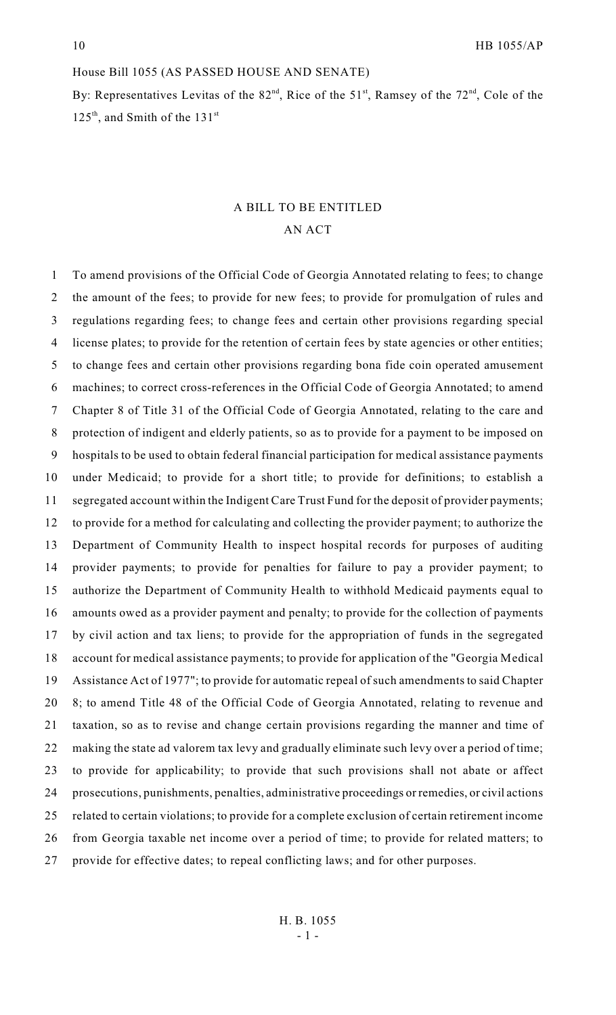### House Bill 1055 (AS PASSED HOUSE AND SENATE)

By: Representatives Levitas of the  $82<sup>nd</sup>$ , Rice of the  $51<sup>st</sup>$ , Ramsey of the  $72<sup>nd</sup>$ , Cole of the  $125<sup>th</sup>$ , and Smith of the  $131<sup>st</sup>$ 

# A BILL TO BE ENTITLED AN ACT

 To amend provisions of the Official Code of Georgia Annotated relating to fees; to change the amount of the fees; to provide for new fees; to provide for promulgation of rules and regulations regarding fees; to change fees and certain other provisions regarding special license plates; to provide for the retention of certain fees by state agencies or other entities; to change fees and certain other provisions regarding bona fide coin operated amusement machines; to correct cross-references in the Official Code of Georgia Annotated; to amend Chapter 8 of Title 31 of the Official Code of Georgia Annotated, relating to the care and protection of indigent and elderly patients, so as to provide for a payment to be imposed on hospitals to be used to obtain federal financial participation for medical assistance payments under Medicaid; to provide for a short title; to provide for definitions; to establish a segregated account within the Indigent Care Trust Fund for the deposit of provider payments; to provide for a method for calculating and collecting the provider payment; to authorize the Department of Community Health to inspect hospital records for purposes of auditing provider payments; to provide for penalties for failure to pay a provider payment; to authorize the Department of Community Health to withhold Medicaid payments equal to amounts owed as a provider payment and penalty; to provide for the collection of payments by civil action and tax liens; to provide for the appropriation of funds in the segregated account for medical assistance payments; to provide for application of the "Georgia Medical Assistance Act of 1977"; to provide for automatic repeal of such amendments to said Chapter 8; to amend Title 48 of the Official Code of Georgia Annotated, relating to revenue and taxation, so as to revise and change certain provisions regarding the manner and time of making the state ad valorem tax levy and gradually eliminate such levy over a period of time; to provide for applicability; to provide that such provisions shall not abate or affect prosecutions, punishments, penalties, administrative proceedings or remedies, or civil actions related to certain violations; to provide for a complete exclusion of certain retirement income from Georgia taxable net income over a period of time; to provide for related matters; to provide for effective dates; to repeal conflicting laws; and for other purposes.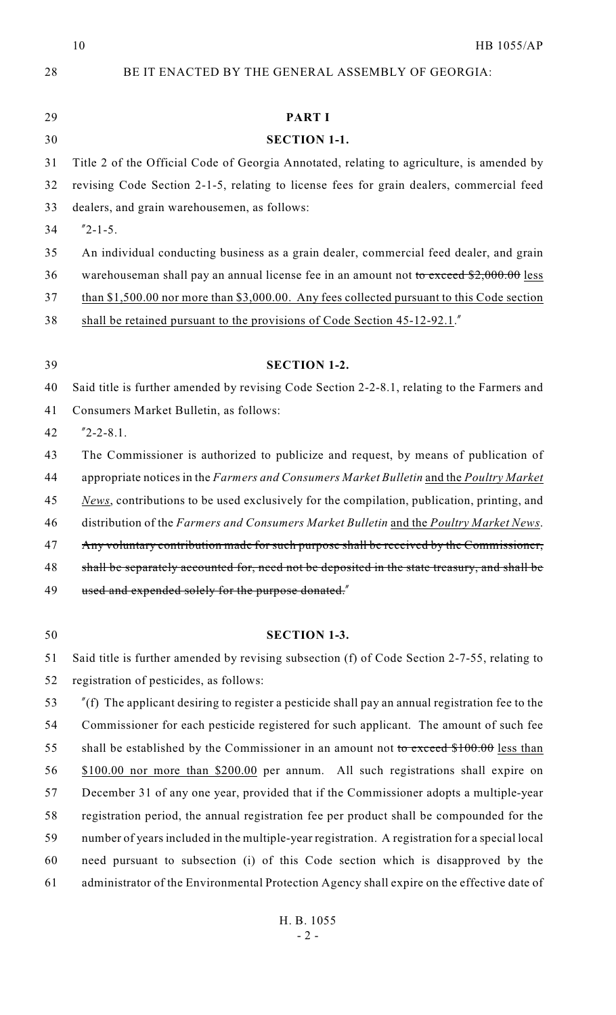HB 1055/AP

| 28 | BE IT ENACTED BY THE GENERAL ASSEMBLY OF GEORGIA:                                                        |
|----|----------------------------------------------------------------------------------------------------------|
| 29 | <b>PART I</b>                                                                                            |
| 30 | <b>SECTION 1-1.</b>                                                                                      |
| 31 | Title 2 of the Official Code of Georgia Annotated, relating to agriculture, is amended by                |
| 32 | revising Code Section 2-1-5, relating to license fees for grain dealers, commercial feed                 |
| 33 | dealers, and grain warehousemen, as follows:                                                             |
| 34 | $"2 - 1 - 5.$                                                                                            |
| 35 | An individual conducting business as a grain dealer, commercial feed dealer, and grain                   |
| 36 | warehouseman shall pay an annual license fee in an amount not to exceed \$2,000.00 less                  |
| 37 | than \$1,500.00 nor more than \$3,000.00. Any fees collected pursuant to this Code section               |
| 38 | shall be retained pursuant to the provisions of Code Section 45-12-92.1.                                 |
| 39 | <b>SECTION 1-2.</b>                                                                                      |
| 40 | Said title is further amended by revising Code Section 2-2-8.1, relating to the Farmers and              |
| 41 | Consumers Market Bulletin, as follows:                                                                   |
| 42 | $"2-2-8.1.$                                                                                              |
| 43 | The Commissioner is authorized to publicize and request, by means of publication of                      |
| 44 | appropriate notices in the Farmers and Consumers Market Bulletin and the Poultry Market                  |
| 45 | News, contributions to be used exclusively for the compilation, publication, printing, and               |
| 46 | distribution of the Farmers and Consumers Market Bulletin and the Poultry Market News.                   |
| 47 | Any voluntary contribution made for such purpose shall be received by the Commissioner,                  |
| 48 | shall be separately accounted for, need not be deposited in the state treasury, and shall be             |
| 49 | used and expended solely for the purpose donated."                                                       |
| 50 | <b>SECTION 1-3.</b>                                                                                      |
| 51 | Said title is further amended by revising subsection (f) of Code Section 2-7-55, relating to             |
| 52 | registration of pesticides, as follows:                                                                  |
| 53 | $\degree$ (f) The applicant desiring to register a pesticide shall pay an annual registration fee to the |
| 54 | Commissioner for each pesticide registered for such applicant. The amount of such fee                    |
| 55 | shall be established by the Commissioner in an amount not to exceed $$100.00$ less than                  |
| 56 | \$100.00 nor more than \$200.00 per annum. All such registrations shall expire on                        |
| 57 | December 31 of any one year, provided that if the Commissioner adopts a multiple-year                    |
| 58 | registration period, the annual registration fee per product shall be compounded for the                 |
| 59 | number of years included in the multiple-year registration. A registration for a special local           |
| 60 | need pursuant to subsection (i) of this Code section which is disapproved by the                         |
| 61 | administrator of the Environmental Protection Agency shall expire on the effective date of               |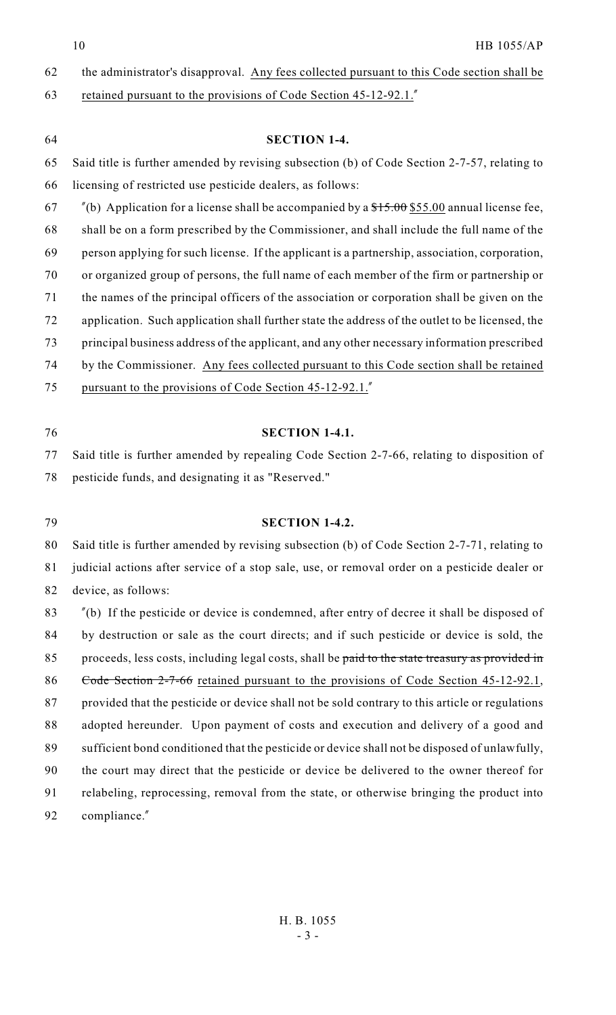62 the administrator's disapproval. Any fees collected pursuant to this Code section shall be

63 retained pursuant to the provisions of Code Section 45-12-92.1."

| 64 | <b>SECTION 1-4.</b>                                                                                           |
|----|---------------------------------------------------------------------------------------------------------------|
| 65 | Said title is further amended by revising subsection (b) of Code Section 2-7-57, relating to                  |
| 66 | licensing of restricted use pesticide dealers, as follows:                                                    |
| 67 | $\degree$ (b) Application for a license shall be accompanied by a $\frac{$15.00}{$55.00}$ annual license fee, |
| 68 | shall be on a form prescribed by the Commissioner, and shall include the full name of the                     |
| 69 | person applying for such license. If the applicant is a partnership, association, corporation,                |
| 70 | or organized group of persons, the full name of each member of the firm or partnership or                     |
| 71 | the names of the principal officers of the association or corporation shall be given on the                   |
| 72 | application. Such application shall further state the address of the outlet to be licensed, the               |
| 73 | principal business address of the applicant, and any other necessary information prescribed                   |
| 74 | by the Commissioner. Any fees collected pursuant to this Code section shall be retained                       |
| 75 | pursuant to the provisions of Code Section 45-12-92.1.                                                        |
|    |                                                                                                               |
| 76 | <b>SECTION 1-4.1.</b>                                                                                         |
| 77 | Said title is further amended by repealing Code Section 2-7-66, relating to disposition of                    |
| 78 | pesticide funds, and designating it as "Reserved."                                                            |
|    |                                                                                                               |
| 79 | <b>SECTION 1-4.2.</b>                                                                                         |
| 80 | Said title is further amended by revising subsection (b) of Code Section 2-7-71, relating to                  |
| 81 | judicial actions after service of a stop sale, use, or removal order on a pesticide dealer or                 |
| 82 | device, as follows:                                                                                           |
| 83 | $\degree$ (b) If the pesticide or device is condemned, after entry of decree it shall be disposed of          |
| 84 | by destruction or sale as the court directs; and if such pesticide or device is sold, the                     |
| 85 | proceeds, less costs, including legal costs, shall be paid to the state treasury as provided in               |
| 86 | Code Section 2-7-66 retained pursuant to the provisions of Code Section 45-12-92.1,                           |
| 87 | provided that the pesticide or device shall not be sold contrary to this article or regulations               |
| 88 | adopted hereunder. Upon payment of costs and execution and delivery of a good and                             |
| 89 | sufficient bond conditioned that the pesticide or device shall not be disposed of unlawfully,                 |
| 90 | the court may direct that the pesticide or device be delivered to the owner thereof for                       |
| 91 | relabeling, reprocessing, removal from the state, or otherwise bringing the product into                      |
| 92 | compliance."                                                                                                  |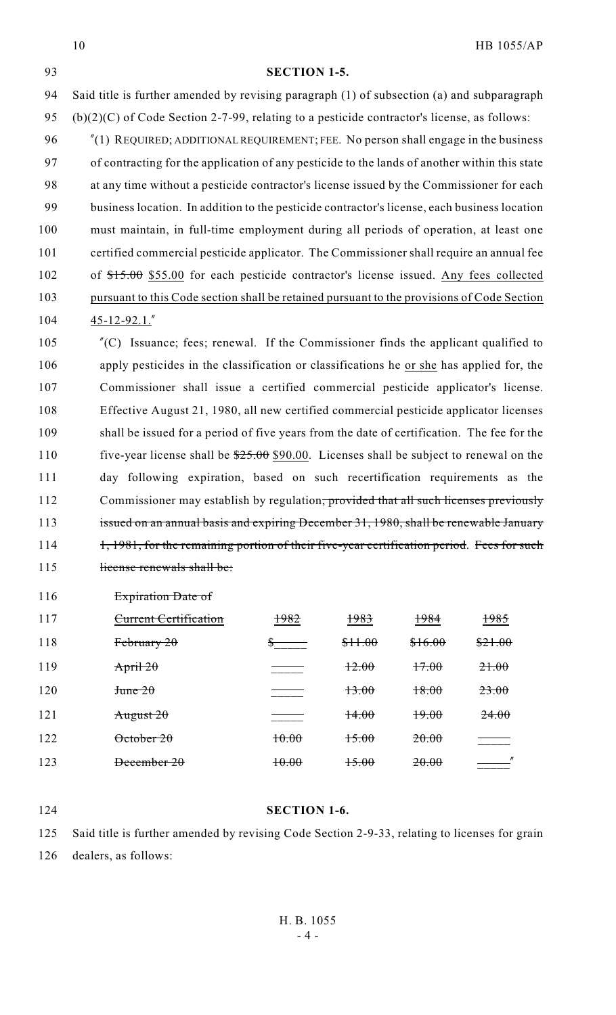**SECTION 1-5.** Said title is further amended by revising paragraph (1) of subsection (a) and subparagraph 95 (b)(2)(C) of Code Section 2-7-99, relating to a pesticide contractor's license, as follows: 96 "(1) REQUIRED; ADDITIONAL REQUIREMENT; FEE. No person shall engage in the business of contracting for the application of any pesticide to the lands of another within this state at any time without a pesticide contractor's license issued by the Commissioner for each business location. In addition to the pesticide contractor's license, each business location must maintain, in full-time employment during all periods of operation, at least one certified commercial pesticide applicator. The Commissioner shall require an annual fee 102 of  $$15.00$  \$55.00 for each pesticide contractor's license issued. Any fees collected pursuant to this Code section shall be retained pursuant to the provisions of Code Section 45-12-92.1."

 "(C) Issuance; fees; renewal. If the Commissioner finds the applicant qualified to apply pesticides in the classification or classifications he or she has applied for, the Commissioner shall issue a certified commercial pesticide applicator's license. Effective August 21, 1980, all new certified commercial pesticide applicator licenses shall be issued for a period of five years from the date of certification. The fee for the 110 five-year license shall be  $\frac{$25.00}{$20.00}$ . Licenses shall be subject to renewal on the day following expiration, based on such recertification requirements as the 112 Commissioner may establish by regulation, provided that all such licenses previously 113 issued on an annual basis and expiring December 31, 1980, shall be renewable January 114 1, 1981, for the remaining portion of their five-year certification period. Fees for such 115 license renewals shall be:

Expiration Date of

| 117 | <b>Current Certification</b> | 1982  | 1983    | 1984    | 1985                                    |
|-----|------------------------------|-------|---------|---------|-----------------------------------------|
| 118 | F <sub>ebruary</sub> 20      |       | \$11.00 | \$16.00 | \$21.00                                 |
| 119 | April 20                     |       | 12.00   | 17.00   | 21.00                                   |
| 120 | $J$ tune $20$                |       | 13.00   | 18.00   | 23.00                                   |
| 121 | August $20$                  |       | 14.00   | 19.00   | 24.00                                   |
| 122 | $\theta$ ctober 20           | 10.00 | 15.00   | 20.00   |                                         |
| 123 | December 20                  | 10.00 | 15.00   | 20.00   | $\mathcal{L}^{\text{max}}_{\text{max}}$ |

# **SECTION 1-6.**

 Said title is further amended by revising Code Section 2-9-33, relating to licenses for grain dealers, as follows: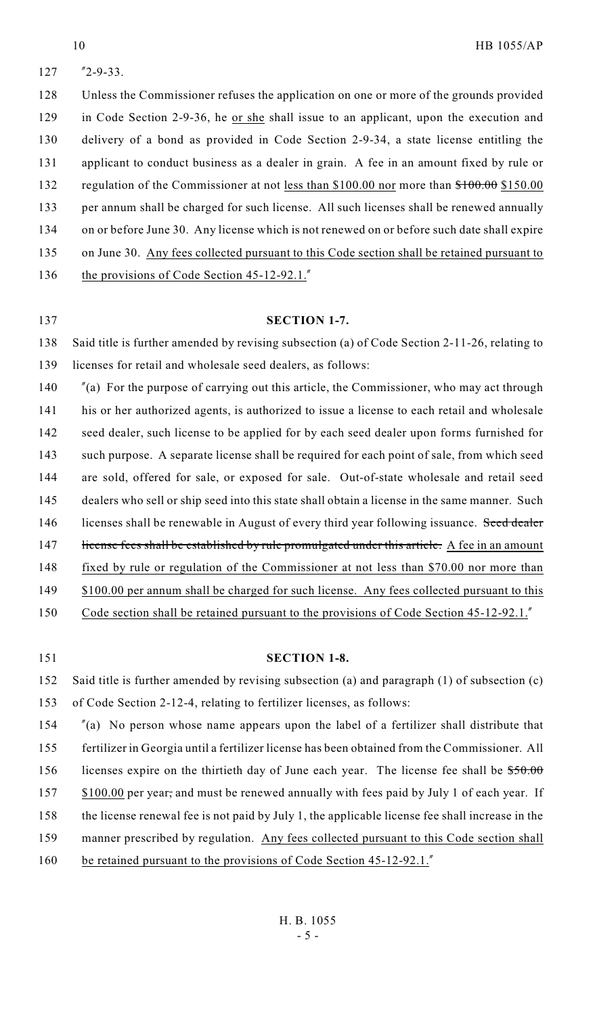"2-9-33.

 Unless the Commissioner refuses the application on one or more of the grounds provided in Code Section 2-9-36, he or she shall issue to an applicant, upon the execution and delivery of a bond as provided in Code Section 2-9-34, a state license entitling the applicant to conduct business as a dealer in grain. A fee in an amount fixed by rule or 132 regulation of the Commissioner at not less than \$100.00 nor more than  $$100.00$  \$150.00 per annum shall be charged for such license. All such licenses shall be renewed annually on or before June 30. Any license which is not renewed on or before such date shall expire 135 on June 30. Any fees collected pursuant to this Code section shall be retained pursuant to 136 the provisions of Code Section 45-12-92.1."

### **SECTION 1-7.**

 Said title is further amended by revising subsection (a) of Code Section 2-11-26, relating to licenses for retail and wholesale seed dealers, as follows:

 "(a) For the purpose of carrying out this article, the Commissioner, who may act through his or her authorized agents, is authorized to issue a license to each retail and wholesale 142 seed dealer, such license to be applied for by each seed dealer upon forms furnished for such purpose. A separate license shall be required for each point of sale, from which seed are sold, offered for sale, or exposed for sale. Out-of-state wholesale and retail seed dealers who sell or ship seed into this state shall obtain a license in the same manner. Such 146 licenses shall be renewable in August of every third year following issuance. Seed dealer 147 license fees shall be established by rule promulgated under this article. A fee in an amount fixed by rule or regulation of the Commissioner at not less than \$70.00 nor more than 149 \$100.00 per annum shall be charged for such license. Any fees collected pursuant to this 150 Code section shall be retained pursuant to the provisions of Code Section 45-12-92.1.

### **SECTION 1-8.**

 Said title is further amended by revising subsection (a) and paragraph (1) of subsection (c) of Code Section 2-12-4, relating to fertilizer licenses, as follows:

 "(a) No person whose name appears upon the label of a fertilizer shall distribute that fertilizer in Georgia until a fertilizer license has been obtained from the Commissioner. All 156 licenses expire on the thirtieth day of June each year. The license fee shall be  $$50.00$ 157 \$100.00 per year, and must be renewed annually with fees paid by July 1 of each year. If the license renewal fee is not paid by July 1, the applicable license fee shall increase in the manner prescribed by regulation. Any fees collected pursuant to this Code section shall 160 be retained pursuant to the provisions of Code Section 45-12-92.1."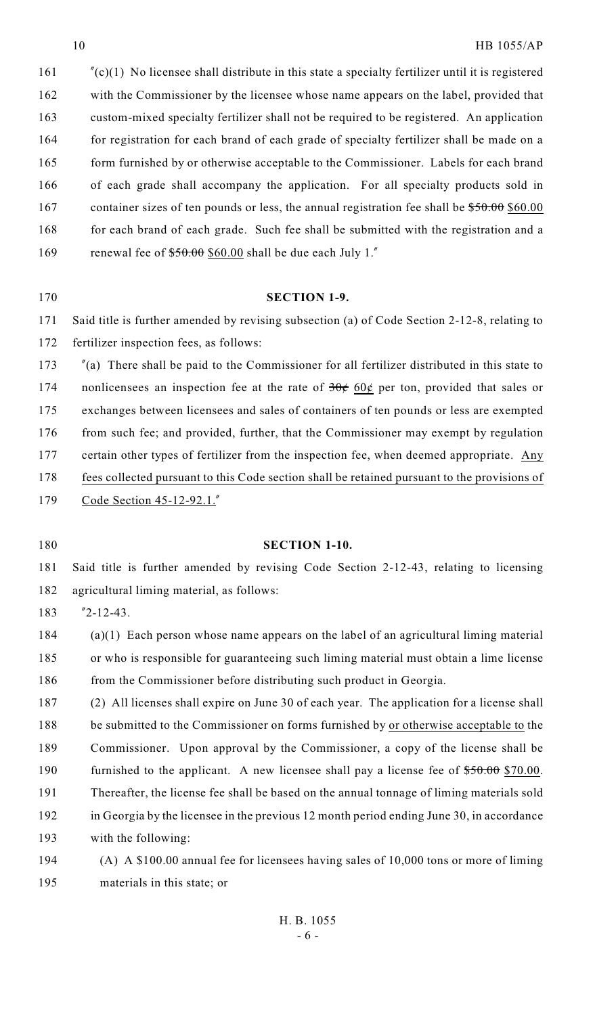"(c)(1) No licensee shall distribute in this state a specialty fertilizer until it is registered with the Commissioner by the licensee whose name appears on the label, provided that custom-mixed specialty fertilizer shall not be required to be registered. An application 164 for registration for each brand of each grade of specialty fertilizer shall be made on a 165 form furnished by or otherwise acceptable to the Commissioner. Labels for each brand of each grade shall accompany the application. For all specialty products sold in 167 container sizes of ten pounds or less, the annual registration fee shall be  $$50.00$  \$60.00 168 for each brand of each grade. Such fee shall be submitted with the registration and a 169 renewal fee of  $$50.00$$  \$60.00 shall be due each July 1."

#### **SECTION 1-9.**

 Said title is further amended by revising subsection (a) of Code Section 2-12-8, relating to fertilizer inspection fees, as follows:

 "(a) There shall be paid to the Commissioner for all fertilizer distributed in this state to 174 nonlicensees an inspection fee at the rate of  $30¢$  60¢ per ton, provided that sales or exchanges between licensees and sales of containers of ten pounds or less are exempted 176 from such fee; and provided, further, that the Commissioner may exempt by regulation 177 certain other types of fertilizer from the inspection fee, when deemed appropriate. Any fees collected pursuant to this Code section shall be retained pursuant to the provisions of Code Section 45-12-92.1."

### **SECTION 1-10.**

 Said title is further amended by revising Code Section 2-12-43, relating to licensing agricultural liming material, as follows:

"2-12-43.

 (a)(1) Each person whose name appears on the label of an agricultural liming material or who is responsible for guaranteeing such liming material must obtain a lime license 186 from the Commissioner before distributing such product in Georgia.

 (2) All licenses shall expire on June 30 of each year. The application for a license shall be submitted to the Commissioner on forms furnished by or otherwise acceptable to the Commissioner. Upon approval by the Commissioner, a copy of the license shall be 190 furnished to the applicant. A new licensee shall pay a license fee of  $$50.00$  \$70.00. Thereafter, the license fee shall be based on the annual tonnage of liming materials sold in Georgia by the licensee in the previous 12 month period ending June 30, in accordance with the following:

 (A) A \$100.00 annual fee for licensees having sales of 10,000 tons or more of liming materials in this state; or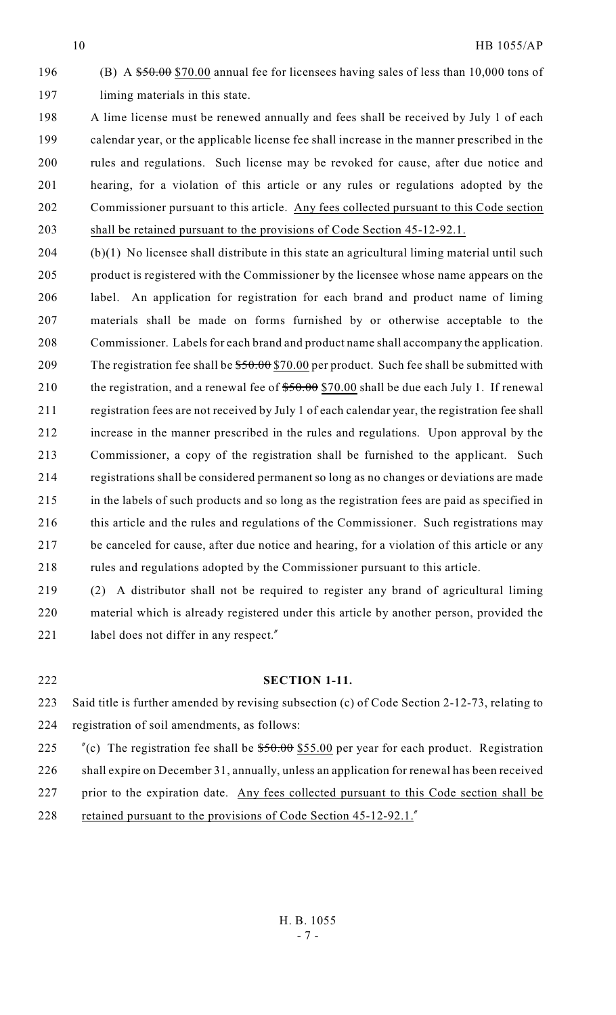196 (B) A  $$50.00$  \$70.00 annual fee for licensees having sales of less than 10,000 tons of liming materials in this state.

 A lime license must be renewed annually and fees shall be received by July 1 of each calendar year, or the applicable license fee shall increase in the manner prescribed in the rules and regulations. Such license may be revoked for cause, after due notice and hearing, for a violation of this article or any rules or regulations adopted by the Commissioner pursuant to this article. Any fees collected pursuant to this Code section shall be retained pursuant to the provisions of Code Section 45-12-92.1.

 (b)(1) No licensee shall distribute in this state an agricultural liming material until such product is registered with the Commissioner by the licensee whose name appears on the label. An application for registration for each brand and product name of liming materials shall be made on forms furnished by or otherwise acceptable to the Commissioner. Labels for each brand and product name shall accompany the application. 209 The registration fee shall be  $$50.00$  \$70.00 per product. Such fee shall be submitted with 210 the registration, and a renewal fee of  $$50.00$$  \$70.00 shall be due each July 1. If renewal registration fees are not received by July 1 of each calendar year, the registration fee shall increase in the manner prescribed in the rules and regulations. Upon approval by the Commissioner, a copy of the registration shall be furnished to the applicant. Such registrations shall be considered permanent so long as no changes or deviations are made in the labels of such products and so long as the registration fees are paid as specified in 216 this article and the rules and regulations of the Commissioner. Such registrations may be canceled for cause, after due notice and hearing, for a violation of this article or any rules and regulations adopted by the Commissioner pursuant to this article.

 (2) A distributor shall not be required to register any brand of agricultural liming material which is already registered under this article by another person, provided the 221 label does not differ in any respect."

### **SECTION 1-11.**

 Said title is further amended by revising subsection (c) of Code Section 2-12-73, relating to registration of soil amendments, as follows:

 $\degree$  "(c) The registration fee shall be  $$50.00$   $$55.00$  per year for each product. Registration shall expire on December 31, annually, unless an application for renewal has been received prior to the expiration date. Any fees collected pursuant to this Code section shall be 228 retained pursuant to the provisions of Code Section 45-12-92.1.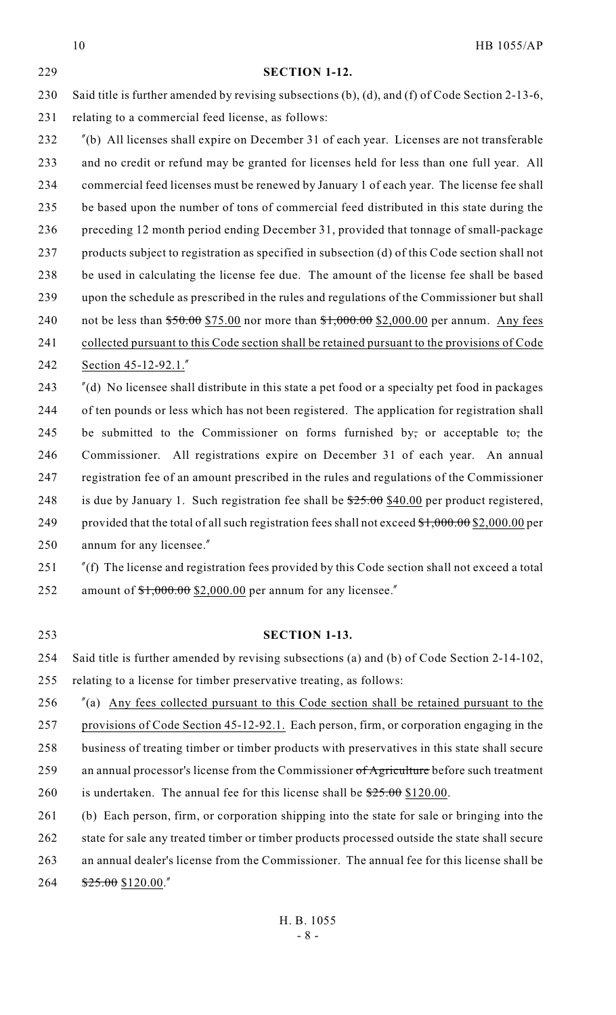HB 1055/AP H. B. 1055 **SECTION 1-12.** Said title is further amended by revising subsections (b), (d), and (f) of Code Section 2-13-6, relating to a commercial feed license, as follows: "(b) All licenses shall expire on December 31 of each year. Licenses are not transferable and no credit or refund may be granted for licenses held for less than one full year. All commercial feed licenses must be renewed by January 1 of each year. The license fee shall be based upon the number of tons of commercial feed distributed in this state during the preceding 12 month period ending December 31, provided that tonnage of small-package products subject to registration as specified in subsection (d) of this Code section shall not be used in calculating the license fee due. The amount of the license fee shall be based upon the schedule as prescribed in the rules and regulations of the Commissioner but shall 240 not be less than  $$50.00$  \$75.00 nor more than  $$1,000.00$  \$2,000.00 per annum. Any fees 241 collected pursuant to this Code section shall be retained pursuant to the provisions of Code Section 45-12-92.1." "(d) No licensee shall distribute in this state a pet food or a specialty pet food in packages of ten pounds or less which has not been registered. The application for registration shall 245 be submitted to the Commissioner on forms furnished by, or acceptable to, the Commissioner. All registrations expire on December 31 of each year. An annual registration fee of an amount prescribed in the rules and regulations of the Commissioner 248 is due by January 1. Such registration fee shall be  $25.00$  \$40.00 per product registered, 249 provided that the total of all such registration fees shall not exceed  $\frac{$1,000.00}{$2,000.00}$  per annum for any licensee." "(f) The license and registration fees provided by this Code section shall not exceed a total 252 amount of  $\frac{$1,000.00}{$2,000.00}$  per annum for any licensee." **SECTION 1-13.** Said title is further amended by revising subsections (a) and (b) of Code Section 2-14-102, relating to a license for timber preservative treating, as follows: "(a) Any fees collected pursuant to this Code section shall be retained pursuant to the provisions of Code Section 45-12-92.1. Each person, firm, or corporation engaging in the business of treating timber or timber products with preservatives in this state shall secure 259 an annual processor's license from the Commissioner of Agriculture before such treatment 260 is undertaken. The annual fee for this license shall be  $\frac{$25.00}{$25.00}$  \$120.00. (b) Each person, firm, or corporation shipping into the state for sale or bringing into the 262 state for sale any treated timber or timber products processed outside the state shall secure an annual dealer's license from the Commissioner. The annual fee for this license shall be \$25.00 \$120.00."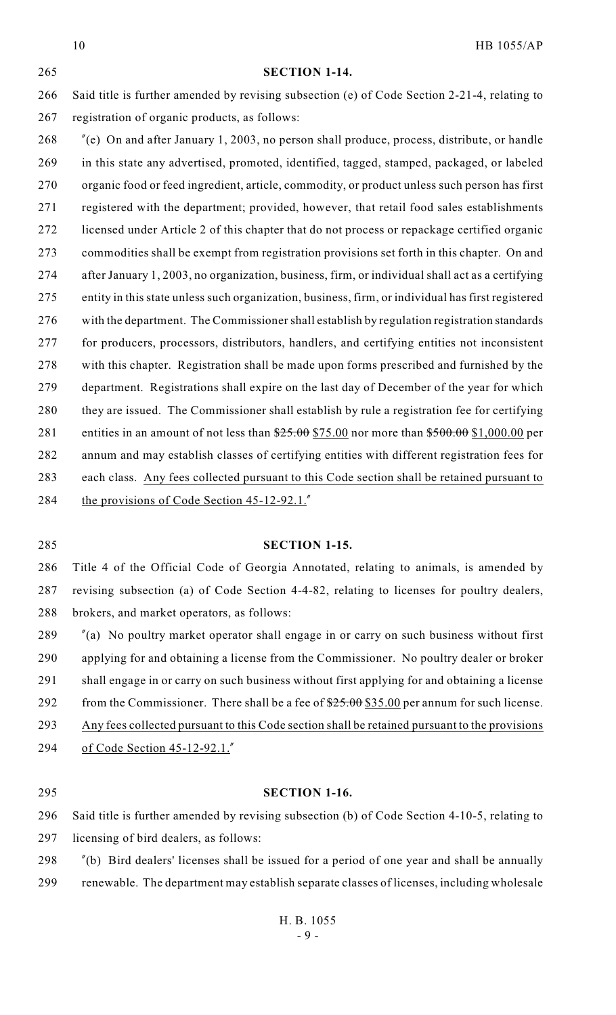#### **SECTION 1-14.**

 Said title is further amended by revising subsection (e) of Code Section 2-21-4, relating to registration of organic products, as follows:

 "(e) On and after January 1, 2003, no person shall produce, process, distribute, or handle in this state any advertised, promoted, identified, tagged, stamped, packaged, or labeled organic food or feed ingredient, article, commodity, or product unless such person has first registered with the department; provided, however, that retail food sales establishments licensed under Article 2 of this chapter that do not process or repackage certified organic commodities shall be exempt from registration provisions set forth in this chapter. On and after January 1, 2003, no organization, business, firm, or individual shall act as a certifying entity in this state unless such organization, business, firm, or individual has first registered with the department. The Commissioner shall establish by regulation registration standards for producers, processors, distributors, handlers, and certifying entities not inconsistent with this chapter. Registration shall be made upon forms prescribed and furnished by the department. Registrations shall expire on the last day of December of the year for which they are issued. The Commissioner shall establish by rule a registration fee for certifying 281 entities in an amount of not less than  $25.00 \times 75.00$  nor more than  $500.00 \times 1,000.00$  per annum and may establish classes of certifying entities with different registration fees for each class. Any fees collected pursuant to this Code section shall be retained pursuant to 284 the provisions of Code Section 45-12-92.1."

#### **SECTION 1-15.**

 Title 4 of the Official Code of Georgia Annotated, relating to animals, is amended by revising subsection (a) of Code Section 4-4-82, relating to licenses for poultry dealers, brokers, and market operators, as follows:

 "(a) No poultry market operator shall engage in or carry on such business without first applying for and obtaining a license from the Commissioner. No poultry dealer or broker shall engage in or carry on such business without first applying for and obtaining a license 292 from the Commissioner. There shall be a fee of  $$25.00$   $$35.00$  per annum for such license. Any fees collected pursuant to this Code section shall be retained pursuant to the provisions of Code Section 45-12-92.1."

#### **SECTION 1-16.**

 Said title is further amended by revising subsection (b) of Code Section 4-10-5, relating to licensing of bird dealers, as follows:

"(b) Bird dealers' licenses shall be issued for a period of one year and shall be annually

renewable. The department may establish separate classes of licenses, including wholesale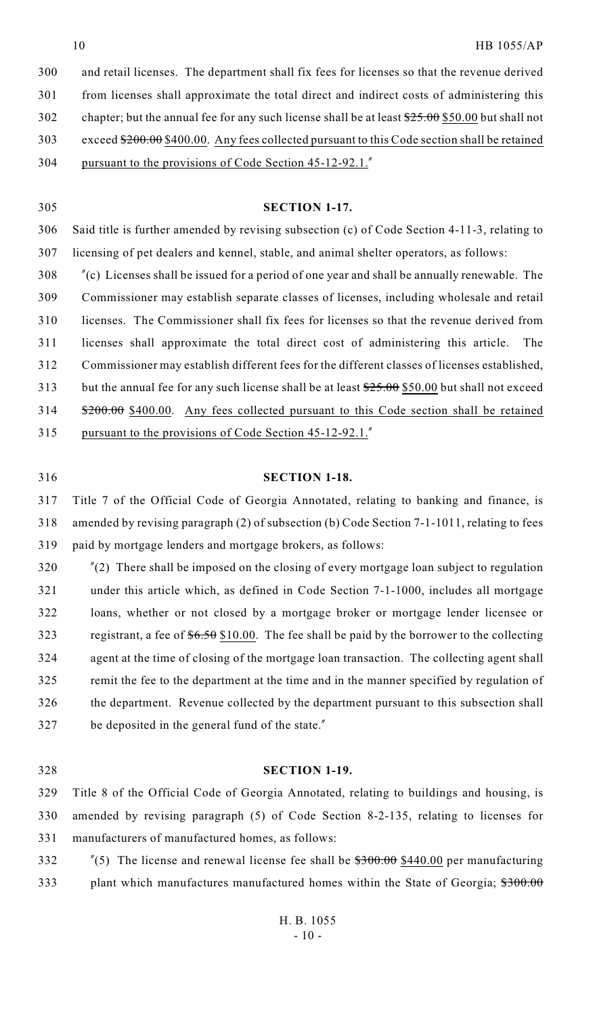and retail licenses. The department shall fix fees for licenses so that the revenue derived from licenses shall approximate the total direct and indirect costs of administering this 302 chapter; but the annual fee for any such license shall be at least  $\frac{$25.00}{$50.00}$  but shall not 303 exceed  $$200.00 $400.00$ . Any fees collected pursuant to this Code section shall be retained pursuant to the provisions of Code Section 45-12-92.1."

 **SECTION 1-17.** Said title is further amended by revising subsection (c) of Code Section 4-11-3, relating to licensing of pet dealers and kennel, stable, and animal shelter operators, as follows: "(c) Licenses shall be issued for a period of one year and shall be annually renewable. The Commissioner may establish separate classes of licenses, including wholesale and retail licenses. The Commissioner shall fix fees for licenses so that the revenue derived from licenses shall approximate the total direct cost of administering this article. The Commissioner may establish different fees for the different classes of licenses established, 313 but the annual fee for any such license shall be at least  $\frac{$25.00}{$50.00}$  but shall not exceed 314 \$200.00 \$400.00. Any fees collected pursuant to this Code section shall be retained

pursuant to the provisions of Code Section 45-12-92.1."

### **SECTION 1-18.**

 Title 7 of the Official Code of Georgia Annotated, relating to banking and finance, is amended by revising paragraph (2) of subsection (b) Code Section 7-1-1011, relating to fees paid by mortgage lenders and mortgage brokers, as follows:

 "(2) There shall be imposed on the closing of every mortgage loan subject to regulation under this article which, as defined in Code Section 7-1-1000, includes all mortgage loans, whether or not closed by a mortgage broker or mortgage lender licensee or 323 registrant, a fee of  $6.50$  \$10.00. The fee shall be paid by the borrower to the collecting agent at the time of closing of the mortgage loan transaction. The collecting agent shall remit the fee to the department at the time and in the manner specified by regulation of the department. Revenue collected by the department pursuant to this subsection shall be deposited in the general fund of the state."

### **SECTION 1-19.**

 Title 8 of the Official Code of Georgia Annotated, relating to buildings and housing, is amended by revising paragraph (5) of Code Section 8-2-135, relating to licenses for manufacturers of manufactured homes, as follows:

332  $\frac{\pi}{5}$  The license and renewal license fee shall be \$300.00 \$440.00 per manufacturing 333 plant which manufactures manufactured homes within the State of Georgia;  $\frac{$300.00}{1000}$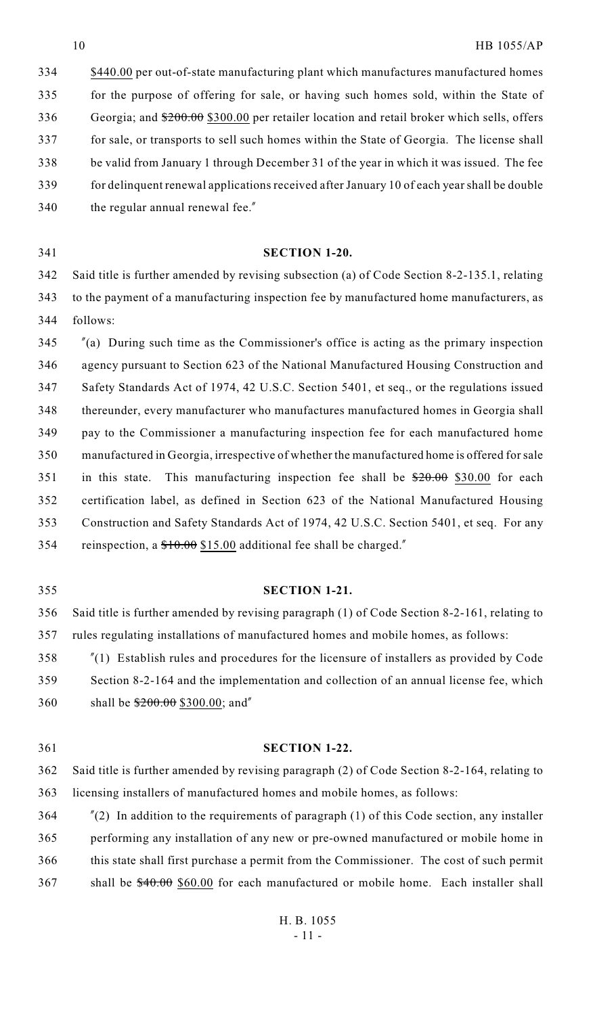\$440.00 per out-of-state manufacturing plant which manufactures manufactured homes for the purpose of offering for sale, or having such homes sold, within the State of 336 Georgia; and  $\frac{$200.00}{$200.00}$  \$300.00 per retailer location and retail broker which sells, offers for sale, or transports to sell such homes within the State of Georgia. The license shall be valid from January 1 through December 31 of the year in which it was issued. The fee for delinquent renewal applications received after January 10 of each year shall be double 340 the regular annual renewal fee."

# **SECTION 1-20.**

 Said title is further amended by revising subsection (a) of Code Section 8-2-135.1, relating to the payment of a manufacturing inspection fee by manufactured home manufacturers, as follows:

 "(a) During such time as the Commissioner's office is acting as the primary inspection agency pursuant to Section 623 of the National Manufactured Housing Construction and Safety Standards Act of 1974, 42 U.S.C. Section 5401, et seq., or the regulations issued thereunder, every manufacturer who manufactures manufactured homes in Georgia shall pay to the Commissioner a manufacturing inspection fee for each manufactured home manufactured in Georgia, irrespective of whether the manufactured home is offered for sale 351 in this state. This manufacturing inspection fee shall be  $\frac{$20.00}{$20.00}$  \$30.00 for each certification label, as defined in Section 623 of the National Manufactured Housing Construction and Safety Standards Act of 1974, 42 U.S.C. Section 5401, et seq. For any reinspection, a \$10.00 \$15.00 additional fee shall be charged."

#### **SECTION 1-21.**

 Said title is further amended by revising paragraph (1) of Code Section 8-2-161, relating to rules regulating installations of manufactured homes and mobile homes, as follows:

 "(1) Establish rules and procedures for the licensure of installers as provided by Code Section 8-2-164 and the implementation and collection of an annual license fee, which 360 shall be  $$200.00$  \$300.00; and"

#### **SECTION 1-22.**

 Said title is further amended by revising paragraph (2) of Code Section 8-2-164, relating to licensing installers of manufactured homes and mobile homes, as follows:

 "(2) In addition to the requirements of paragraph (1) of this Code section, any installer performing any installation of any new or pre-owned manufactured or mobile home in this state shall first purchase a permit from the Commissioner. The cost of such permit 367 shall be  $$40.00$  \$60.00 for each manufactured or mobile home. Each installer shall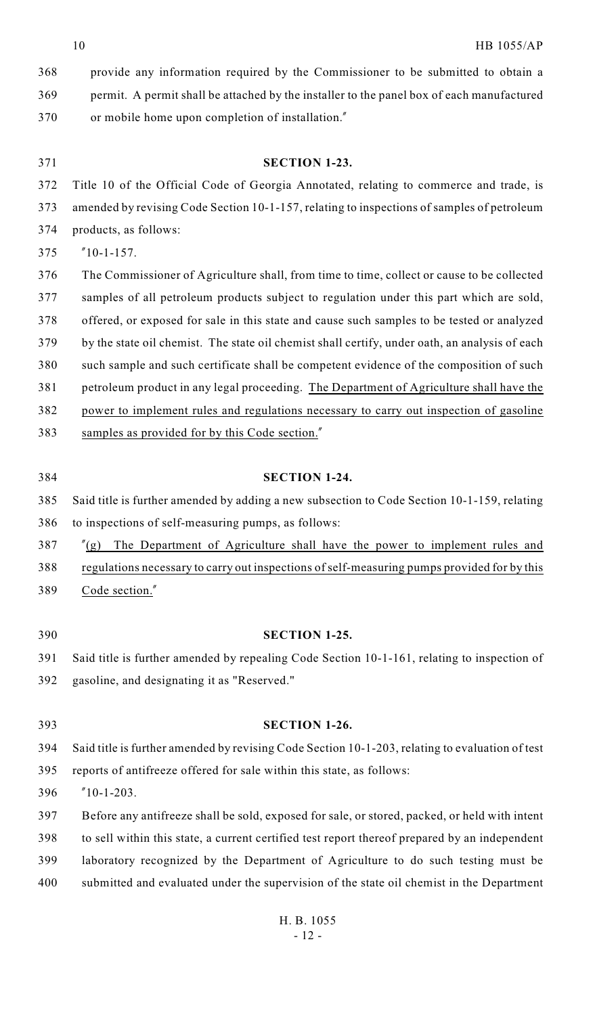| 368 | provide any information required by the Commissioner to be submitted to obtain a                |
|-----|-------------------------------------------------------------------------------------------------|
| 369 | permit. A permit shall be attached by the installer to the panel box of each manufactured       |
| 370 | or mobile home upon completion of installation."                                                |
|     |                                                                                                 |
| 371 | <b>SECTION 1-23.</b>                                                                            |
| 372 | Title 10 of the Official Code of Georgia Annotated, relating to commerce and trade, is          |
| 373 | amended by revising Code Section 10-1-157, relating to inspections of samples of petroleum      |
| 374 | products, as follows:                                                                           |
| 375 | $"10-1-157.$                                                                                    |
| 376 | The Commissioner of Agriculture shall, from time to time, collect or cause to be collected      |
| 377 | samples of all petroleum products subject to regulation under this part which are sold,         |
| 378 | offered, or exposed for sale in this state and cause such samples to be tested or analyzed      |
| 379 | by the state oil chemist. The state oil chemist shall certify, under oath, an analysis of each  |
| 380 | such sample and such certificate shall be competent evidence of the composition of such         |
| 381 | petroleum product in any legal proceeding. The Department of Agriculture shall have the         |
| 382 | power to implement rules and regulations necessary to carry out inspection of gasoline          |
| 383 | samples as provided for by this Code section."                                                  |
|     |                                                                                                 |
| 384 | <b>SECTION 1-24.</b>                                                                            |
| 385 | Said title is further amended by adding a new subsection to Code Section 10-1-159, relating     |
| 386 | to inspections of self-measuring pumps, as follows:                                             |
| 387 | The Department of Agriculture shall have the power to implement rules and<br>''(g)              |
| 388 | regulations necessary to carry out inspections of self-measuring pumps provided for by this     |
| 389 | Code section."                                                                                  |
|     |                                                                                                 |
| 390 | <b>SECTION 1-25.</b>                                                                            |
| 391 | Said title is further amended by repealing Code Section 10-1-161, relating to inspection of     |
| 392 | gasoline, and designating it as "Reserved."                                                     |
|     |                                                                                                 |
| 393 | <b>SECTION 1-26.</b>                                                                            |
| 394 | Said title is further amended by revising Code Section 10-1-203, relating to evaluation of test |
| 395 | reports of antifreeze offered for sale within this state, as follows:                           |
| 396 | $"10-1-203.$                                                                                    |
| 397 | Before any antifreeze shall be sold, exposed for sale, or stored, packed, or held with intent   |
| 398 | to sell within this state, a current certified test report thereof prepared by an independent   |
| 399 | laboratory recognized by the Department of Agriculture to do such testing must be               |
| 400 | submitted and evaluated under the supervision of the state oil chemist in the Department        |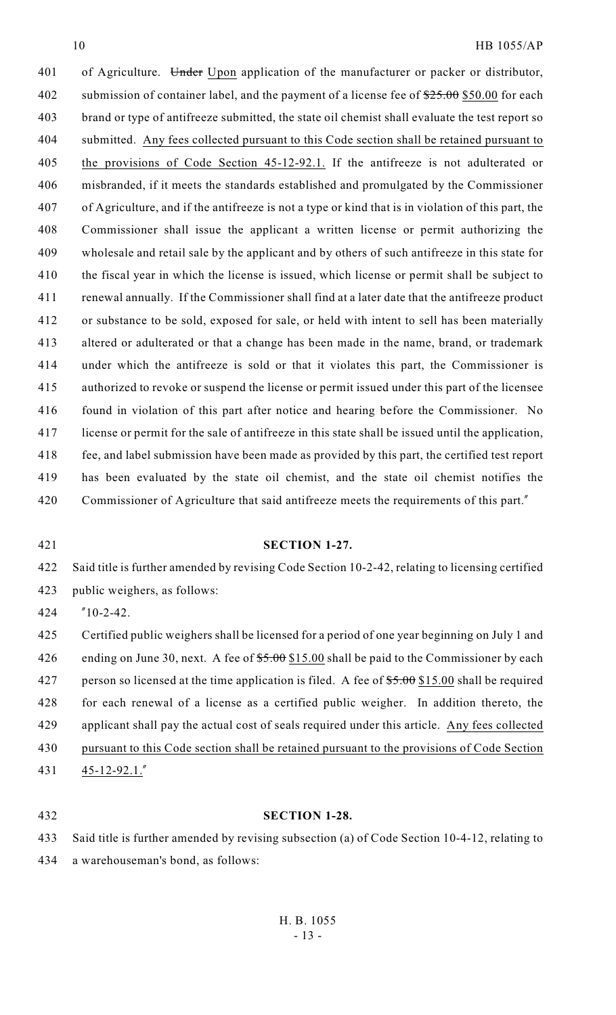# HB 1055/AP

401 of Agriculture. Under Upon application of the manufacturer or packer or distributor, 402 submission of container label, and the payment of a license fee of  $\frac{$25,00}{$25,00}{$50,00}$  for each brand or type of antifreeze submitted, the state oil chemist shall evaluate the test report so submitted. Any fees collected pursuant to this Code section shall be retained pursuant to the provisions of Code Section 45-12-92.1. If the antifreeze is not adulterated or misbranded, if it meets the standards established and promulgated by the Commissioner of Agriculture, and if the antifreeze is not a type or kind that is in violation of this part, the Commissioner shall issue the applicant a written license or permit authorizing the wholesale and retail sale by the applicant and by others of such antifreeze in this state for the fiscal year in which the license is issued, which license or permit shall be subject to renewal annually. If the Commissioner shall find at a later date that the antifreeze product or substance to be sold, exposed for sale, or held with intent to sell has been materially altered or adulterated or that a change has been made in the name, brand, or trademark under which the antifreeze is sold or that it violates this part, the Commissioner is authorized to revoke or suspend the license or permit issued under this part of the licensee found in violation of this part after notice and hearing before the Commissioner. No license or permit for the sale of antifreeze in this state shall be issued until the application, fee, and label submission have been made as provided by this part, the certified test report has been evaluated by the state oil chemist, and the state oil chemist notifies the Commissioner of Agriculture that said antifreeze meets the requirements of this part."

### **SECTION 1-27.**

 Said title is further amended by revising Code Section 10-2-42, relating to licensing certified public weighers, as follows:

"10-2-42.

 Certified public weighers shall be licensed for a period of one year beginning on July 1 and 426 ending on June 30, next. A fee of  $$5.00$  \$15.00 shall be paid to the Commissioner by each 427 person so licensed at the time application is filed. A fee of  $$5.00$  \$15.00 shall be required for each renewal of a license as a certified public weigher. In addition thereto, the applicant shall pay the actual cost of seals required under this article. Any fees collected pursuant to this Code section shall be retained pursuant to the provisions of Code Section 45-12-92.1."

### **SECTION 1-28.**

 Said title is further amended by revising subsection (a) of Code Section 10-4-12, relating to a warehouseman's bond, as follows: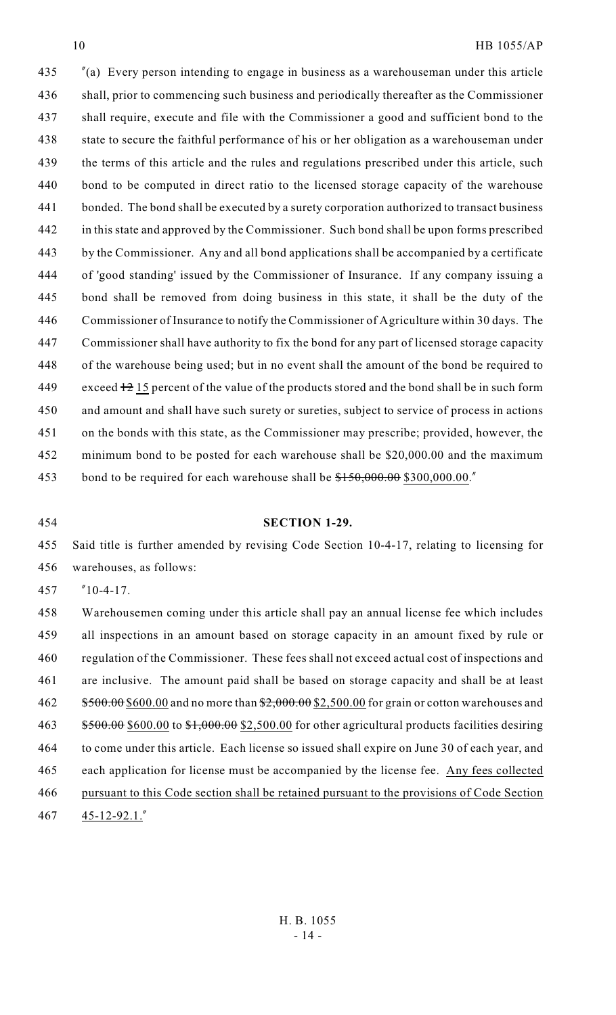## HB 1055/AP

 "(a) Every person intending to engage in business as a warehouseman under this article shall, prior to commencing such business and periodically thereafter as the Commissioner shall require, execute and file with the Commissioner a good and sufficient bond to the state to secure the faithful performance of his or her obligation as a warehouseman under the terms of this article and the rules and regulations prescribed under this article, such bond to be computed in direct ratio to the licensed storage capacity of the warehouse bonded. The bond shall be executed by a surety corporation authorized to transact business in this state and approved by the Commissioner. Such bond shall be upon forms prescribed by the Commissioner. Any and all bond applications shall be accompanied by a certificate of 'good standing' issued by the Commissioner of Insurance. If any company issuing a bond shall be removed from doing business in this state, it shall be the duty of the Commissioner of Insurance to notify the Commissioner of Agriculture within 30 days. The Commissioner shall have authority to fix the bond for any part of licensed storage capacity of the warehouse being used; but in no event shall the amount of the bond be required to 449 exceed  $\frac{12}{15}$  percent of the value of the products stored and the bond shall be in such form and amount and shall have such surety or sureties, subject to service of process in actions on the bonds with this state, as the Commissioner may prescribe; provided, however, the minimum bond to be posted for each warehouse shall be \$20,000.00 and the maximum 453 bond to be required for each warehouse shall be  $150,000.00$  \$300,000.00.

#### **SECTION 1-29.**

 Said title is further amended by revising Code Section 10-4-17, relating to licensing for warehouses, as follows:

"10-4-17.

 Warehousemen coming under this article shall pay an annual license fee which includes all inspections in an amount based on storage capacity in an amount fixed by rule or regulation of the Commissioner. These fees shall not exceed actual cost of inspections and are inclusive. The amount paid shall be based on storage capacity and shall be at least 462 \$500.00 \$600.00 and no more than \$2,000.00 \$2,500.00 for grain or cotton warehouses and  $$500.00$$  \$600.00 to \$1,000.00 \$2,500.00 for other agricultural products facilities desiring to come under this article. Each license so issued shall expire on June 30 of each year, and each application for license must be accompanied by the license fee. Any fees collected pursuant to this Code section shall be retained pursuant to the provisions of Code Section 45-12-92.1."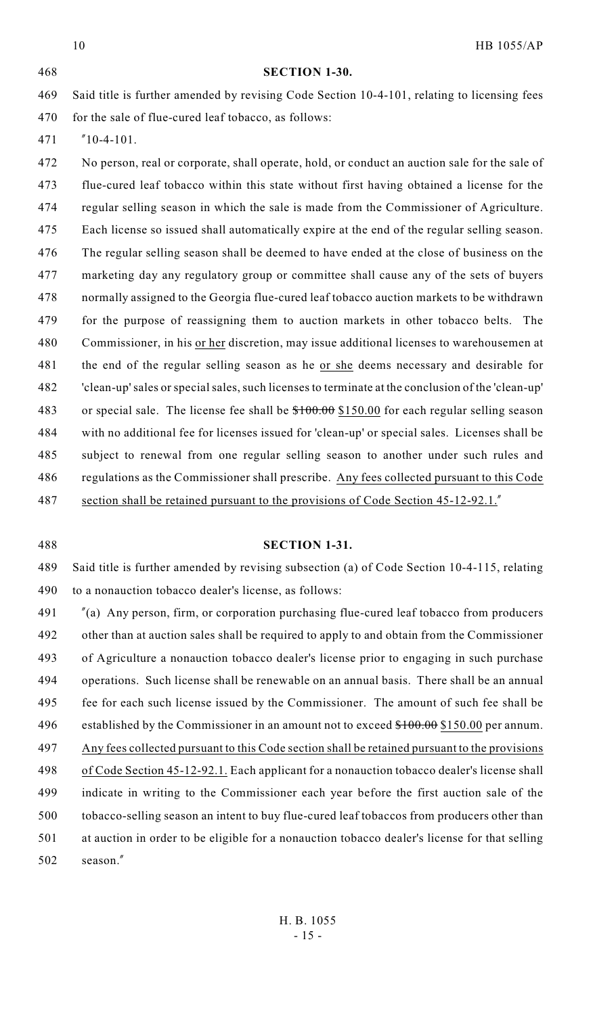HB 1055/AP **SECTION 1-30.** Said title is further amended by revising Code Section 10-4-101, relating to licensing fees 470 for the sale of flue-cured leaf tobacco, as follows: "10-4-101. No person, real or corporate, shall operate, hold, or conduct an auction sale for the sale of flue-cured leaf tobacco within this state without first having obtained a license for the regular selling season in which the sale is made from the Commissioner of Agriculture. Each license so issued shall automatically expire at the end of the regular selling season. The regular selling season shall be deemed to have ended at the close of business on the marketing day any regulatory group or committee shall cause any of the sets of buyers normally assigned to the Georgia flue-cured leaf tobacco auction markets to be withdrawn for the purpose of reassigning them to auction markets in other tobacco belts. The 480 Commissioner, in his or her discretion, may issue additional licenses to warehousemen at the end of the regular selling season as he or she deems necessary and desirable for 'clean-up' sales or special sales, such licenses to terminate at the conclusion of the 'clean-up' 483 or special sale. The license fee shall be  $$100.00$  \$150.00 for each regular selling season with no additional fee for licenses issued for 'clean-up' or special sales. Licenses shall be subject to renewal from one regular selling season to another under such rules and regulations as the Commissioner shall prescribe. Any fees collected pursuant to this Code section shall be retained pursuant to the provisions of Code Section 45-12-92.1."

### **SECTION 1-31.**

 Said title is further amended by revising subsection (a) of Code Section 10-4-115, relating to a nonauction tobacco dealer's license, as follows:

 "(a) Any person, firm, or corporation purchasing flue-cured leaf tobacco from producers other than at auction sales shall be required to apply to and obtain from the Commissioner of Agriculture a nonauction tobacco dealer's license prior to engaging in such purchase operations. Such license shall be renewable on an annual basis. There shall be an annual fee for each such license issued by the Commissioner. The amount of such fee shall be 496 established by the Commissioner in an amount not to exceed \$100.00 \$150.00 per annum. Any fees collected pursuant to this Code section shall be retained pursuant to the provisions of Code Section 45-12-92.1. Each applicant for a nonauction tobacco dealer's license shall indicate in writing to the Commissioner each year before the first auction sale of the tobacco-selling season an intent to buy flue-cured leaf tobaccos from producers other than at auction in order to be eligible for a nonauction tobacco dealer's license for that selling season."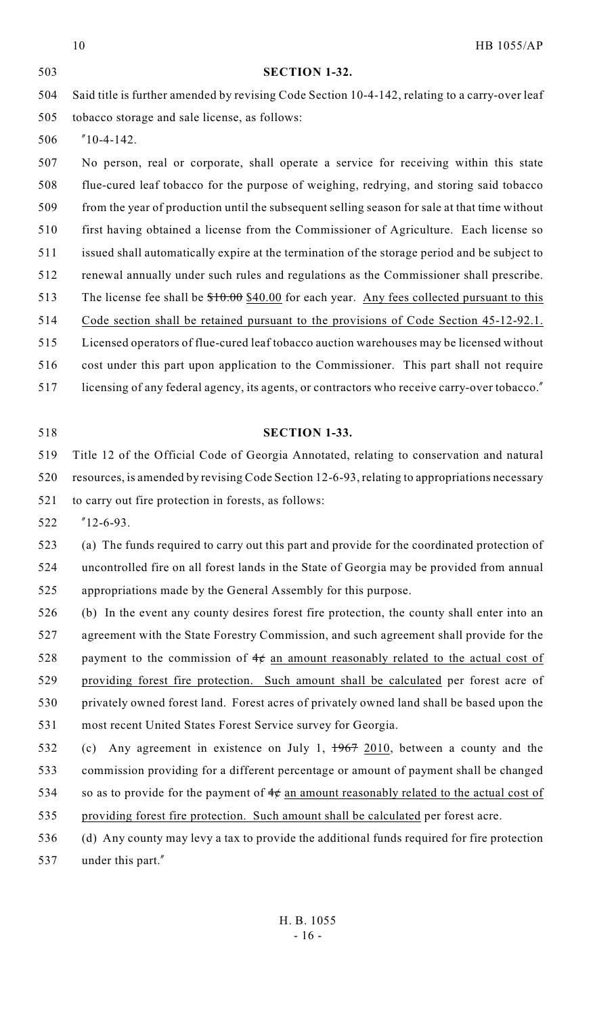|     | 10<br>HB 1055/AP                                                                               |
|-----|------------------------------------------------------------------------------------------------|
| 503 | <b>SECTION 1-32.</b>                                                                           |
| 504 | Said title is further amended by revising Code Section 10-4-142, relating to a carry-over leaf |
| 505 | tobacco storage and sale license, as follows:                                                  |
| 506 | $"10-4-142.$                                                                                   |
| 507 | No person, real or corporate, shall operate a service for receiving within this state          |
| 508 | flue-cured leaf tobacco for the purpose of weighing, redrying, and storing said tobacco        |
| 509 | from the year of production until the subsequent selling season for sale at that time without  |
| 510 | first having obtained a license from the Commissioner of Agriculture. Each license so          |
| 511 | issued shall automatically expire at the termination of the storage period and be subject to   |
| 512 | renewal annually under such rules and regulations as the Commissioner shall prescribe.         |
| 513 | The license fee shall be $$10.00$ $$40.00$ for each year. Any fees collected pursuant to this  |
| 514 | Code section shall be retained pursuant to the provisions of Code Section 45-12-92.1.          |
| 515 | Licensed operators of flue-cured leaf tobacco auction warehouses may be licensed without       |
| 516 | cost under this part upon application to the Commissioner. This part shall not require         |
| 517 | licensing of any federal agency, its agents, or contractors who receive carry-over tobacco."   |
|     |                                                                                                |
| 518 | <b>SECTION 1-33.</b>                                                                           |
| 519 | Title 12 of the Official Code of Georgia Annotated, relating to conservation and natural       |
| 520 | resources, is amended by revising Code Section 12-6-93, relating to appropriations necessary   |
| 521 | to carry out fire protection in forests, as follows:                                           |
| 522 | $"12-6-93.$                                                                                    |
| 523 | (a) The funds required to carry out this part and provide for the coordinated protection of    |
| 524 | uncontrolled fire on all forest lands in the State of Georgia may be provided from annual      |
| 525 | appropriations made by the General Assembly for this purpose.                                  |
| 526 | (b) In the event any county desires forest fire protection, the county shall enter into an     |
| 527 | agreement with the State Forestry Commission, and such agreement shall provide for the         |
| 528 | payment to the commission of $4\phi$ an amount reasonably related to the actual cost of        |
| 529 | providing forest fire protection. Such amount shall be calculated per forest acre of           |
| 530 | privately owned forest land. Forest acres of privately owned land shall be based upon the      |
| 531 | most recent United States Forest Service survey for Georgia.                                   |
| 532 | Any agreement in existence on July 1, $1967$ 2010, between a county and the<br>(c)             |
| 533 | commission providing for a different percentage or amount of payment shall be changed          |
| 534 | so as to provide for the payment of $4¢$ an amount reasonably related to the actual cost of    |
| 535 | providing forest fire protection. Such amount shall be calculated per forest acre.             |
| 536 | (d) Any county may levy a tax to provide the additional funds required for fire protection     |
| 537 | under this part."                                                                              |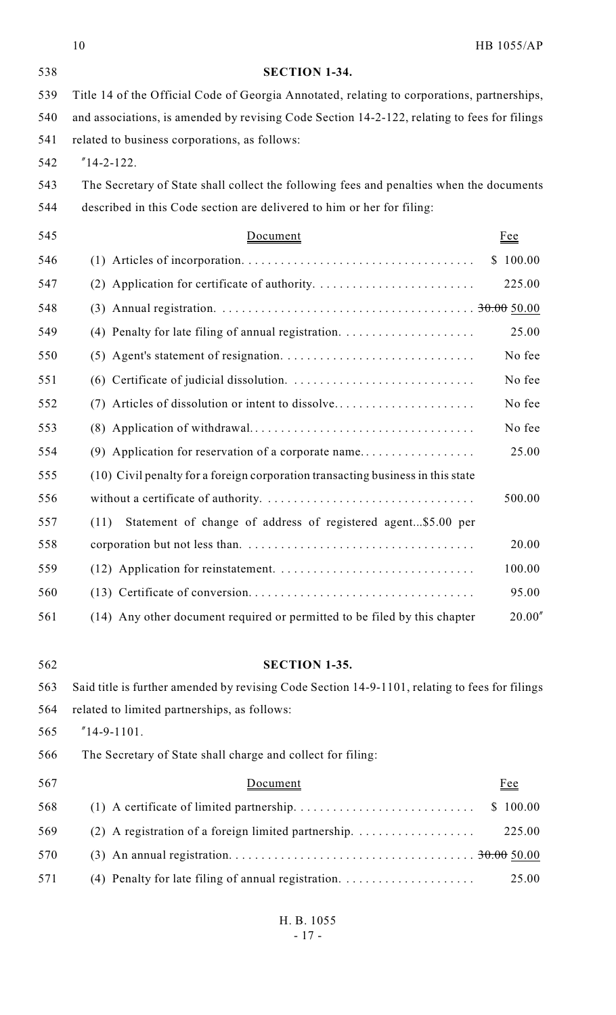|     | 10                                                                                              | <b>HB 1055/AP</b> |
|-----|-------------------------------------------------------------------------------------------------|-------------------|
| 538 | <b>SECTION 1-34.</b>                                                                            |                   |
| 539 | Title 14 of the Official Code of Georgia Annotated, relating to corporations, partnerships,     |                   |
| 540 | and associations, is amended by revising Code Section 14-2-122, relating to fees for filings    |                   |
| 541 | related to business corporations, as follows:                                                   |                   |
| 542 | $"14-2-122.$                                                                                    |                   |
| 543 | The Secretary of State shall collect the following fees and penalties when the documents        |                   |
| 544 | described in this Code section are delivered to him or her for filing:                          |                   |
| 545 | Document                                                                                        | <b>Fee</b>        |
| 546 |                                                                                                 | \$100.00          |
| 547 | (2) Application for certificate of authority. $\dots \dots \dots \dots \dots \dots \dots \dots$ | 225.00            |
| 548 |                                                                                                 |                   |
| 549 | (4) Penalty for late filing of annual registration. $\ldots$                                    | 25.00             |
| 550 |                                                                                                 | No fee            |
| 551 |                                                                                                 | No fee            |
| 552 |                                                                                                 | No fee            |
| 553 |                                                                                                 | No fee            |
| 554 |                                                                                                 | 25.00             |
| 555 | (10) Civil penalty for a foreign corporation transacting business in this state                 |                   |
| 556 |                                                                                                 | 500.00            |
| 557 | Statement of change of address of registered agent\$5.00 per<br>(11)                            |                   |
| 558 |                                                                                                 | 20.00             |
| 559 |                                                                                                 | 100.00            |
| 560 |                                                                                                 | 95.00             |
| 561 | (14) Any other document required or permitted to be filed by this chapter                       | 20.00''           |
| 562 | <b>SECTION 1-35.</b>                                                                            |                   |
| 563 | Said title is further amended by revising Code Section 14-9-1101, relating to fees for filings  |                   |
| 564 | related to limited partnerships, as follows:                                                    |                   |
| 565 | $"14-9-1101.$                                                                                   |                   |
| 566 | The Secretary of State shall charge and collect for filing:                                     |                   |
| 567 | Document                                                                                        | <u>Fee</u>        |
| 568 |                                                                                                 | \$100.00          |
| 569 | (2) A registration of a foreign limited partnership. $\dots\dots\dots\dots\dots\dots$           | 225.00            |
| 570 |                                                                                                 |                   |
| 571 |                                                                                                 | 25.00             |
|     |                                                                                                 |                   |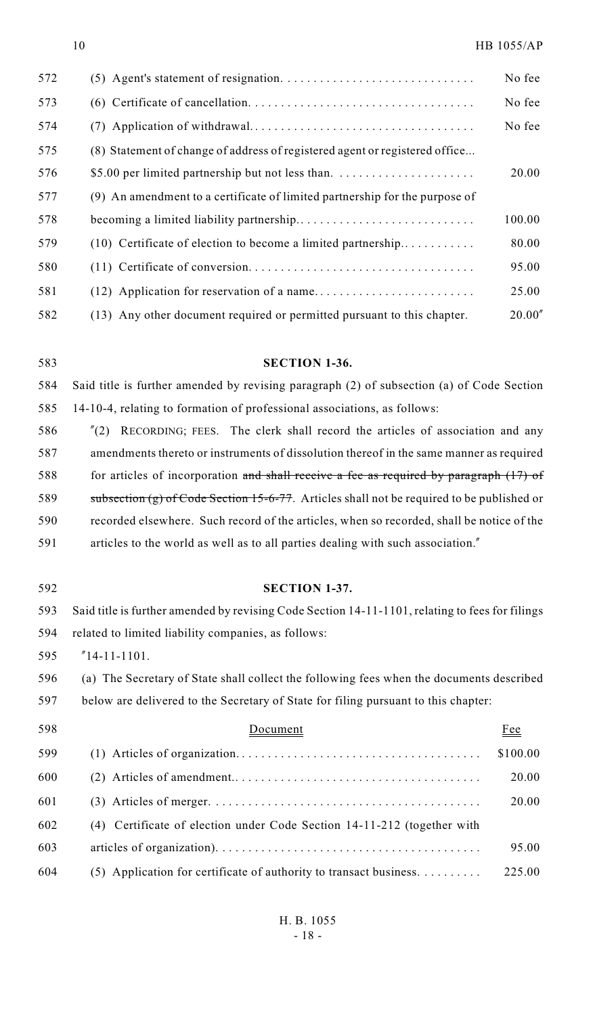| 572 |                                                                             | No fee  |
|-----|-----------------------------------------------------------------------------|---------|
| 573 |                                                                             | No fee  |
| 574 |                                                                             | No fee  |
| 575 | (8) Statement of change of address of registered agent or registered office |         |
| 576 |                                                                             | 20.00   |
| 577 | (9) An amendment to a certificate of limited partnership for the purpose of |         |
| 578 |                                                                             | 100.00  |
| 579 | $(10)$ Certificate of election to become a limited partnership              | 80.00   |
| 580 |                                                                             | 95.00   |
| 581 |                                                                             | 25.00   |
| 582 | (13) Any other document required or permitted pursuant to this chapter.     | 20.00'' |

 **SECTION 1-36.** Said title is further amended by revising paragraph (2) of subsection (a) of Code Section

14-10-4, relating to formation of professional associations, as follows:

- "(2) RECORDING; FEES. The clerk shall record the articles of association and any amendments thereto or instruments of dissolution thereof in the same manner as required 588 for articles of incorporation and shall receive a fee as required by paragraph (17) of 589 subsection (g) of Code Section 15-6-77. Articles shall not be required to be published or recorded elsewhere. Such record of the articles, when so recorded, shall be notice of the articles to the world as well as to all parties dealing with such association."
- **SECTION 1-37.** Said title is further amended by revising Code Section 14-11-1101, relating to fees for filings related to limited liability companies, as follows: "14-11-1101. (a) The Secretary of State shall collect the following fees when the documents described below are delivered to the Secretary of State for filing pursuant to this chapter: 598 Document Fee (1) Articles of organization. ..................................... \$100.00 (2) Articles of amendment....................................... 20.00 (3) Articles of merger. ......................................... 20.00 (4) Certificate of election under Code Section 14-11-212 (together with articles of organization). ........................................ 95.00 (5) Application for certificate of authority to transact business. . . . . . . . . . 225.00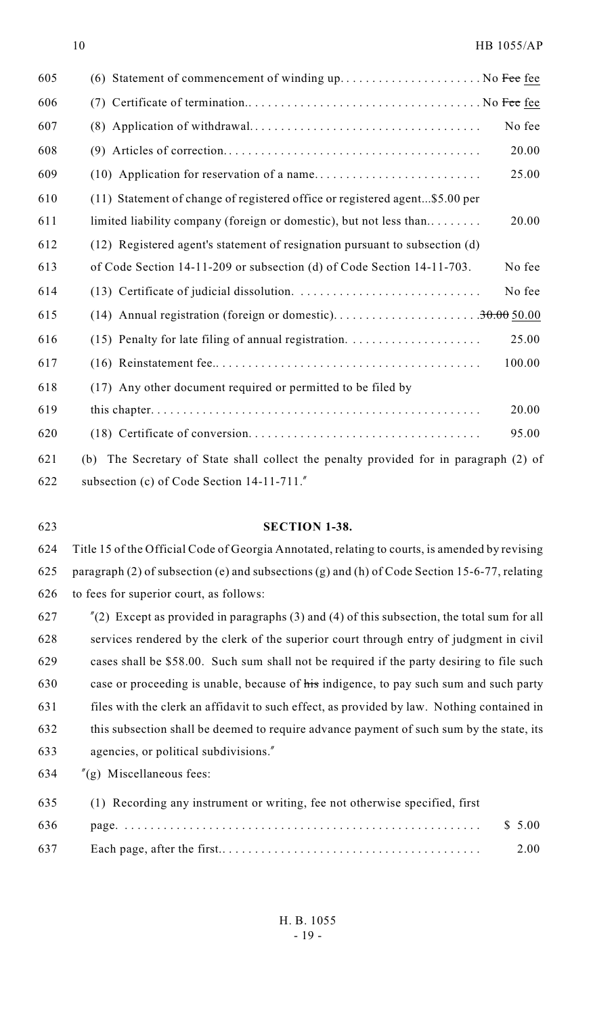| 605 | (6) Statement of commencement of winding $up$ No Fee <u>fee</u>                          |        |
|-----|------------------------------------------------------------------------------------------|--------|
| 606 |                                                                                          |        |
| 607 |                                                                                          | No fee |
| 608 |                                                                                          | 20.00  |
| 609 |                                                                                          | 25.00  |
| 610 | (11) Statement of change of registered office or registered agent\$5.00 per              |        |
| 611 | limited liability company (foreign or domestic), but not less than                       | 20.00  |
| 612 | (12) Registered agent's statement of resignation pursuant to subsection (d)              |        |
| 613 | of Code Section 14-11-209 or subsection (d) of Code Section 14-11-703.                   | No fee |
| 614 |                                                                                          | No fee |
| 615 |                                                                                          |        |
| 616 |                                                                                          | 25.00  |
| 617 |                                                                                          | 100.00 |
| 618 | (17) Any other document required or permitted to be filed by                             |        |
| 619 |                                                                                          | 20.00  |
| 620 |                                                                                          | 95.00  |
| 621 | The Secretary of State shall collect the penalty provided for in paragraph (2) of<br>(b) |        |
| 622 | subsection (c) of Code Section $14-11-711$ .                                             |        |

### **SECTION 1-38.**

 Title 15 of the Official Code of Georgia Annotated, relating to courts, is amended by revising paragraph (2) of subsection (e) and subsections (g) and (h) of Code Section 15-6-77, relating to fees for superior court, as follows:

 "(2) Except as provided in paragraphs (3) and (4) of this subsection, the total sum for all services rendered by the clerk of the superior court through entry of judgment in civil cases shall be \$58.00. Such sum shall not be required if the party desiring to file such case or proceeding is unable, because of his indigence, to pay such sum and such party files with the clerk an affidavit to such effect, as provided by law. Nothing contained in this subsection shall be deemed to require advance payment of such sum by the state, its agencies, or political subdivisions."

"(g) Miscellaneous fees:

| 635 | (1) Recording any instrument or writing, fee not otherwise specified, first |         |
|-----|-----------------------------------------------------------------------------|---------|
| 636 |                                                                             | \$ 5.00 |
| 637 |                                                                             | 2.00    |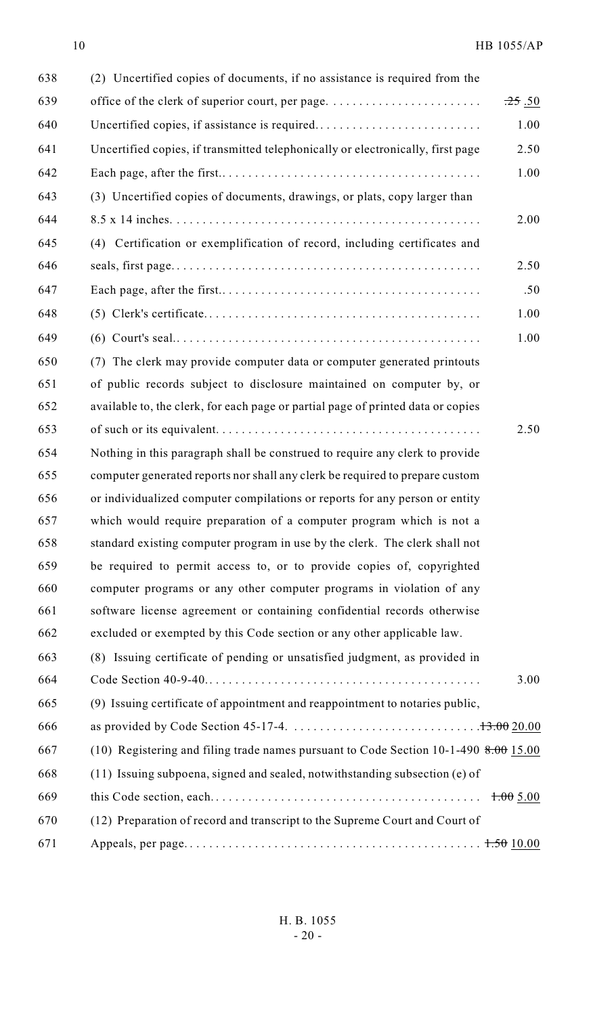| 638 | (2) Uncertified copies of documents, if no assistance is required from the           |                       |
|-----|--------------------------------------------------------------------------------------|-----------------------|
| 639 |                                                                                      | $.25 \underline{.50}$ |
| 640 | Uncertified copies, if assistance is required                                        | 1.00                  |
| 641 | Uncertified copies, if transmitted telephonically or electronically, first page      | 2.50                  |
| 642 |                                                                                      | 1.00                  |
| 643 | (3) Uncertified copies of documents, drawings, or plats, copy larger than            |                       |
| 644 |                                                                                      | 2.00                  |
| 645 | (4) Certification or exemplification of record, including certificates and           |                       |
| 646 |                                                                                      | 2.50                  |
| 647 |                                                                                      | .50                   |
| 648 |                                                                                      | 1.00                  |
| 649 |                                                                                      | 1.00                  |
| 650 | (7) The clerk may provide computer data or computer generated printouts              |                       |
| 651 | of public records subject to disclosure maintained on computer by, or                |                       |
| 652 | available to, the clerk, for each page or partial page of printed data or copies     |                       |
| 653 |                                                                                      | 2.50                  |
| 654 | Nothing in this paragraph shall be construed to require any clerk to provide         |                       |
| 655 | computer generated reports nor shall any clerk be required to prepare custom         |                       |
| 656 | or individualized computer compilations or reports for any person or entity          |                       |
| 657 | which would require preparation of a computer program which is not a                 |                       |
| 658 | standard existing computer program in use by the clerk. The clerk shall not          |                       |
| 659 | be required to permit access to, or to provide copies of, copyrighted                |                       |
| 660 | computer programs or any other computer programs in violation of any                 |                       |
| 661 | software license agreement or containing confidential records otherwise              |                       |
| 662 | excluded or exempted by this Code section or any other applicable law.               |                       |
| 663 | (8) Issuing certificate of pending or unsatisfied judgment, as provided in           |                       |
| 664 |                                                                                      | 3.00                  |
| 665 | (9) Issuing certificate of appointment and reappointment to notaries public,         |                       |
| 666 |                                                                                      |                       |
| 667 | (10) Registering and filing trade names pursuant to Code Section 10-1-490 8.00 15.00 |                       |
| 668 | (11) Issuing subpoena, signed and sealed, notwithstanding subsection (e) of          |                       |
| 669 |                                                                                      | 1.005.00              |
| 670 | (12) Preparation of record and transcript to the Supreme Court and Court of          |                       |
| 671 |                                                                                      |                       |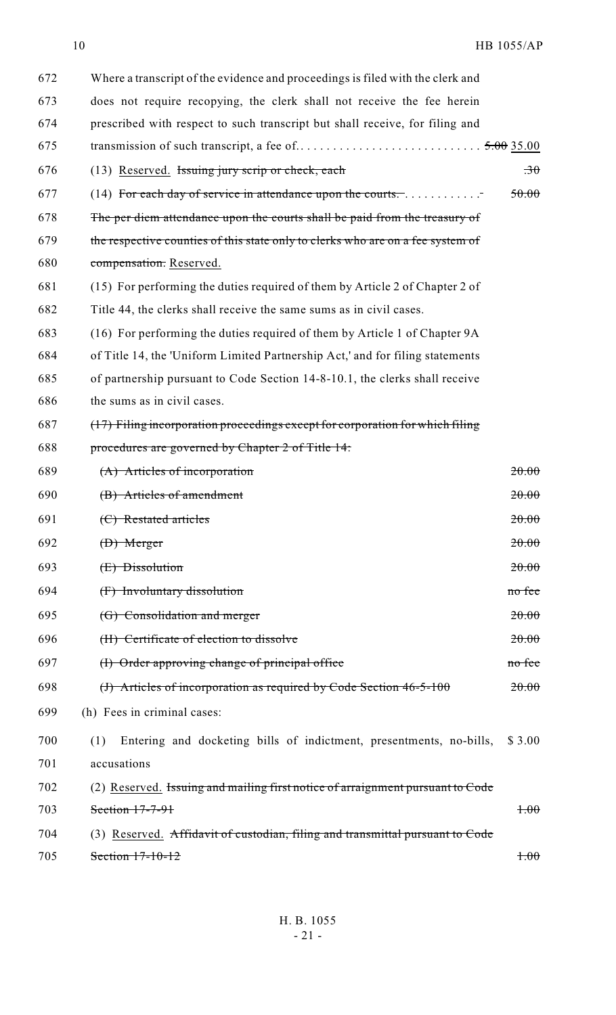| 672 | Where a transcript of the evidence and proceedings is filed with the clerk and  |                          |
|-----|---------------------------------------------------------------------------------|--------------------------|
| 673 | does not require recopying, the clerk shall not receive the fee herein          |                          |
| 674 | prescribed with respect to such transcript but shall receive, for filing and    |                          |
| 675 |                                                                                 |                          |
| 676 | (13) Reserved. Issuing jury scrip or check, each                                | $\overline{\mathcal{X}}$ |
| 677 | (14) For each day of service in attendance upon the courts                      | 50.00                    |
| 678 | The per diem attendance upon the courts shall be paid from the treasury of      |                          |
| 679 | the respective counties of this state only to clerks who are on a fee system of |                          |
| 680 | compensation. Reserved.                                                         |                          |
| 681 | (15) For performing the duties required of them by Article 2 of Chapter 2 of    |                          |
| 682 | Title 44, the clerks shall receive the same sums as in civil cases.             |                          |
| 683 | (16) For performing the duties required of them by Article 1 of Chapter 9A      |                          |
| 684 | of Title 14, the 'Uniform Limited Partnership Act,' and for filing statements   |                          |
| 685 | of partnership pursuant to Code Section 14-8-10.1, the clerks shall receive     |                          |
| 686 | the sums as in civil cases.                                                     |                          |
| 687 | (17) Filing incorporation proceedings except for corporation for which filing   |                          |
| 688 | procedures are governed by Chapter 2 of Title 14.                               |                          |
| 689 | (A) Articles of incorporation                                                   | 20.00                    |
| 690 | (B) Articles of amendment                                                       | 20.00                    |
| 691 | (C) Restated articles                                                           | 20.00                    |
| 692 | $(D)$ Merger                                                                    | 20.00                    |
| 693 | (E) Dissolution                                                                 | 20.00                    |
| 694 | (F) Involuntary dissolution                                                     | no fee                   |
| 695 | (G) Consolidation and merger                                                    | 20.00                    |
| 696 | (H) Certificate of election to dissolve                                         | 20.00                    |
| 697 | (I) Order approving change of principal office                                  | no fee                   |
| 698 | (J) Articles of incorporation as required by Code Section $46-5-100$            | 20.00                    |
| 699 | (h) Fees in criminal cases:                                                     |                          |
| 700 | Entering and docketing bills of indictment, presentments, no-bills,<br>(1)      | \$ 3.00                  |
| 701 | accusations                                                                     |                          |
| 702 | (2) Reserved. Issuing and mailing first notice of arraignment pursuant to Code  |                          |
| 703 | Section 17-7-91                                                                 | $+00$                    |
| 704 | (3) Reserved. Affidavit of custodian, filing and transmittal pursuant to Code   |                          |
| 705 | Section $17-10-12$                                                              | $+00$                    |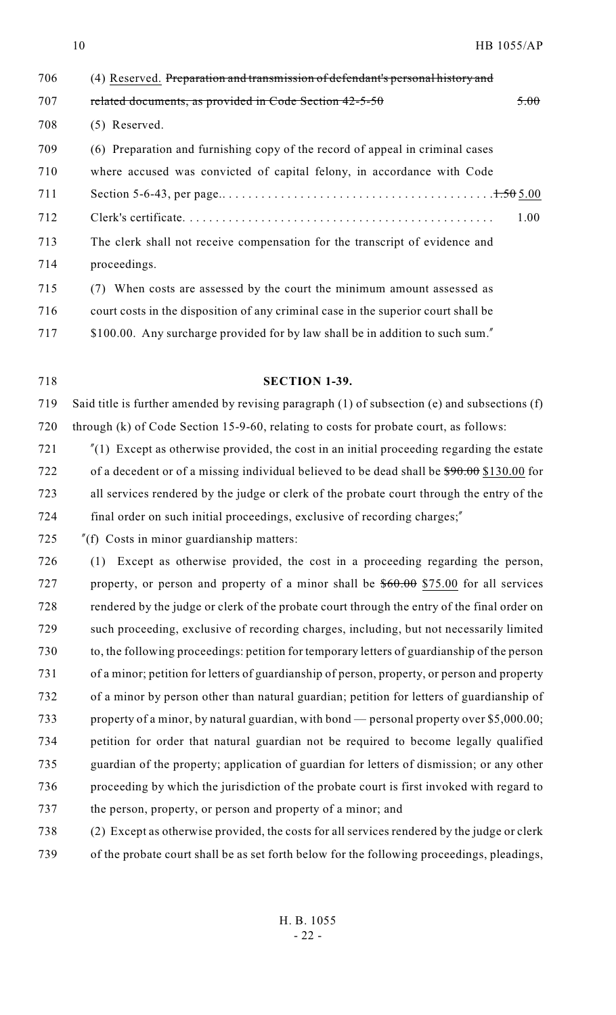| 706 | (4) Reserved. Preparation and transmission of defendant's personal history and     |      |
|-----|------------------------------------------------------------------------------------|------|
| 707 | related documents, as provided in Code Section 42-5-50                             | 5.00 |
| 708 | $(5)$ Reserved.                                                                    |      |
| 709 | (6) Preparation and furnishing copy of the record of appeal in criminal cases      |      |
| 710 | where accused was convicted of capital felony, in accordance with Code             |      |
| 711 |                                                                                    |      |
| 712 |                                                                                    | 1.00 |
| 713 | The clerk shall not receive compensation for the transcript of evidence and        |      |
| 714 | proceedings.                                                                       |      |
| 715 | (7) When costs are assessed by the court the minimum amount assessed as            |      |
| 716 | court costs in the disposition of any criminal case in the superior court shall be |      |

\$100.00. Any surcharge provided for by law shall be in addition to such sum."

#### **SECTION 1-39.**

 Said title is further amended by revising paragraph (1) of subsection (e) and subsections (f) through (k) of Code Section 15-9-60, relating to costs for probate court, as follows:

- "(1) Except as otherwise provided, the cost in an initial proceeding regarding the estate 722 of a decedent or of a missing individual believed to be dead shall be  $$90.00$  \$130.00 for all services rendered by the judge or clerk of the probate court through the entry of the final order on such initial proceedings, exclusive of recording charges;"
- "(f) Costs in minor guardianship matters:

 (1) Except as otherwise provided, the cost in a proceeding regarding the person, 727 property, or person and property of a minor shall be  $$60.00 $75.00$  for all services rendered by the judge or clerk of the probate court through the entry of the final order on such proceeding, exclusive of recording charges, including, but not necessarily limited to, the following proceedings: petition for temporary letters of guardianship of the person of a minor; petition for letters of guardianship of person, property, or person and property of a minor by person other than natural guardian; petition for letters of guardianship of property of a minor, by natural guardian, with bond — personal property over \$5,000.00; petition for order that natural guardian not be required to become legally qualified guardian of the property; application of guardian for letters of dismission; or any other proceeding by which the jurisdiction of the probate court is first invoked with regard to the person, property, or person and property of a minor; and

- (2) Except as otherwise provided, the costs for all services rendered by the judge or clerk
- of the probate court shall be as set forth below for the following proceedings, pleadings,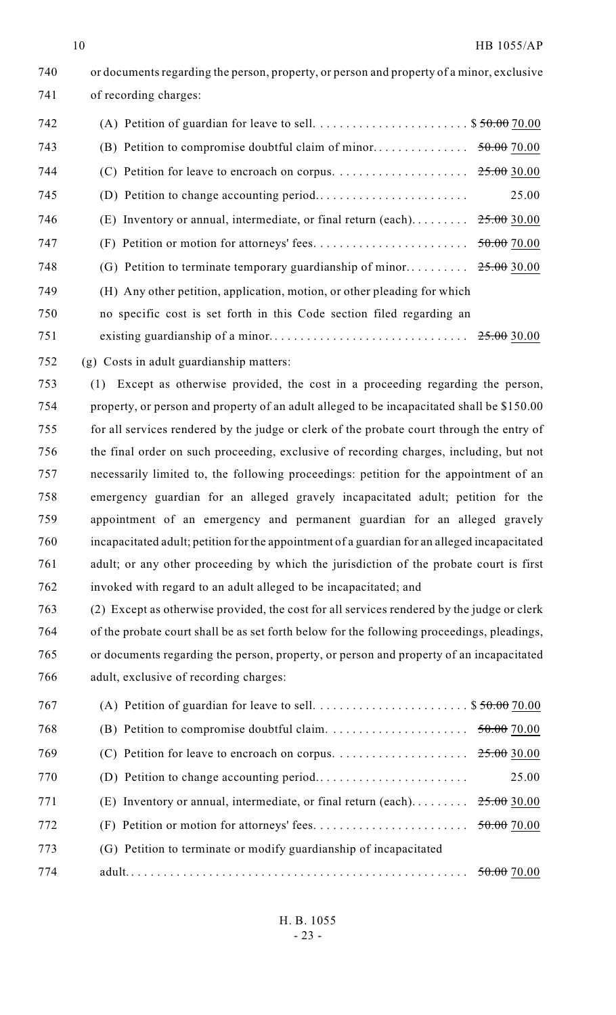| 740 | or documents regarding the person, property, or person and property of a minor, exclusive |             |
|-----|-------------------------------------------------------------------------------------------|-------------|
| 741 | of recording charges:                                                                     |             |
| 742 |                                                                                           |             |
| 743 |                                                                                           |             |
| 744 |                                                                                           |             |
| 745 |                                                                                           | 25.00       |
| 746 | (E) Inventory or annual, intermediate, or final return (each)                             | 25.00 30.00 |
| 747 |                                                                                           | 50.0070.00  |
| 748 |                                                                                           |             |
| 749 | (H) Any other petition, application, motion, or other pleading for which                  |             |
| 750 | no specific cost is set forth in this Code section filed regarding an                     |             |
| 751 |                                                                                           |             |

(g) Costs in adult guardianship matters:

 (1) Except as otherwise provided, the cost in a proceeding regarding the person, property, or person and property of an adult alleged to be incapacitated shall be \$150.00 for all services rendered by the judge or clerk of the probate court through the entry of the final order on such proceeding, exclusive of recording charges, including, but not necessarily limited to, the following proceedings: petition for the appointment of an emergency guardian for an alleged gravely incapacitated adult; petition for the appointment of an emergency and permanent guardian for an alleged gravely incapacitated adult; petition for the appointment of a guardian for an alleged incapacitated adult; or any other proceeding by which the jurisdiction of the probate court is first invoked with regard to an adult alleged to be incapacitated; and

 (2) Except as otherwise provided, the cost for all services rendered by the judge or clerk of the probate court shall be as set forth below for the following proceedings, pleadings, or documents regarding the person, property, or person and property of an incapacitated adult, exclusive of recording charges:

| 767 |                                                                                     |                        |
|-----|-------------------------------------------------------------------------------------|------------------------|
| 768 |                                                                                     |                        |
| 769 | (C) Petition for leave to encroach on corpus. $\dots \dots \dots \dots \dots \dots$ | <del>25.00</del> 30.00 |
| 770 |                                                                                     | 25.00                  |
| 771 | $(E)$ Inventory or annual, intermediate, or final return (each)                     | $25.00$ 30.00          |
| 772 |                                                                                     | 50.0070.00             |
| 773 | (G) Petition to terminate or modify guardianship of incapacitated                   |                        |
| 774 |                                                                                     |                        |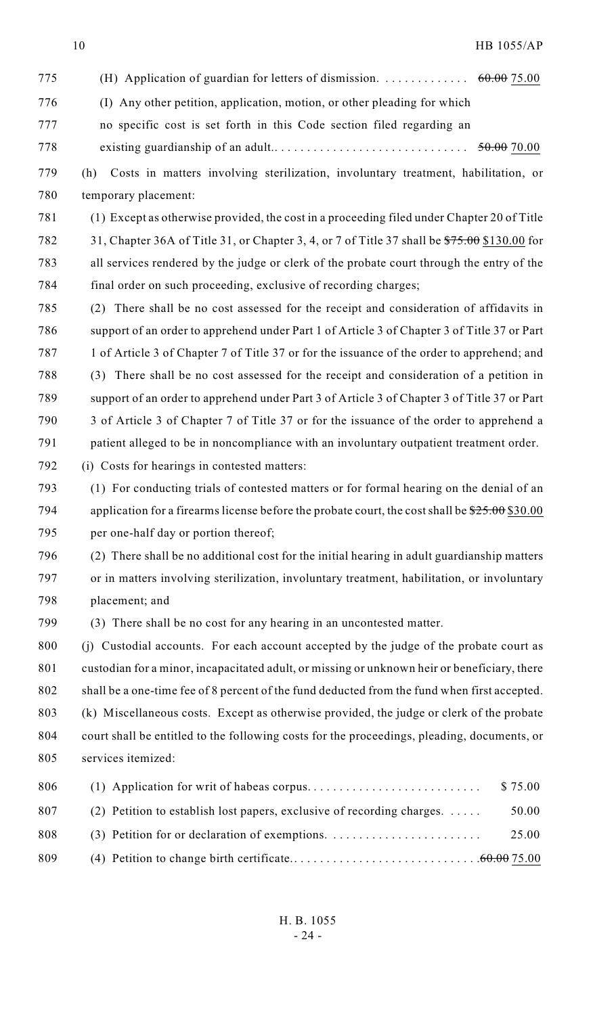| 775 |                                                                                                      |
|-----|------------------------------------------------------------------------------------------------------|
| 776 | (I) Any other petition, application, motion, or other pleading for which                             |
| 777 | no specific cost is set forth in this Code section filed regarding an                                |
| 778 |                                                                                                      |
| 779 | Costs in matters involving sterilization, involuntary treatment, habilitation, or<br>(h)             |
| 780 | temporary placement:                                                                                 |
| 781 | (1) Except as otherwise provided, the cost in a proceeding filed under Chapter 20 of Title           |
| 782 | 31, Chapter 36A of Title 31, or Chapter 3, 4, or 7 of Title 37 shall be $\frac{$75.00}{$130.00}$ for |
| 783 | all services rendered by the judge or clerk of the probate court through the entry of the            |
| 784 | final order on such proceeding, exclusive of recording charges;                                      |
| 785 | (2) There shall be no cost assessed for the receipt and consideration of affidavits in               |
| 786 | support of an order to apprehend under Part 1 of Article 3 of Chapter 3 of Title 37 or Part          |
| 787 | 1 of Article 3 of Chapter 7 of Title 37 or for the issuance of the order to apprehend; and           |
| 788 | (3) There shall be no cost assessed for the receipt and consideration of a petition in               |
| 789 | support of an order to apprehend under Part 3 of Article 3 of Chapter 3 of Title 37 or Part          |

- 3 of Article 3 of Chapter 7 of Title 37 or for the issuance of the order to apprehend a patient alleged to be in noncompliance with an involuntary outpatient treatment order.
- (i) Costs for hearings in contested matters:
- (1) For conducting trials of contested matters or for formal hearing on the denial of an 794 application for a firearms license before the probate court, the cost shall be  $25.00$  \$30.00 per one-half day or portion thereof;
- (2) There shall be no additional cost for the initial hearing in adult guardianship matters or in matters involving sterilization, involuntary treatment, habilitation, or involuntary placement; and
- (3) There shall be no cost for any hearing in an uncontested matter.

 (j) Custodial accounts. For each account accepted by the judge of the probate court as custodian for a minor, incapacitated adult, or missing or unknown heir or beneficiary, there shall be a one-time fee of 8 percent of the fund deducted from the fund when first accepted. (k) Miscellaneous costs. Except as otherwise provided, the judge or clerk of the probate court shall be entitled to the following costs for the proceedings, pleading, documents, or services itemized:

| 806 |                                                                                  |       |
|-----|----------------------------------------------------------------------------------|-------|
| 807 | (2) Petition to establish lost papers, exclusive of recording charges. $\dots$ . | 50.00 |
| 808 |                                                                                  | 25.00 |
| 809 |                                                                                  |       |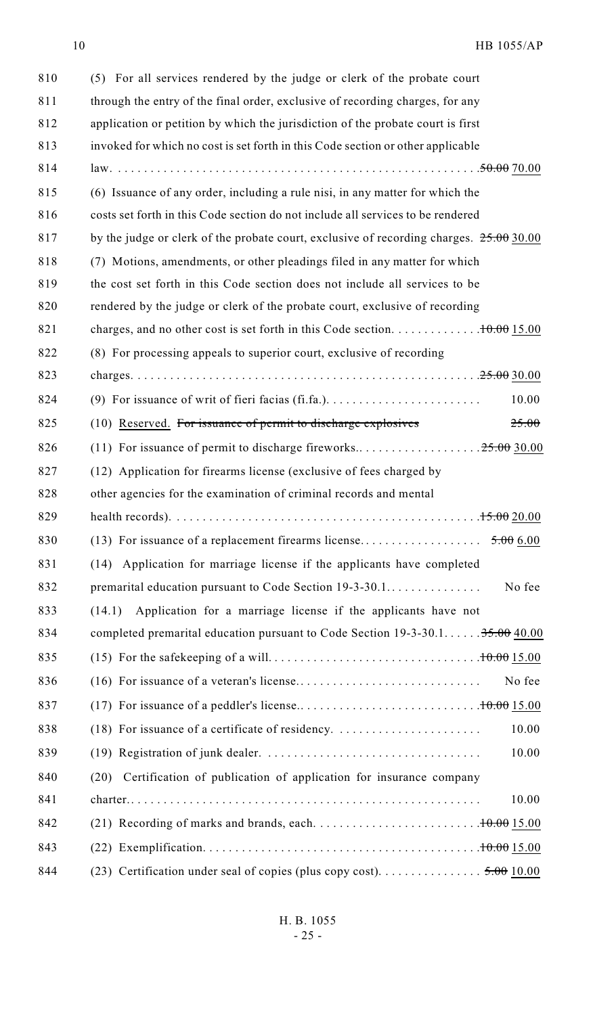| 810 | (5) For all services rendered by the judge or clerk of the probate court                                |
|-----|---------------------------------------------------------------------------------------------------------|
| 811 | through the entry of the final order, exclusive of recording charges, for any                           |
| 812 | application or petition by which the jurisdiction of the probate court is first                         |
| 813 | invoked for which no cost is set forth in this Code section or other applicable                         |
| 814 |                                                                                                         |
| 815 | (6) Issuance of any order, including a rule nisi, in any matter for which the                           |
| 816 | costs set forth in this Code section do not include all services to be rendered                         |
| 817 | by the judge or clerk of the probate court, exclusive of recording charges. $25.0030.00$                |
| 818 | (7) Motions, amendments, or other pleadings filed in any matter for which                               |
| 819 | the cost set forth in this Code section does not include all services to be                             |
| 820 | rendered by the judge or clerk of the probate court, exclusive of recording                             |
| 821 |                                                                                                         |
| 822 | (8) For processing appeals to superior court, exclusive of recording                                    |
| 823 |                                                                                                         |
| 824 | 10.00<br>(9) For issuance of writ of fieri facias (fi.fa.). $\dots \dots \dots \dots \dots \dots \dots$ |
| 825 | (10) Reserved. For issuance of permit to discharge explosives<br>25.00                                  |
| 826 |                                                                                                         |
| 827 | (12) Application for firearms license (exclusive of fees charged by                                     |
| 828 | other agencies for the examination of criminal records and mental                                       |
| 829 | health records).                                                                                        |
| 830 |                                                                                                         |
| 831 | Application for marriage license if the applicants have completed<br>(14)                               |
| 832 | No fee                                                                                                  |
| 833 | Application for a marriage license if the applicants have not<br>(14.1)                                 |
| 834 | completed premarital education pursuant to Code Section $19-3-30.1$ $35.00 \underline{40.00}$           |
| 835 |                                                                                                         |
| 836 | No fee                                                                                                  |
| 837 |                                                                                                         |
| 838 | 10.00<br>$(18)$ For issuance of a certificate of residency.                                             |
| 839 | 10.00                                                                                                   |
| 840 | Certification of publication of application for insurance company<br>(20)                               |
| 841 | 10.00                                                                                                   |
| 842 |                                                                                                         |
| 843 |                                                                                                         |
| 844 | (23) Certification under seal of copies (plus copy cost). 5.00 10.00                                    |
|     |                                                                                                         |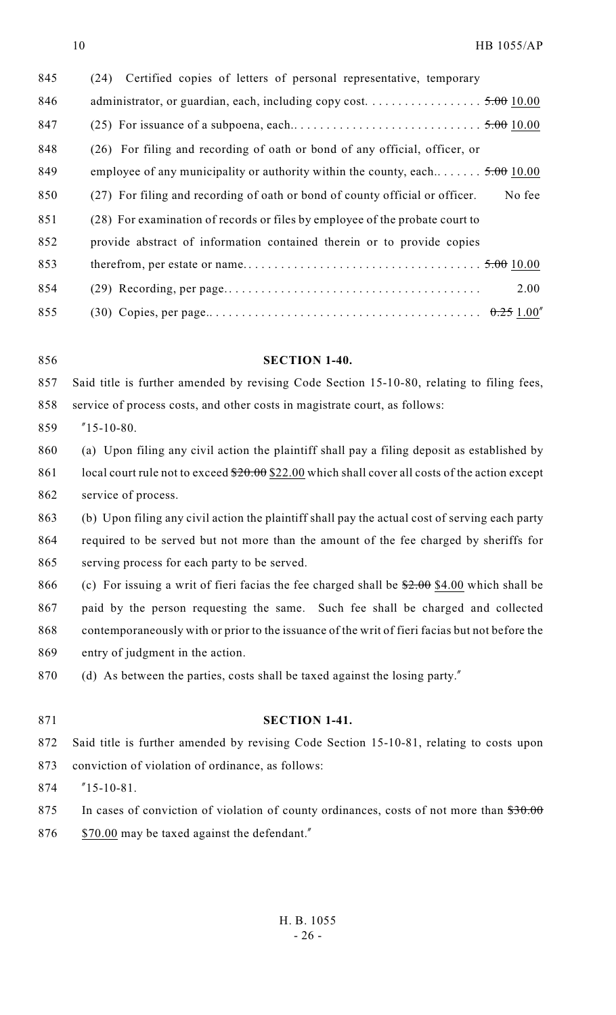| 845 | Certified copies of letters of personal representative, temporary<br>(24)              |
|-----|----------------------------------------------------------------------------------------|
| 846 | administrator, or guardian, each, including copy cost. 5.00 10.00                      |
| 847 |                                                                                        |
| 848 | (26) For filing and recording of oath or bond of any official, officer, or             |
| 849 | employee of any municipality or authority within the county, each $5.00$ 10.00         |
| 850 | No fee<br>(27) For filing and recording of oath or bond of county official or officer. |
| 851 | (28) For examination of records or files by employee of the probate court to           |
| 852 | provide abstract of information contained therein or to provide copies                 |
| 853 |                                                                                        |
| 854 | 2.00                                                                                   |
| 855 |                                                                                        |

### **SECTION 1-40.**

 Said title is further amended by revising Code Section 15-10-80, relating to filing fees, service of process costs, and other costs in magistrate court, as follows:

- "15-10-80.
- (a) Upon filing any civil action the plaintiff shall pay a filing deposit as established by 861 local court rule not to exceed  $$20.00$  \$22.00 which shall cover all costs of the action except service of process.
- (b) Upon filing any civil action the plaintiff shall pay the actual cost of serving each party required to be served but not more than the amount of the fee charged by sheriffs for serving process for each party to be served.
- 866 (c) For issuing a writ of fieri facias the fee charged shall be  $2.00 \frac{$4.00}{10}$  which shall be paid by the person requesting the same. Such fee shall be charged and collected contemporaneously with or prior to the issuance of the writ of fieri facias but not before the entry of judgment in the action.
- 870 (d) As between the parties, costs shall be taxed against the losing party."
- 

#### **SECTION 1-41.**

- Said title is further amended by revising Code Section 15-10-81, relating to costs upon conviction of violation of ordinance, as follows:
- "15-10-81.
- 875 In cases of conviction of violation of county ordinances, costs of not more than  $\$30.00$
- 876 \$70.00 may be taxed against the defendant."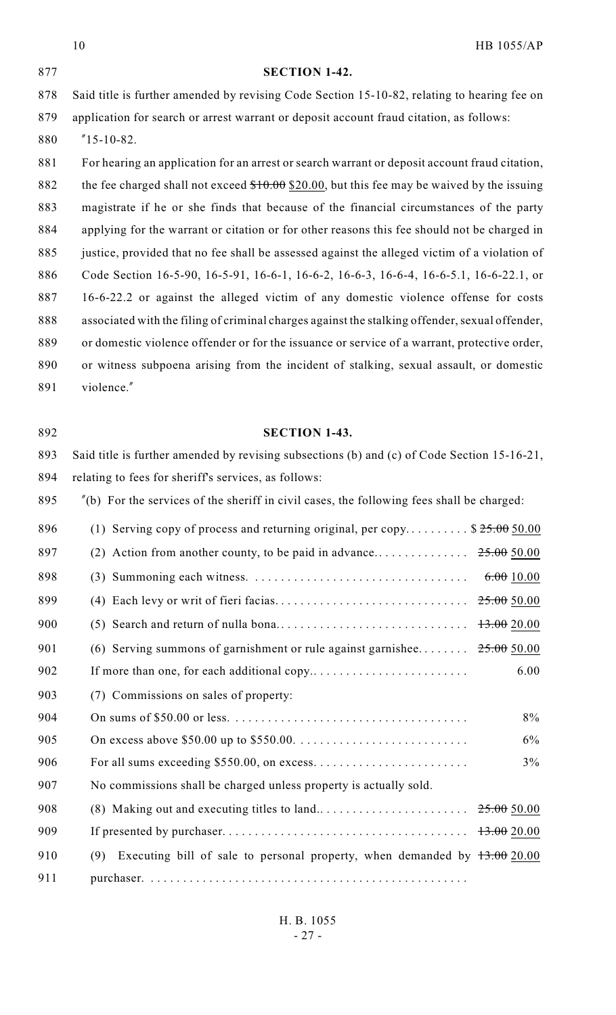|     | 10                                                                                              | HB 1055/AP |
|-----|-------------------------------------------------------------------------------------------------|------------|
| 877 | <b>SECTION 1-42.</b>                                                                            |            |
| 878 | Said title is further amended by revising Code Section 15-10-82, relating to hearing fee on     |            |
| 879 | application for search or arrest warrant or deposit account fraud citation, as follows:         |            |
| 880 | $"15-10-82.$                                                                                    |            |
| 881 | For hearing an application for an arrest or search warrant or deposit account fraud citation,   |            |
| 882 | the fee charged shall not exceed $$10.00$ \$20.00, but this fee may be waived by the issuing    |            |
| 883 | magistrate if he or she finds that because of the financial circumstances of the party          |            |
| 884 | applying for the warrant or citation or for other reasons this fee should not be charged in     |            |
| 885 | justice, provided that no fee shall be assessed against the alleged victim of a violation of    |            |
| 886 | Code Section 16-5-90, 16-5-91, 16-6-1, 16-6-2, 16-6-3, 16-6-4, 16-6-5.1, 16-6-22.1, or          |            |
| 887 | 16-6-22.2 or against the alleged victim of any domestic violence offense for costs              |            |
| 888 | associated with the filing of criminal charges against the stalking offender, sexual offender,  |            |
| 889 | or domestic violence offender or for the issuance or service of a warrant, protective order,    |            |
| 890 | or witness subpoena arising from the incident of stalking, sexual assault, or domestic          |            |
| 891 | violence."                                                                                      |            |
|     |                                                                                                 |            |
| 892 | <b>SECTION 1-43.</b>                                                                            |            |
| 893 | Said title is further amended by revising subsections (b) and (c) of Code Section 15-16-21,     |            |
| 894 | relating to fees for sheriff's services, as follows:                                            |            |
| 895 | $'(b)$ For the services of the sheriff in civil cases, the following fees shall be charged:     |            |
| 896 | (1) Serving copy of process and returning original, per copy \$ $25.00$ 50.00                   |            |
| 897 |                                                                                                 | 25.0050.00 |
| 898 |                                                                                                 | 6.0010.00  |
| 899 |                                                                                                 | 25.0050.00 |
| 900 |                                                                                                 | 13.0020.00 |
| 901 | (6) Serving summons of garnishment or rule against garnishee                                    | 25.00500   |
| 902 |                                                                                                 | 6.00       |
| 903 | (7) Commissions on sales of property:                                                           |            |
| 904 |                                                                                                 | $8\%$      |
| 905 | On excess above \$50.00 up to \$550.00. $\dots \dots \dots \dots \dots \dots \dots \dots \dots$ | 6%         |
| 906 |                                                                                                 | $3\%$      |
| 907 | No commissions shall be charged unless property is actually sold.                               |            |
| 908 |                                                                                                 | 25.0050.00 |
| 909 |                                                                                                 | 13.0020.00 |
| 910 | Executing bill of sale to personal property, when demanded by $13.0020.00$<br>(9)               |            |
| 911 |                                                                                                 |            |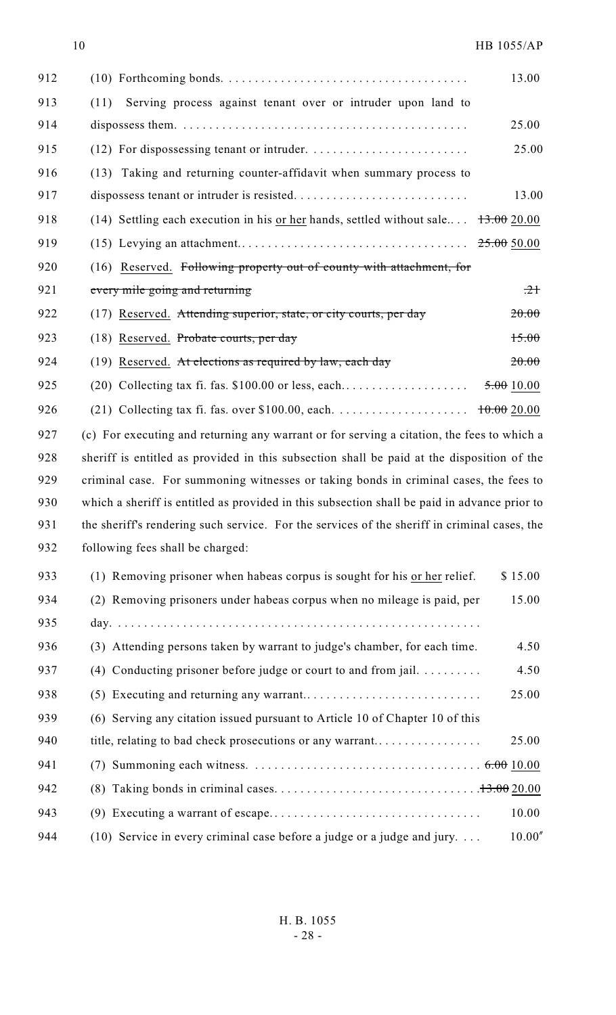| 912 |                                                                                                    | 13.00     |
|-----|----------------------------------------------------------------------------------------------------|-----------|
| 913 | Serving process against tenant over or intruder upon land to<br>(11)                               |           |
| 914 |                                                                                                    | 25.00     |
| 915 |                                                                                                    | 25.00     |
| 916 | (13) Taking and returning counter-affidavit when summary process to                                |           |
| 917 |                                                                                                    | 13.00     |
| 918 | (14) Settling each execution in his or her hands, settled without sale $\frac{13.00}{13.00}$ 20.00 |           |
| 919 |                                                                                                    |           |
| 920 | (16) Reserved. Following property out of county with attachment, for                               |           |
| 921 | every mile going and returning                                                                     | $\pm 2$   |
| 922 | (17) Reserved. Attending superior, state, or city courts, per day                                  | 20.00     |
| 923 | (18) Reserved. Probate courts, per day                                                             | 15.00     |
| 924 | $(19)$ Reserved. At elections as required by law, each day                                         | 20.00     |
| 925 |                                                                                                    | 5.0010.00 |
| 926 |                                                                                                    |           |
| 927 | (c) For executing and returning any warrant or for serving a citation, the fees to which a         |           |
| 928 | sheriff is entitled as provided in this subsection shall be paid at the disposition of the         |           |
| 929 | criminal case. For summoning witnesses or taking bonds in criminal cases, the fees to              |           |
| 930 | which a sheriff is entitled as provided in this subsection shall be paid in advance prior to       |           |
| 931 | the sheriff's rendering such service. For the services of the sheriff in criminal cases, the       |           |
| 932 | following fees shall be charged:                                                                   |           |
| 933 | (1) Removing prisoner when habeas corpus is sought for his or her relief.                          | \$15.00   |
| 934 | (2) Removing prisoners under habeas corpus when no mileage is paid, per                            | 15.00     |
| 935 |                                                                                                    |           |
| 936 | (3) Attending persons taken by warrant to judge's chamber, for each time.                          | 4.50      |
| 937 | (4) Conducting prisoner before judge or court to and from jail. $\dots \dots$                      | 4.50      |
| 938 |                                                                                                    | 25.00     |
| 939 | (6) Serving any citation issued pursuant to Article 10 of Chapter 10 of this                       |           |
| 940 | title, relating to bad check prosecutions or any warrant                                           | 25.00     |
| 941 |                                                                                                    |           |
| 942 |                                                                                                    |           |
| 943 |                                                                                                    | 10.00     |
| 944 | (10) Service in every criminal case before a judge or a judge and jury. $\dots$                    | 10.00''   |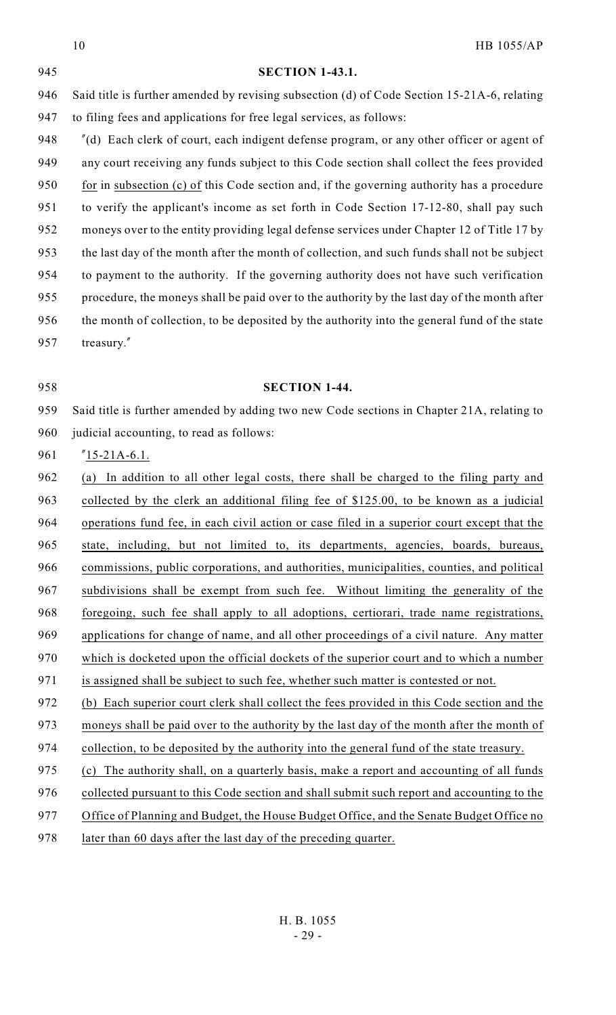|     | <b>HB 1055/AP</b><br>10                                                                      |
|-----|----------------------------------------------------------------------------------------------|
| 945 | <b>SECTION 1-43.1.</b>                                                                       |
| 946 | Said title is further amended by revising subsection (d) of Code Section 15-21A-6, relating  |
| 947 | to filing fees and applications for free legal services, as follows:                         |
| 948 | "(d) Each clerk of court, each indigent defense program, or any other officer or agent of    |
| 949 | any court receiving any funds subject to this Code section shall collect the fees provided   |
| 950 | for in subsection (c) of this Code section and, if the governing authority has a procedure   |
| 951 | to verify the applicant's income as set forth in Code Section 17-12-80, shall pay such       |
| 952 | moneys over to the entity providing legal defense services under Chapter 12 of Title 17 by   |
| 953 | the last day of the month after the month of collection, and such funds shall not be subject |
| 954 | to payment to the authority. If the governing authority does not have such verification      |
| 955 | procedure, the moneys shall be paid over to the authority by the last day of the month after |
| 956 | the month of collection, to be deposited by the authority into the general fund of the state |
| 957 | treasury."                                                                                   |
|     |                                                                                              |
| 958 | <b>SECTION 1-44.</b>                                                                         |
| 959 | Said title is further amended by adding two new Code sections in Chapter 21A, relating to    |
| 960 | judicial accounting, to read as follows:                                                     |
| 961 | $"15-21A-6.1.$                                                                               |
| 962 | In addition to all other legal costs, there shall be charged to the filing party and<br>(a)  |
| 963 | collected by the clerk an additional filing fee of \$125.00, to be known as a judicial       |
| 964 | operations fund fee, in each civil action or case filed in a superior court except that the  |
| 965 | state, including, but not limited to, its departments, agencies, boards, bureaus,            |
| 966 | commissions, public corporations, and authorities, municipalities, counties, and political   |
| 967 | subdivisions shall be exempt from such fee. Without limiting the generality of the           |
| 968 | foregoing, such fee shall apply to all adoptions, certiorari, trade name registrations,      |
| 969 | applications for change of name, and all other proceedings of a civil nature. Any matter     |
| 970 | which is docketed upon the official dockets of the superior court and to which a number      |
| 971 | is assigned shall be subject to such fee, whether such matter is contested or not.           |
| 972 | (b) Each superior court clerk shall collect the fees provided in this Code section and the   |
| 973 | moneys shall be paid over to the authority by the last day of the month after the month of   |
| 974 | collection, to be deposited by the authority into the general fund of the state treasury.    |
| 975 | The authority shall, on a quarterly basis, make a report and accounting of all funds<br>(c)  |
| 976 | collected pursuant to this Code section and shall submit such report and accounting to the   |

- 977 Office of Planning and Budget, the House Budget Office, and the Senate Budget Office no
- 978 later than 60 days after the last day of the preceding quarter.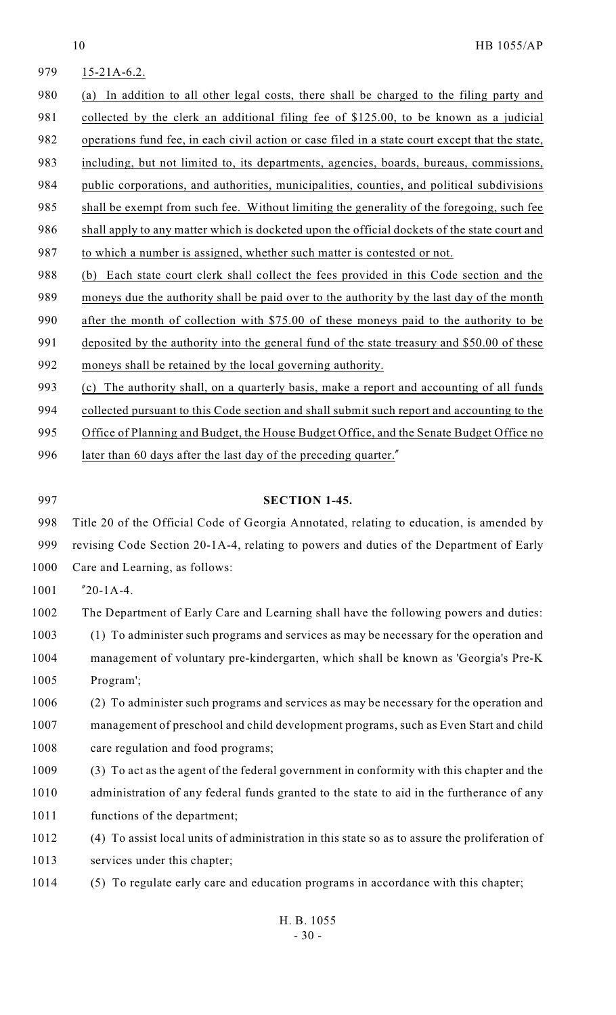| 979  | $15-21A-6.2$ .                                                                                  |
|------|-------------------------------------------------------------------------------------------------|
| 980  | In addition to all other legal costs, there shall be charged to the filing party and<br>(a)     |
| 981  | collected by the clerk an additional filing fee of \$125.00, to be known as a judicial          |
| 982  | operations fund fee, in each civil action or case filed in a state court except that the state, |
| 983  | including, but not limited to, its departments, agencies, boards, bureaus, commissions,         |
| 984  | public corporations, and authorities, municipalities, counties, and political subdivisions      |
| 985  | shall be exempt from such fee. Without limiting the generality of the foregoing, such fee       |
| 986  | shall apply to any matter which is docketed upon the official dockets of the state court and    |
| 987  | to which a number is assigned, whether such matter is contested or not.                         |
| 988  | Each state court clerk shall collect the fees provided in this Code section and the<br>(b)      |
| 989  | moneys due the authority shall be paid over to the authority by the last day of the month       |
| 990  | after the month of collection with \$75.00 of these moneys paid to the authority to be          |
| 991  | deposited by the authority into the general fund of the state treasury and \$50.00 of these     |
| 992  | moneys shall be retained by the local governing authority.                                      |
| 993  | The authority shall, on a quarterly basis, make a report and accounting of all funds<br>(c)     |
| 994  | collected pursuant to this Code section and shall submit such report and accounting to the      |
| 995  | Office of Planning and Budget, the House Budget Office, and the Senate Budget Office no         |
| 996  | later than 60 days after the last day of the preceding quarter."                                |
|      |                                                                                                 |
| 997  | <b>SECTION 1-45.</b>                                                                            |
| 998  | Title 20 of the Official Code of Georgia Annotated, relating to education, is amended by        |
| 999  | revising Code Section 20-1A-4, relating to powers and duties of the Department of Early         |
| 1000 | Care and Learning, as follows:                                                                  |
| 1001 | $"20-1A-4.$                                                                                     |
| 1002 | The Department of Early Care and Learning shall have the following powers and duties:           |
| 1003 | (1) To administer such programs and services as may be necessary for the operation and          |
| 1004 | management of voluntary pre-kindergarten, which shall be known as 'Georgia's Pre-K              |
| 1005 | Program';                                                                                       |

- 1006 (2) To administer such programs and services as may be necessary for the operation and 1007 management of preschool and child development programs, such as Even Start and child 1008 care regulation and food programs;
- 1009 (3) To act as the agent of the federal government in conformity with this chapter and the 1010 administration of any federal funds granted to the state to aid in the furtherance of any 1011 functions of the department;
- 1012 (4) To assist local units of administration in this state so as to assure the proliferation of 1013 services under this chapter;
- 1014 (5) To regulate early care and education programs in accordance with this chapter;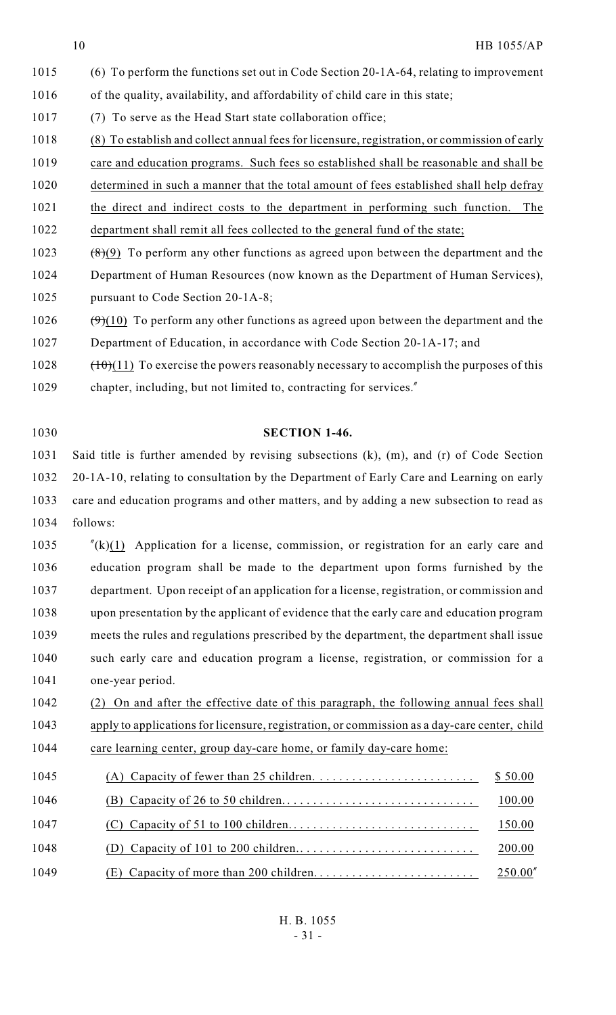- (6) To perform the functions set out in Code Section 20-1A-64, relating to improvement of the quality, availability, and affordability of child care in this state; (7) To serve as the Head Start state collaboration office; (8) To establish and collect annual fees for licensure, registration, or commission of early 1019 care and education programs. Such fees so established shall be reasonable and shall be determined in such a manner that the total amount of fees established shall help defray the direct and indirect costs to the department in performing such function. The department shall remit all fees collected to the general fund of the state; 1023  $(8)(9)$  To perform any other functions as agreed upon between the department and the Department of Human Resources (now known as the Department of Human Services), pursuant to Code Section 20-1A-8; 1026  $(\frac{9}{10})$  To perform any other functions as agreed upon between the department and the
- Department of Education, in accordance with Code Section 20-1A-17; and
- (10)(11) To exercise the powers reasonably necessary to accomplish the purposes of this
- chapter, including, but not limited to, contracting for services."

**SECTION 1-46.**

- Said title is further amended by revising subsections (k), (m), and (r) of Code Section 20-1A-10, relating to consultation by the Department of Early Care and Learning on early care and education programs and other matters, and by adding a new subsection to read as follows:
- "(k)(1) Application for a license, commission, or registration for an early care and education program shall be made to the department upon forms furnished by the department. Upon receipt of an application for a license, registration, or commission and upon presentation by the applicant of evidence that the early care and education program meets the rules and regulations prescribed by the department, the department shall issue such early care and education program a license, registration, or commission for a one-year period.
- (2) On and after the effective date of this paragraph, the following annual fees shall apply to applications for licensure, registration, or commission as a day-care center, child 1044 care learning center, group day-care home, or family day-care home:
- (A) Capacity of fewer than 25 children. . . . . . . . . . . . . . . . . . . . . . . . . \$ 50.00 (B) Capacity of 26 to 50 children. . . . . . . . . . . . . . . . . . . . . . . . . . . . . . 100.00 (C) Capacity of 51 to 100 children. . . . . . . . . . . . . . . . . . . . . . . . . . . . . 150.00 (D) Capacity of 101 to 200 children.. . . . . . . . . . . . . . . . . . . . . . . . . . . 200.00 (E) Capacity of more than 200 children. . . . . . . . . . . . . . . . . . . . . . . . . 250.00"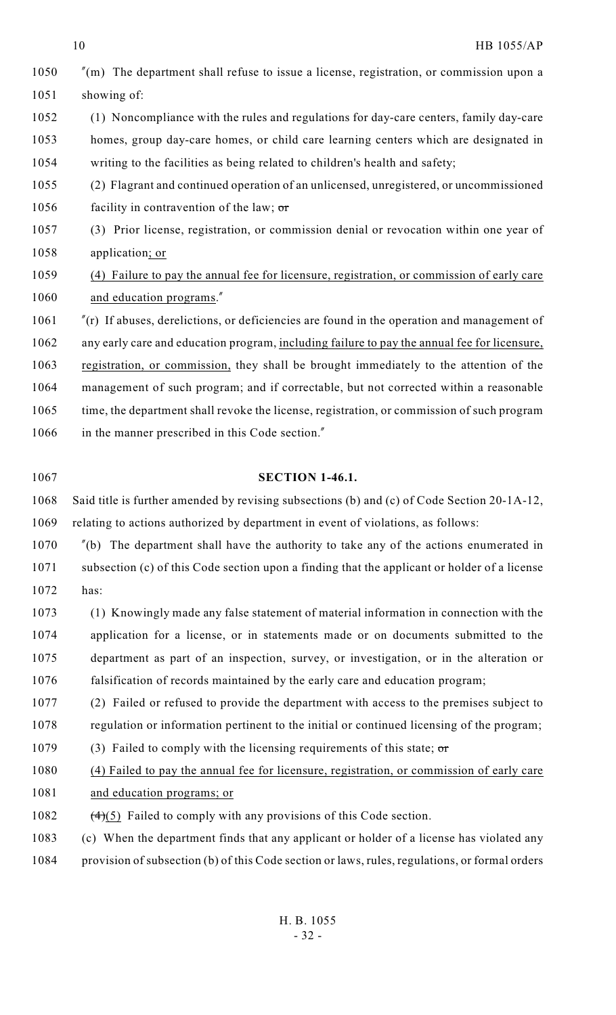| 1050 | $\ell$ (m) The department shall refuse to issue a license, registration, or commission upon a    |
|------|--------------------------------------------------------------------------------------------------|
| 1051 | showing of:                                                                                      |
| 1052 | (1) Noncompliance with the rules and regulations for day-care centers, family day-care           |
| 1053 | homes, group day-care homes, or child care learning centers which are designated in              |
| 1054 | writing to the facilities as being related to children's health and safety;                      |
| 1055 | (2) Flagrant and continued operation of an unlicensed, unregistered, or uncommissioned           |
| 1056 | facility in contravention of the law; $\sigma$                                                   |
| 1057 | (3) Prior license, registration, or commission denial or revocation within one year of           |
| 1058 | application; or                                                                                  |
| 1059 | (4) Failure to pay the annual fee for licensure, registration, or commission of early care       |
| 1060 | and education programs."                                                                         |
| 1061 | $\ell$ (r) If abuses, derelictions, or deficiencies are found in the operation and management of |
| 1062 | any early care and education program, including failure to pay the annual fee for licensure,     |
| 1063 | registration, or commission, they shall be brought immediately to the attention of the           |
| 1064 | management of such program; and if correctable, but not corrected within a reasonable            |
| 1065 | time, the department shall revoke the license, registration, or commission of such program       |
| 1066 | in the manner prescribed in this Code section."                                                  |
|      |                                                                                                  |
|      |                                                                                                  |
| 1067 | <b>SECTION 1-46.1.</b>                                                                           |
| 1068 | Said title is further amended by revising subsections (b) and (c) of Code Section 20-1A-12,      |
| 1069 | relating to actions authorized by department in event of violations, as follows:                 |
| 1070 | $\ell$ (b) The department shall have the authority to take any of the actions enumerated in      |
| 1071 | subsection (c) of this Code section upon a finding that the applicant or holder of a license     |
| 1072 | has:                                                                                             |
| 1073 | (1) Knowingly made any false statement of material information in connection with the            |
| 1074 | application for a license, or in statements made or on documents submitted to the                |
| 1075 | department as part of an inspection, survey, or investigation, or in the alteration or           |
| 1076 | falsification of records maintained by the early care and education program;                     |
| 1077 | (2) Failed or refused to provide the department with access to the premises subject to           |
| 1078 | regulation or information pertinent to the initial or continued licensing of the program;        |
| 1079 | (3) Failed to comply with the licensing requirements of this state; $\sigma$ r                   |
| 1080 | (4) Failed to pay the annual fee for licensure, registration, or commission of early care        |
| 1081 | and education programs; or                                                                       |
| 1082 | $\left(\frac{4}{5}\right)$ Failed to comply with any provisions of this Code section.            |

provision of subsection (b) of this Code section or laws, rules, regulations, or formal orders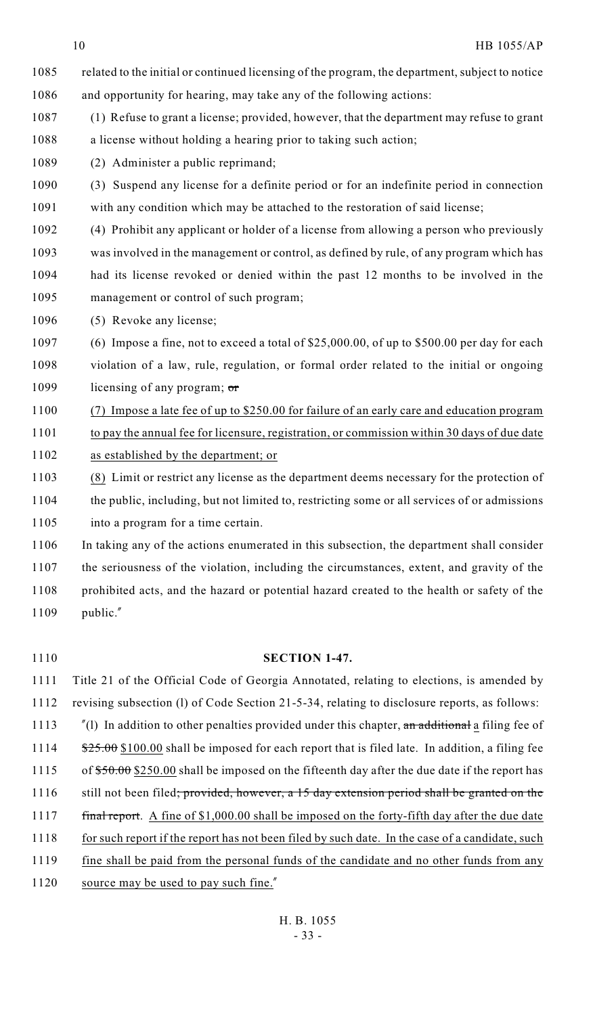- 1085 related to the initial or continued licensing of the program, the department, subject to notice and opportunity for hearing, may take any of the following actions:
- (1) Refuse to grant a license; provided, however, that the department may refuse to grant 1088 a license without holding a hearing prior to taking such action;
- (2) Administer a public reprimand;
- (3) Suspend any license for a definite period or for an indefinite period in connection
- with any condition which may be attached to the restoration of said license;
- (4) Prohibit any applicant or holder of a license from allowing a person who previously was involved in the management or control, as defined by rule, of any program which has
- had its license revoked or denied within the past 12 months to be involved in the management or control of such program;
- (5) Revoke any license;
- (6) Impose a fine, not to exceed a total of \$25,000.00, of up to \$500.00 per day for each violation of a law, rule, regulation, or formal order related to the initial or ongoing 1099 licensing of any program;  $\sigma$
- (7) Impose a late fee of up to \$250.00 for failure of an early care and education program to pay the annual fee for licensure, registration, or commission within 30 days of due date as established by the department; or
- (8) Limit or restrict any license as the department deems necessary for the protection of the public, including, but not limited to, restricting some or all services of or admissions into a program for a time certain.
- In taking any of the actions enumerated in this subsection, the department shall consider the seriousness of the violation, including the circumstances, extent, and gravity of the prohibited acts, and the hazard or potential hazard created to the health or safety of the public."
- 
- **SECTION 1-47.**

 Title 21 of the Official Code of Georgia Annotated, relating to elections, is amended by revising subsection (l) of Code Section 21-5-34, relating to disclosure reports, as follows: 1113 "(1) In addition to other penalties provided under this chapter, an additional a filing fee of 1114  $\frac{$25.00}{$100.00}$  shall be imposed for each report that is filed late. In addition, a filing fee 1115 of  $$50.00$  \$250.00 shall be imposed on the fifteenth day after the due date if the report has 1116 still not been filed; provided, however, a 15 day extension period shall be granted on the 1117 final report. A fine of \$1,000.00 shall be imposed on the forty-fifth day after the due date 1118 for such report if the report has not been filed by such date. In the case of a candidate, such fine shall be paid from the personal funds of the candidate and no other funds from any 1120 source may be used to pay such fine."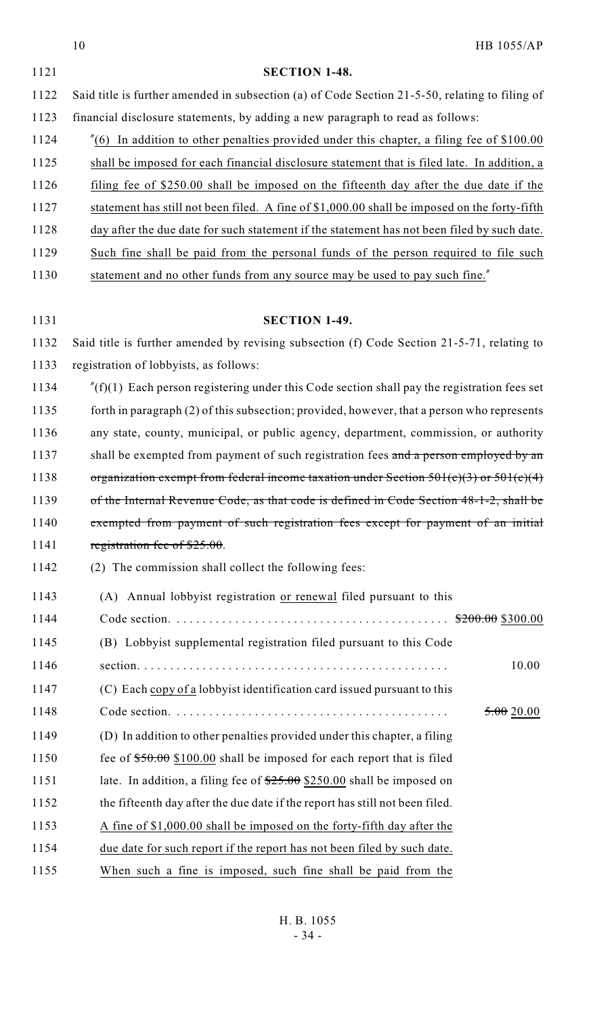|      | 10<br>HB 1055/AP                                                                                   |
|------|----------------------------------------------------------------------------------------------------|
| 1121 | <b>SECTION 1-48.</b>                                                                               |
| 1122 | Said title is further amended in subsection (a) of Code Section 21-5-50, relating to filing of     |
| 1123 | financial disclosure statements, by adding a new paragraph to read as follows:                     |
| 1124 | $\degree$ (6) In addition to other penalties provided under this chapter, a filing fee of \$100.00 |
| 1125 | shall be imposed for each financial disclosure statement that is filed late. In addition, a        |
| 1126 | filing fee of \$250.00 shall be imposed on the fifteenth day after the due date if the             |
| 1127 | statement has still not been filed. A fine of \$1,000.00 shall be imposed on the forty-fifth       |
| 1128 | day after the due date for such statement if the statement has not been filed by such date.        |
| 1129 | Such fine shall be paid from the personal funds of the person required to file such                |
| 1130 | statement and no other funds from any source may be used to pay such fine."                        |
|      |                                                                                                    |
| 1131 | <b>SECTION 1-49.</b>                                                                               |
| 1132 | Said title is further amended by revising subsection (f) Code Section 21-5-71, relating to         |
| 1133 | registration of lobbyists, as follows:                                                             |
| 1134 | $f(f)(1)$ Each person registering under this Code section shall pay the registration fees set      |
| 1135 | forth in paragraph (2) of this subsection; provided, however, that a person who represents         |
| 1136 | any state, county, municipal, or public agency, department, commission, or authority               |
| 1137 | shall be exempted from payment of such registration fees and a person employed by an               |
| 1138 | organization exempt from federal income taxation under Section $501(c)(3)$ or $501(c)(4)$          |
| 1139 | of the Internal Revenue Code, as that code is defined in Code Section 48-1-2, shall be             |
| 1140 | exempted from payment of such registration fees except for payment of an initial                   |
| 1141 | registration fee of $$25.00$ .                                                                     |
| 1142 | (2) The commission shall collect the following fees:                                               |
| 1143 | (A) Annual lobbyist registration or renewal filed pursuant to this                                 |
| 1144 |                                                                                                    |
| 1145 | (B) Lobbyist supplemental registration filed pursuant to this Code                                 |
| 1146 | 10.00                                                                                              |
| 1147 | (C) Each copy of a lobby ist identification card issued pursuant to this                           |
| 1148 | 5.0020.00                                                                                          |
| 1149 | (D) In addition to other penalties provided under this chapter, a filing                           |
| 1150 | fee of $$50.00$ \$100.00 shall be imposed for each report that is filed                            |
| 1151 | late. In addition, a filing fee of $\frac{$25.00}{$25.00}$ \$250.00 shall be imposed on            |
| 1152 | the fifteenth day after the due date if the report has still not been filed.                       |
| 1153 | A fine of \$1,000.00 shall be imposed on the forty-fifth day after the                             |
| 1154 | due date for such report if the report has not been filed by such date.                            |
| 1155 | When such a fine is imposed, such fine shall be paid from the                                      |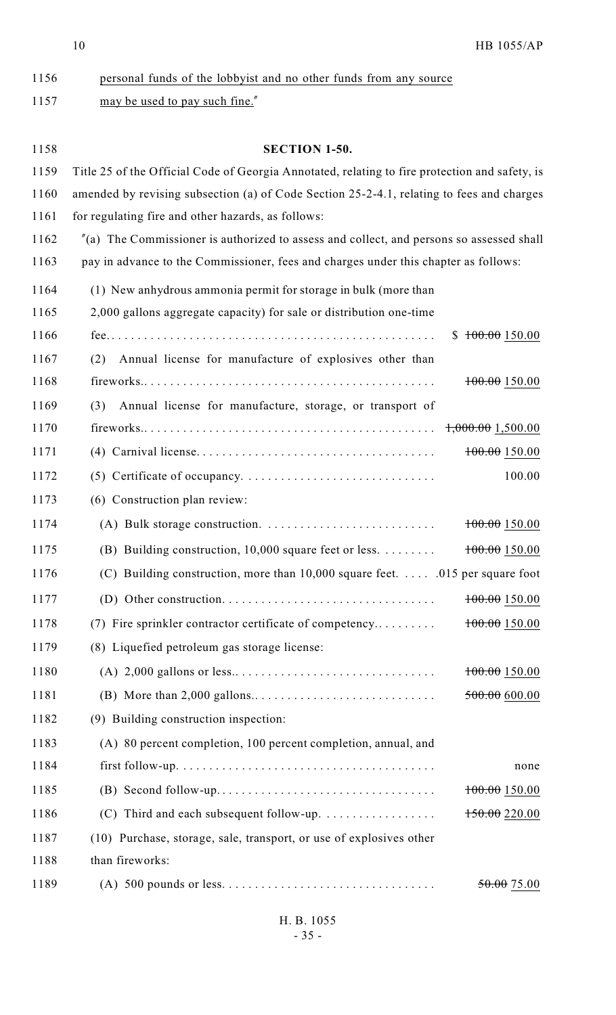| 1156 | personal funds of the lobbyist and no other funds from any source                                 |                     |  |
|------|---------------------------------------------------------------------------------------------------|---------------------|--|
| 1157 | may be used to pay such fine."                                                                    |                     |  |
|      |                                                                                                   |                     |  |
| 1158 | <b>SECTION 1-50.</b>                                                                              |                     |  |
| 1159 | Title 25 of the Official Code of Georgia Annotated, relating to fire protection and safety, is    |                     |  |
| 1160 | amended by revising subsection (a) of Code Section 25-2-4.1, relating to fees and charges         |                     |  |
| 1161 | for regulating fire and other hazards, as follows:                                                |                     |  |
| 1162 | $\degree$ (a) The Commissioner is authorized to assess and collect, and persons so assessed shall |                     |  |
| 1163 | pay in advance to the Commissioner, fees and charges under this chapter as follows:               |                     |  |
| 1164 | (1) New anhydrous ammonia permit for storage in bulk (more than                                   |                     |  |
| 1165 | 2,000 gallons aggregate capacity) for sale or distribution one-time                               |                     |  |
| 1166 |                                                                                                   | \$100.00150.00      |  |
| 1167 | Annual license for manufacture of explosives other than<br>(2)                                    |                     |  |
| 1168 |                                                                                                   | 100.00150.00        |  |
| 1169 | Annual license for manufacture, storage, or transport of<br>(3)                                   |                     |  |
| 1170 |                                                                                                   | $1,000.00$ 1,500.00 |  |
| 1171 |                                                                                                   | 100.00150.00        |  |
| 1172 |                                                                                                   | 100.00              |  |
| 1173 | (6) Construction plan review:                                                                     |                     |  |
| 1174 | (A) Bulk storage construction. $\dots \dots \dots \dots \dots \dots \dots \dots \dots$            | 100.00 150.00       |  |
| 1175 | (B) Building construction, 10,000 square feet or less. $\dots \dots$                              | 100.00150.00        |  |
| 1176 | (C) Building construction, more than $10,000$ square feet.  .015 per square foot                  |                     |  |
| 1177 |                                                                                                   | 100.00150.00        |  |
| 1178 | (7) Fire sprinkler contractor certificate of competency                                           | 100.00150.00        |  |
| 1179 | (8) Liquefied petroleum gas storage license:                                                      |                     |  |
| 1180 |                                                                                                   | 100.00150.00        |  |
| 1181 |                                                                                                   | 500.00 600.00       |  |
| 1182 | (9) Building construction inspection:                                                             |                     |  |
| 1183 | (A) 80 percent completion, 100 percent completion, annual, and                                    |                     |  |
| 1184 |                                                                                                   | none                |  |
| 1185 |                                                                                                   | 100.00150.00        |  |
| 1186 | (C) Third and each subsequent follow-up. $\dots \dots \dots \dots \dots$                          | 150.00220.00        |  |
| 1187 | (10) Purchase, storage, sale, transport, or use of explosives other                               |                     |  |
| 1188 | than fireworks:                                                                                   |                     |  |
| 1189 |                                                                                                   | $50.00$ 75.00       |  |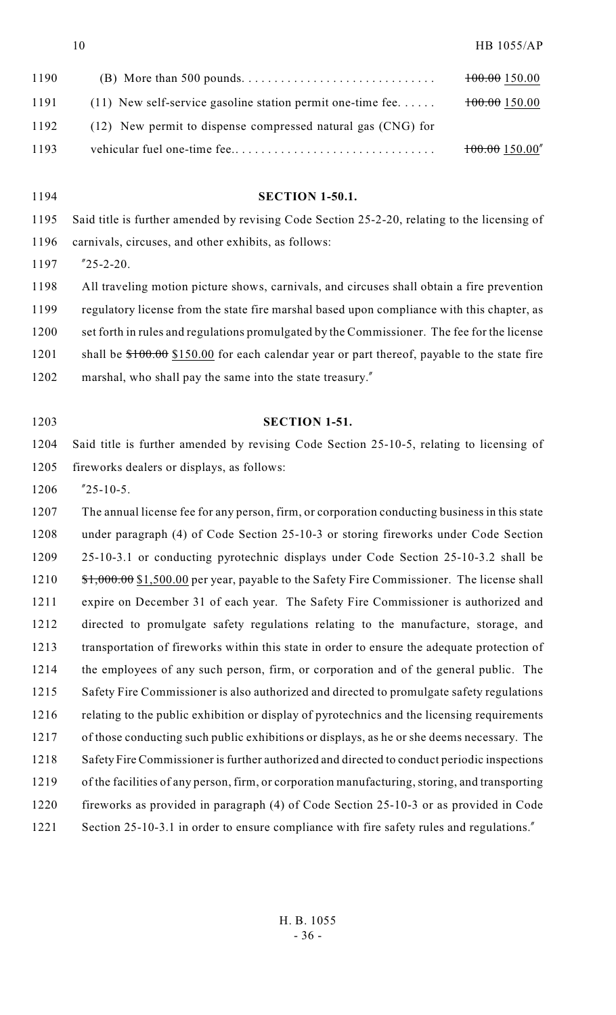| 1190 |                                                               | 100.00150.00 |
|------|---------------------------------------------------------------|--------------|
| 1191 | $(11)$ New self-service gasoline station permit one-time fee. | 100.00150.00 |
| 1192 | (12) New permit to dispense compressed natural gas (CNG) for  |              |
| 1193 |                                                               | 100.00150.00 |

- **SECTION 1-50.1.** Said title is further amended by revising Code Section 25-2-20, relating to the licensing of carnivals, circuses, and other exhibits, as follows: "25-2-20. All traveling motion picture shows, carnivals, and circuses shall obtain a fire prevention regulatory license from the state fire marshal based upon compliance with this chapter, as set forth in rules and regulations promulgated by the Commissioner. The fee for the license
- 1201 shall be  $$100.00$  \$150.00 for each calendar year or part thereof, payable to the state fire
- marshal, who shall pay the same into the state treasury."
- 

# **SECTION 1-51.**

 Said title is further amended by revising Code Section 25-10-5, relating to licensing of fireworks dealers or displays, as follows:

"25-10-5.

 The annual license fee for any person, firm, or corporation conducting business in this state under paragraph (4) of Code Section 25-10-3 or storing fireworks under Code Section 25-10-3.1 or conducting pyrotechnic displays under Code Section 25-10-3.2 shall be 1210 \$1,000.00 \$1,500.00 per year, payable to the Safety Fire Commissioner. The license shall expire on December 31 of each year. The Safety Fire Commissioner is authorized and directed to promulgate safety regulations relating to the manufacture, storage, and transportation of fireworks within this state in order to ensure the adequate protection of the employees of any such person, firm, or corporation and of the general public. The 1215 Safety Fire Commissioner is also authorized and directed to promulgate safety regulations 1216 relating to the public exhibition or display of pyrotechnics and the licensing requirements of those conducting such public exhibitions or displays, as he or she deems necessary. The Safety Fire Commissioner is further authorized and directed to conduct periodic inspections of the facilities of any person, firm, or corporation manufacturing, storing, and transporting fireworks as provided in paragraph (4) of Code Section 25-10-3 or as provided in Code 1221 Section 25-10-3.1 in order to ensure compliance with fire safety rules and regulations.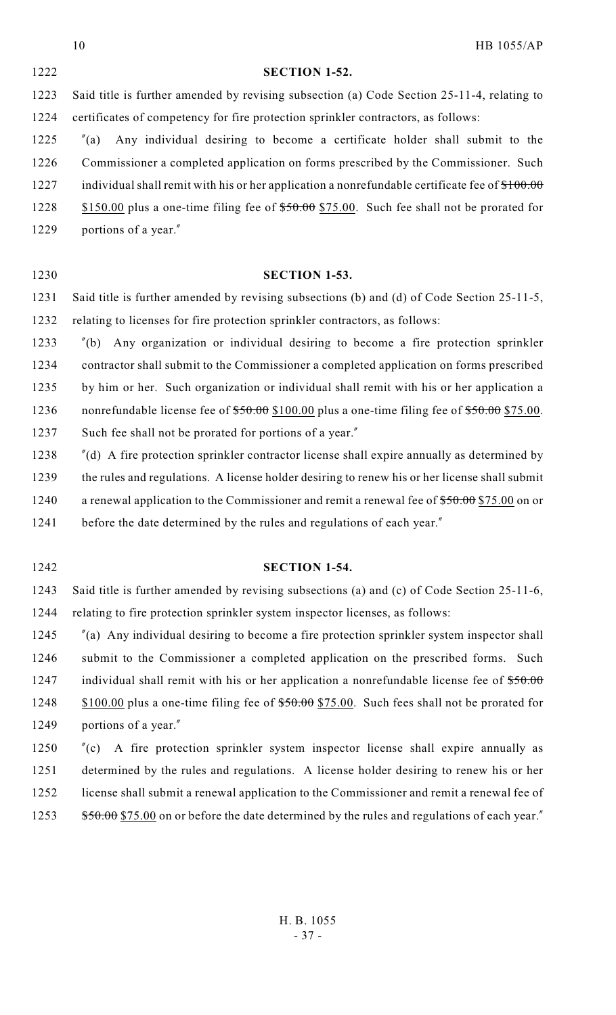|      | 10<br><b>HB 1055/AP</b>                                                                                |
|------|--------------------------------------------------------------------------------------------------------|
| 1222 | <b>SECTION 1-52.</b>                                                                                   |
| 1223 | Said title is further amended by revising subsection (a) Code Section 25-11-4, relating to             |
| 1224 | certificates of competency for fire protection sprinkler contractors, as follows:                      |
| 1225 | Any individual desiring to become a certificate holder shall submit to the<br>$^{\prime\prime}(a)$     |
| 1226 | Commissioner a completed application on forms prescribed by the Commissioner. Such                     |
| 1227 | individual shall remit with his or her application a nonrefundable certificate fee of $$100.00$        |
| 1228 | \$150.00 plus a one-time filing fee of $$50.00$ \$75.00. Such fee shall not be prorated for            |
| 1229 | portions of a year."                                                                                   |
|      |                                                                                                        |
| 1230 | <b>SECTION 1-53.</b>                                                                                   |
| 1231 | Said title is further amended by revising subsections (b) and (d) of Code Section 25-11-5,             |
| 1232 | relating to licenses for fire protection sprinkler contractors, as follows:                            |
| 1233 | Any organization or individual desiring to become a fire protection sprinkler<br>$^{\prime\prime}$ (b) |
| 1234 | contractor shall submit to the Commissioner a completed application on forms prescribed                |
| 1235 | by him or her. Such organization or individual shall remit with his or her application a               |
| 1236 | nonrefundable license fee of \$50.00 \$100.00 plus a one-time filing fee of \$50.00 \$75.00.           |
| 1237 | Such fee shall not be prorated for portions of a year."                                                |
| 1238 | $\degree$ (d) A fire protection sprinkler contractor license shall expire annually as determined by    |
| 1239 | the rules and regulations. A license holder desiring to renew his or her license shall submit          |
| 1240 | a renewal application to the Commissioner and remit a renewal fee of $$50.00 $75.00$ on or             |
| 1241 | before the date determined by the rules and regulations of each year."                                 |
|      |                                                                                                        |
| 1242 | <b>SECTION 1-54.</b>                                                                                   |
| 1243 | Said title is further amended by revising subsections (a) and (c) of Code Section 25-11-6,             |
| 1244 | relating to fire protection sprinkler system inspector licenses, as follows:                           |
| 1245 | $\pi$ (a) Any individual desiring to become a fire protection sprinkler system inspector shall         |

1245 <sup>"</sup>(a) Any individual desiring to become a fire protection sprinkler system inspector shall 1246 submit to the Commissioner a completed application on the prescribed forms. Such 1247 individual shall remit with his or her application a nonrefundable license fee of \$50.00 1248 \$100.00 plus a one-time filing fee of \$50.00 \$75.00. Such fees shall not be prorated for 1249 portions of a year."

 "(c) A fire protection sprinkler system inspector license shall expire annually as determined by the rules and regulations. A license holder desiring to renew his or her license shall submit a renewal application to the Commissioner and remit a renewal fee of 1253 \$50.00 \$75.00 on or before the date determined by the rules and regulations of each year."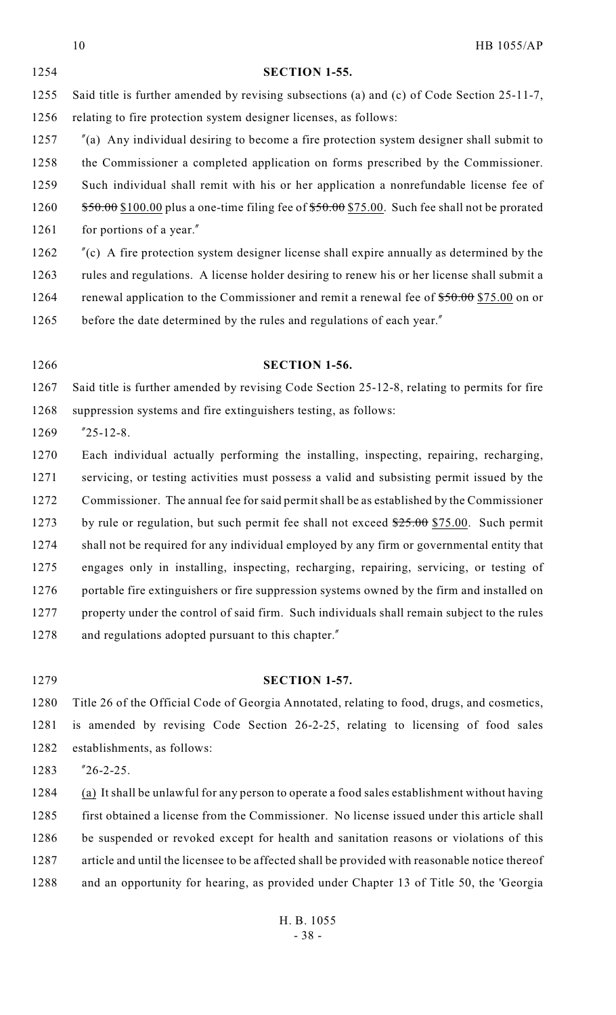|      | 10<br><b>HB 1055/AP</b>                                                                            |
|------|----------------------------------------------------------------------------------------------------|
| 1254 | <b>SECTION 1-55.</b>                                                                               |
| 1255 | Said title is further amended by revising subsections (a) and (c) of Code Section 25-11-7,         |
| 1256 | relating to fire protection system designer licenses, as follows:                                  |
| 1257 | $\degree$ (a) Any individual desiring to become a fire protection system designer shall submit to  |
| 1258 | the Commissioner a completed application on forms prescribed by the Commissioner.                  |
| 1259 | Such individual shall remit with his or her application a nonrefundable license fee of             |
| 1260 | $$50.00$ \$100.00 plus a one-time filing fee of $$50.00$ \$75.00. Such fee shall not be prorated   |
| 1261 | for portions of a year."                                                                           |
| 1262 | $\degree$ (c) A fire protection system designer license shall expire annually as determined by the |
|      |                                                                                                    |

 rules and regulations. A license holder desiring to renew his or her license shall submit a 1264 renewal application to the Commissioner and remit a renewal fee of  $$50.00 $75.00$  on or 1265 before the date determined by the rules and regulations of each year."

 Said title is further amended by revising Code Section 25-12-8, relating to permits for fire suppression systems and fire extinguishers testing, as follows:

**SECTION 1-56.**

"25-12-8.

 Each individual actually performing the installing, inspecting, repairing, recharging, servicing, or testing activities must possess a valid and subsisting permit issued by the Commissioner. The annual fee for said permit shall be as established by the Commissioner 1273 by rule or regulation, but such permit fee shall not exceed  $25.00$  \$75.00. Such permit 1274 shall not be required for any individual employed by any firm or governmental entity that engages only in installing, inspecting, recharging, repairing, servicing, or testing of 1276 portable fire extinguishers or fire suppression systems owned by the firm and installed on property under the control of said firm. Such individuals shall remain subject to the rules 1278 and regulations adopted pursuant to this chapter."

### **SECTION 1-57.**

 Title 26 of the Official Code of Georgia Annotated, relating to food, drugs, and cosmetics, is amended by revising Code Section 26-2-25, relating to licensing of food sales establishments, as follows:

"26-2-25.

 (a) It shall be unlawful for any person to operate a food sales establishment without having first obtained a license from the Commissioner. No license issued under this article shall be suspended or revoked except for health and sanitation reasons or violations of this article and until the licensee to be affected shall be provided with reasonable notice thereof and an opportunity for hearing, as provided under Chapter 13 of Title 50, the 'Georgia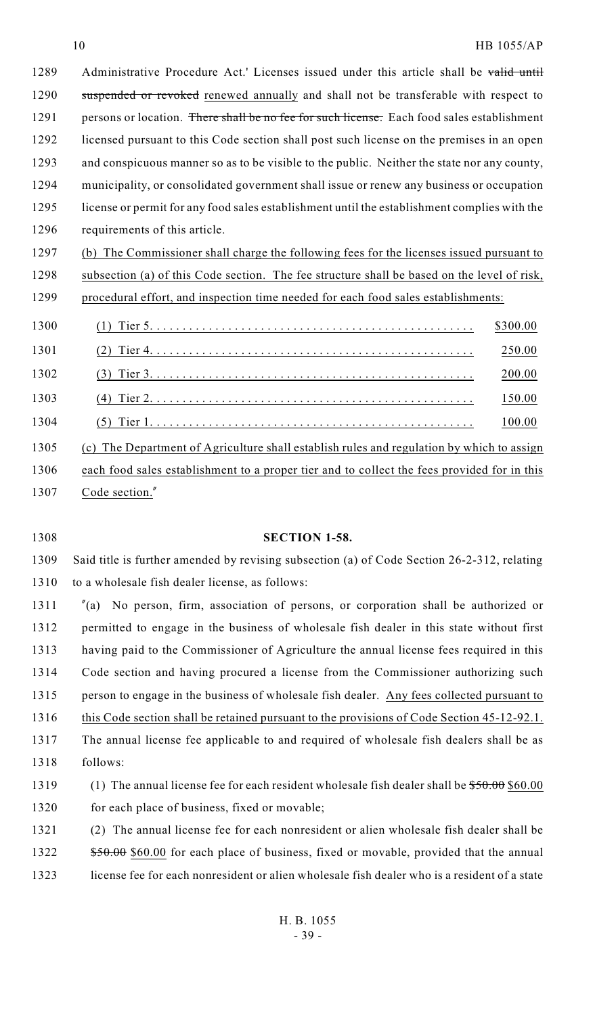1289 Administrative Procedure Act.' Licenses issued under this article shall be valid until suspended or revoked renewed annually and shall not be transferable with respect to 1291 persons or location. There shall be no fee for such license. Each food sales establishment licensed pursuant to this Code section shall post such license on the premises in an open and conspicuous manner so as to be visible to the public. Neither the state nor any county, municipality, or consolidated government shall issue or renew any business or occupation license or permit for any food sales establishment until the establishment complies with the requirements of this article.

 (b) The Commissioner shall charge the following fees for the licenses issued pursuant to subsection (a) of this Code section. The fee structure shall be based on the level of risk, procedural effort, and inspection time needed for each food sales establishments:

| 1300 |                                                                                           | \$300.00 |
|------|-------------------------------------------------------------------------------------------|----------|
| 1301 |                                                                                           | 250.00   |
| 1302 |                                                                                           | 200.00   |
| 1303 |                                                                                           | 150.00   |
| 1304 |                                                                                           | 100.00   |
| 1305 | (c) The Department of Agriculture shall establish rules and regulation by which to assign |          |

1306 each food sales establishment to a proper tier and to collect the fees provided for in this Code section."

#### **SECTION 1-58.**

 Said title is further amended by revising subsection (a) of Code Section 26-2-312, relating to a wholesale fish dealer license, as follows:

 "(a) No person, firm, association of persons, or corporation shall be authorized or permitted to engage in the business of wholesale fish dealer in this state without first having paid to the Commissioner of Agriculture the annual license fees required in this Code section and having procured a license from the Commissioner authorizing such person to engage in the business of wholesale fish dealer. Any fees collected pursuant to 1316 this Code section shall be retained pursuant to the provisions of Code Section 45-12-92.1. The annual license fee applicable to and required of wholesale fish dealers shall be as follows: 1319 (1) The annual license fee for each resident wholesale fish dealer shall be  $$50.00$  \$60.00

1320 for each place of business, fixed or movable;

 (2) The annual license fee for each nonresident or alien wholesale fish dealer shall be 1322 \$50.00 \$60.00 for each place of business, fixed or movable, provided that the annual license fee for each nonresident or alien wholesale fish dealer who is a resident of a state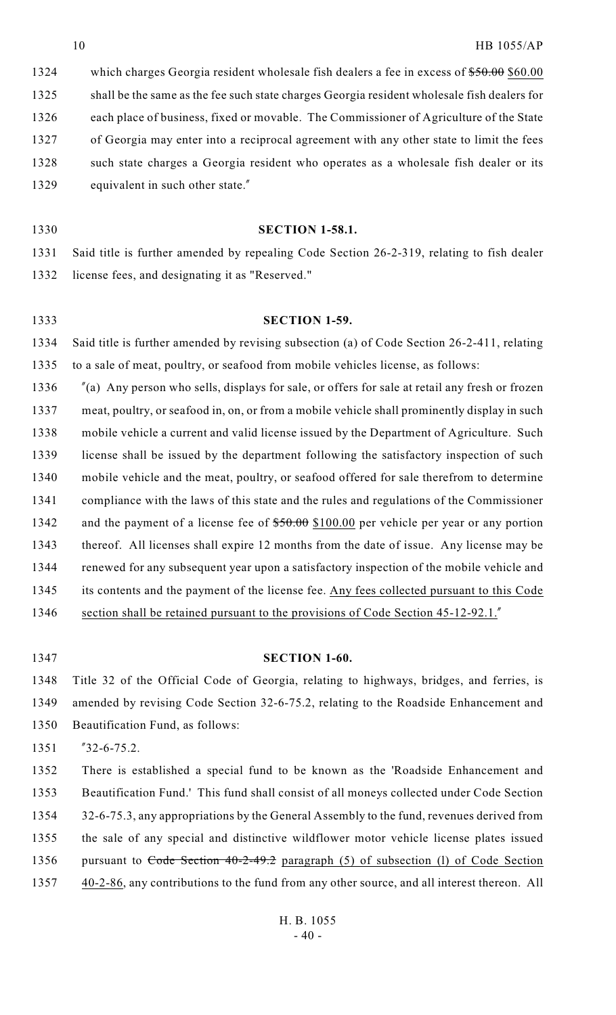1324 which charges Georgia resident wholesale fish dealers a fee in excess of  $$50.00$  \$60.00 shall be the same as the fee such state charges Georgia resident wholesale fish dealers for each place of business, fixed or movable. The Commissioner of Agriculture of the State of Georgia may enter into a reciprocal agreement with any other state to limit the fees such state charges a Georgia resident who operates as a wholesale fish dealer or its 1329 equivalent in such other state."

- **SECTION 1-58.1.** Said title is further amended by repealing Code Section 26-2-319, relating to fish dealer license fees, and designating it as "Reserved."
- **SECTION 1-59.** Said title is further amended by revising subsection (a) of Code Section 26-2-411, relating

to a sale of meat, poultry, or seafood from mobile vehicles license, as follows:

 "(a) Any person who sells, displays for sale, or offers for sale at retail any fresh or frozen meat, poultry, or seafood in, on, or from a mobile vehicle shall prominently display in such mobile vehicle a current and valid license issued by the Department of Agriculture. Such license shall be issued by the department following the satisfactory inspection of such mobile vehicle and the meat, poultry, or seafood offered for sale therefrom to determine compliance with the laws of this state and the rules and regulations of the Commissioner 1342 and the payment of a license fee of  $$50.00$  \$100.00 per vehicle per year or any portion thereof. All licenses shall expire 12 months from the date of issue. Any license may be renewed for any subsequent year upon a satisfactory inspection of the mobile vehicle and its contents and the payment of the license fee. Any fees collected pursuant to this Code 1346 section shall be retained pursuant to the provisions of Code Section 45-12-92.1."

# **SECTION 1-60.**

 Title 32 of the Official Code of Georgia, relating to highways, bridges, and ferries, is amended by revising Code Section 32-6-75.2, relating to the Roadside Enhancement and Beautification Fund, as follows:

"32-6-75.2.

 There is established a special fund to be known as the 'Roadside Enhancement and Beautification Fund.' This fund shall consist of all moneys collected under Code Section 1354 32-6-75.3, any appropriations by the General Assembly to the fund, revenues derived from the sale of any special and distinctive wildflower motor vehicle license plates issued 1356 pursuant to Code Section 40-2-49.2 paragraph (5) of subsection (1) of Code Section 40-2-86, any contributions to the fund from any other source, and all interest thereon. All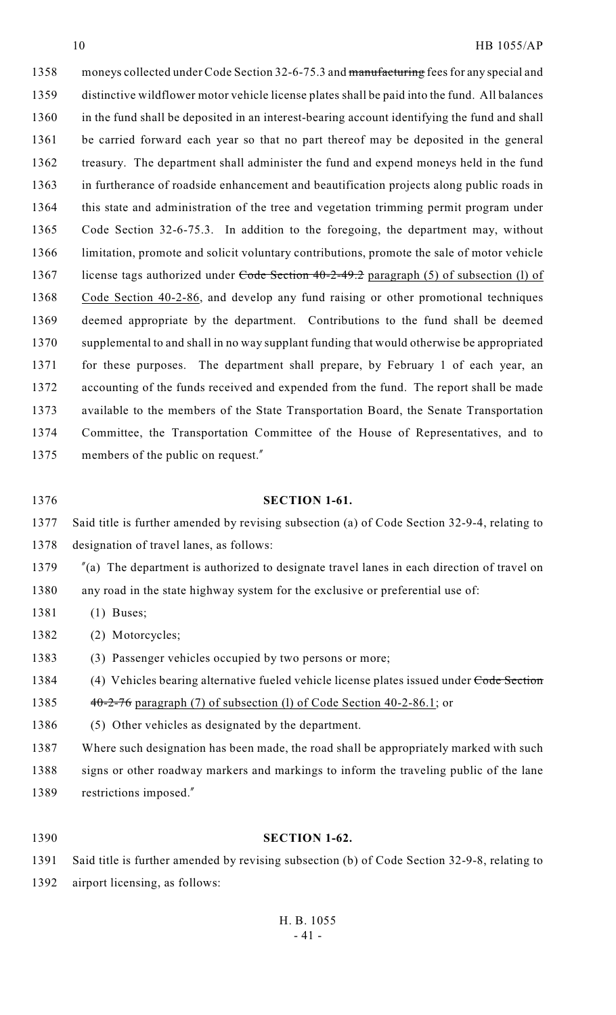1358 moneys collected under Code Section 32-6-75.3 and manufacturing fees for any special and distinctive wildflower motor vehicle license plates shall be paid into the fund. All balances in the fund shall be deposited in an interest-bearing account identifying the fund and shall be carried forward each year so that no part thereof may be deposited in the general treasury. The department shall administer the fund and expend moneys held in the fund in furtherance of roadside enhancement and beautification projects along public roads in this state and administration of the tree and vegetation trimming permit program under Code Section 32-6-75.3. In addition to the foregoing, the department may, without limitation, promote and solicit voluntary contributions, promote the sale of motor vehicle 1367 license tags authorized under Code Section 40-2-49.2 paragraph (5) of subsection (1) of Code Section 40-2-86, and develop any fund raising or other promotional techniques deemed appropriate by the department. Contributions to the fund shall be deemed supplemental to and shall in no way supplant funding that would otherwise be appropriated for these purposes. The department shall prepare, by February 1 of each year, an accounting of the funds received and expended from the fund. The report shall be made available to the members of the State Transportation Board, the Senate Transportation Committee, the Transportation Committee of the House of Representatives, and to members of the public on request."

# **SECTION 1-61.**

 Said title is further amended by revising subsection (a) of Code Section 32-9-4, relating to designation of travel lanes, as follows:

"(a) The department is authorized to designate travel lanes in each direction of travel on

any road in the state highway system for the exclusive or preferential use of:

(1) Buses;

(2) Motorcycles;

(3) Passenger vehicles occupied by two persons or more;

1384 (4) Vehicles bearing alternative fueled vehicle license plates issued under Code Section

1385  $40-2-76$  paragraph (7) of subsection (1) of Code Section 40-2-86.1; or

(5) Other vehicles as designated by the department.

 Where such designation has been made, the road shall be appropriately marked with such 1388 signs or other roadway markers and markings to inform the traveling public of the lane restrictions imposed."

### **SECTION 1-62.**

 Said title is further amended by revising subsection (b) of Code Section 32-9-8, relating to airport licensing, as follows: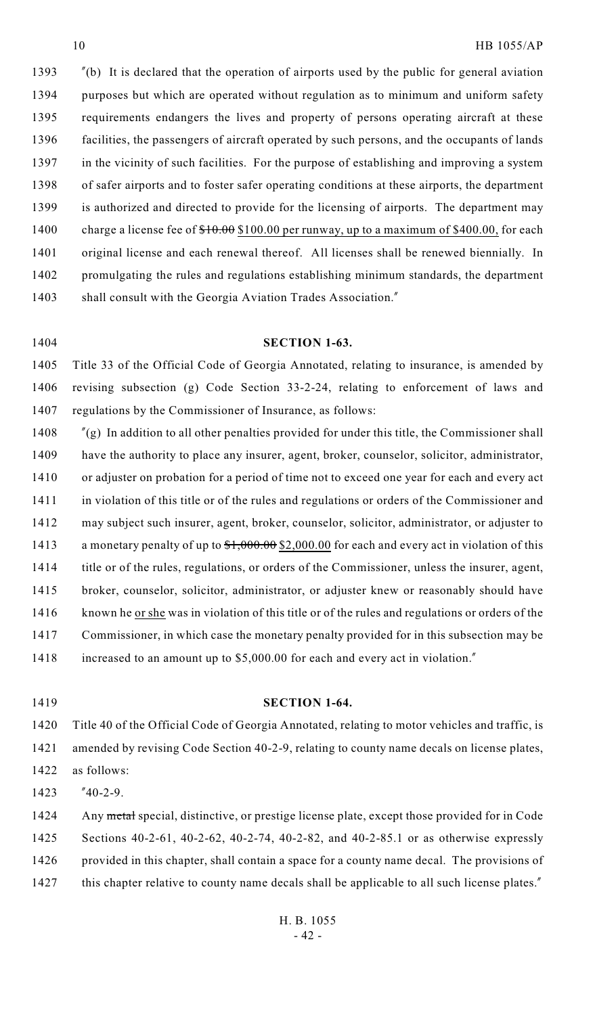"(b) It is declared that the operation of airports used by the public for general aviation purposes but which are operated without regulation as to minimum and uniform safety requirements endangers the lives and property of persons operating aircraft at these facilities, the passengers of aircraft operated by such persons, and the occupants of lands 1397 in the vicinity of such facilities. For the purpose of establishing and improving a system of safer airports and to foster safer operating conditions at these airports, the department is authorized and directed to provide for the licensing of airports. The department may 1400 charge a license fee of  $$10.00$  \$100.00 per runway, up to a maximum of \$400.00, for each original license and each renewal thereof. All licenses shall be renewed biennially. In promulgating the rules and regulations establishing minimum standards, the department 1403 shall consult with the Georgia Aviation Trades Association."

### **SECTION 1-63.**

 Title 33 of the Official Code of Georgia Annotated, relating to insurance, is amended by revising subsection (g) Code Section 33-2-24, relating to enforcement of laws and regulations by the Commissioner of Insurance, as follows:

 "(g) In addition to all other penalties provided for under this title, the Commissioner shall have the authority to place any insurer, agent, broker, counselor, solicitor, administrator, or adjuster on probation for a period of time not to exceed one year for each and every act in violation of this title or of the rules and regulations or orders of the Commissioner and may subject such insurer, agent, broker, counselor, solicitor, administrator, or adjuster to 1413 a monetary penalty of up to  $\frac{$1,000.00}{$2,000.00}$  for each and every act in violation of this 1414 title or of the rules, regulations, or orders of the Commissioner, unless the insurer, agent, broker, counselor, solicitor, administrator, or adjuster knew or reasonably should have 1416 known he or she was in violation of this title or of the rules and regulations or orders of the Commissioner, in which case the monetary penalty provided for in this subsection may be increased to an amount up to \$5,000.00 for each and every act in violation."

## **SECTION 1-64.**

 Title 40 of the Official Code of Georgia Annotated, relating to motor vehicles and traffic, is amended by revising Code Section 40-2-9, relating to county name decals on license plates, as follows:

"40-2-9.

1424 Any metal special, distinctive, or prestige license plate, except those provided for in Code Sections 40-2-61, 40-2-62, 40-2-74, 40-2-82, and 40-2-85.1 or as otherwise expressly 1426 provided in this chapter, shall contain a space for a county name decal. The provisions of 1427 this chapter relative to county name decals shall be applicable to all such license plates."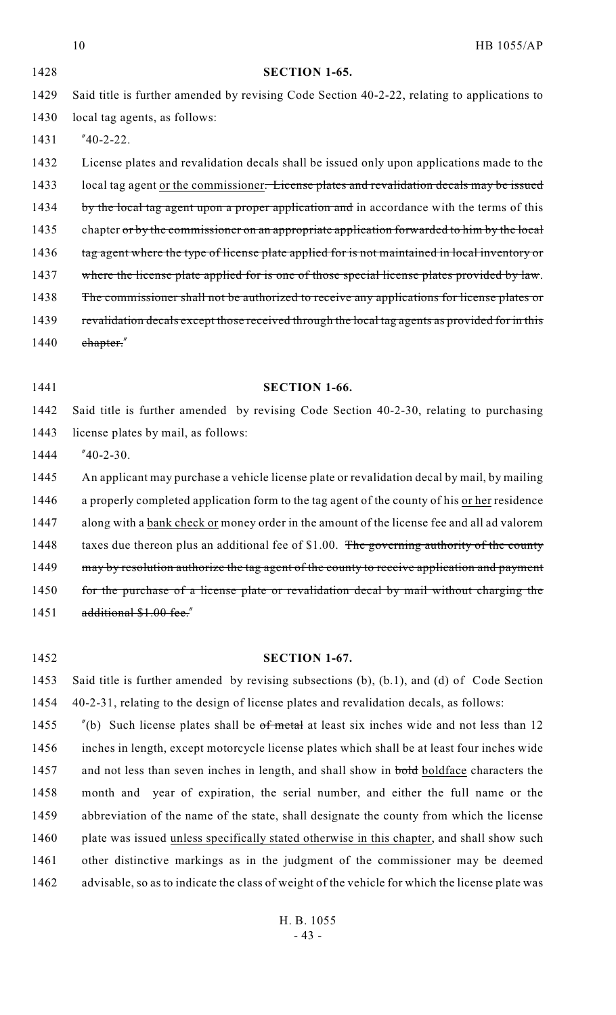|      | 10<br><b>HB 1055/AP</b>                                                                        |
|------|------------------------------------------------------------------------------------------------|
| 1428 | <b>SECTION 1-65.</b>                                                                           |
| 1429 | Said title is further amended by revising Code Section 40-2-22, relating to applications to    |
| 1430 | local tag agents, as follows:                                                                  |
| 1431 | $"40-2-22.$                                                                                    |
| 1432 | License plates and revalidation decals shall be issued only upon applications made to the      |
| 1433 | local tag agent or the commissioner. License plates and revalidation decals may be issued      |
| 1434 | by the local tag agent upon a proper application and in accordance with the terms of this      |
| 1435 | chapter or by the commissioner on an appropriate application forwarded to him by the local     |
| 1436 | tag agent where the type of license plate applied for is not maintained in local inventory or  |
| 1437 | where the license plate applied for is one of those special license plates provided by law.    |
| 1438 | The commissioner shall not be authorized to receive any applications for license plates or     |
| 1439 | revalidation decals except those received through the local tag agents as provided for in this |
| 1440 | chapter."                                                                                      |
|      |                                                                                                |
|      |                                                                                                |
| 1441 | <b>SECTION 1-66.</b>                                                                           |
| 1442 | Said title is further amended by revising Code Section 40-2-30, relating to purchasing         |
| 1443 | license plates by mail, as follows:                                                            |
| 1444 | $"40-2-30.$                                                                                    |
| 1445 | An applicant may purchase a vehicle license plate or revalidation decal by mail, by mailing    |
| 1446 | a properly completed application form to the tag agent of the county of his or her residence   |
| 1447 | along with a bank check or money order in the amount of the license fee and all ad valorem     |
| 1448 | taxes due thereon plus an additional fee of \$1.00. The governing authority of the county      |
| 1449 | may by resolution authorize the tag agent of the county to receive application and payment     |
| 1450 | for the purchase of a license plate or revalidation decal by mail without charging the         |
| 1451 | additional \$1.00 fee."                                                                        |
|      |                                                                                                |
| 1452 | SECTION 1-67.                                                                                  |

40-2-31, relating to the design of license plates and revalidation decals, as follows:

 "(b) Such license plates shall be of metal at least six inches wide and not less than 12 inches in length, except motorcycle license plates which shall be at least four inches wide 1457 and not less than seven inches in length, and shall show in bold boldface characters the month and year of expiration, the serial number, and either the full name or the abbreviation of the name of the state, shall designate the county from which the license plate was issued unless specifically stated otherwise in this chapter, and shall show such other distinctive markings as in the judgment of the commissioner may be deemed advisable, so as to indicate the class of weight of the vehicle for which the license plate was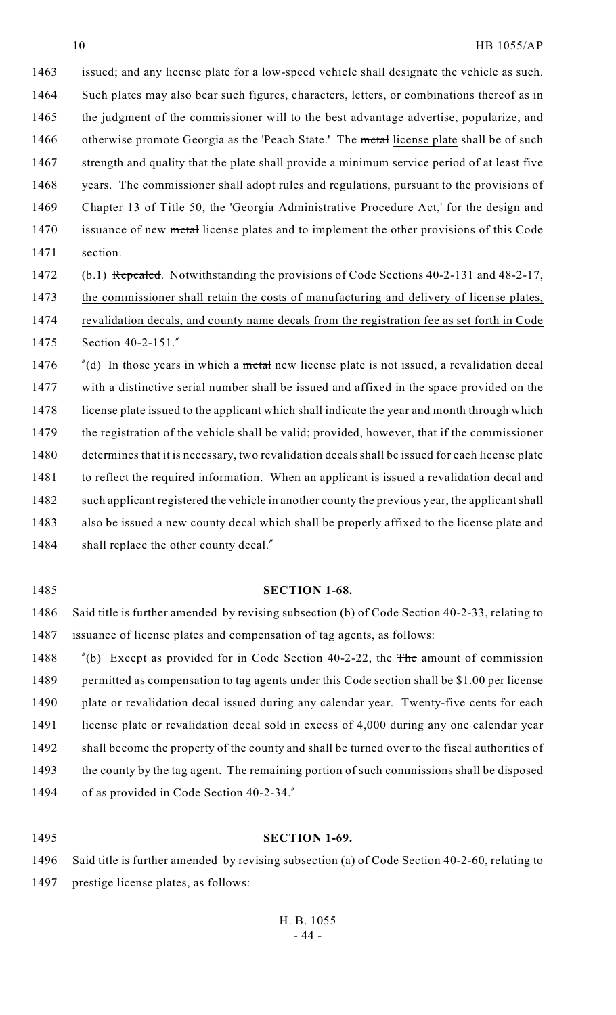1463 issued; and any license plate for a low-speed vehicle shall designate the vehicle as such. 1464 Such plates may also bear such figures, characters, letters, or combinations thereof as in 1465 the judgment of the commissioner will to the best advantage advertise, popularize, and 1466 otherwise promote Georgia as the 'Peach State.' The metal license plate shall be of such 1467 strength and quality that the plate shall provide a minimum service period of at least five 1468 years. The commissioner shall adopt rules and regulations, pursuant to the provisions of 1469 Chapter 13 of Title 50, the 'Georgia Administrative Procedure Act,' for the design and 1470 issuance of new metal license plates and to implement the other provisions of this Code 1471 section.

- 1472 (b.1) Repealed. Notwithstanding the provisions of Code Sections 40-2-131 and 48-2-17,
- 1473 the commissioner shall retain the costs of manufacturing and delivery of license plates,
- 1474 revalidation decals, and county name decals from the registration fee as set forth in Code 1475 Section 40-2-151."
- 1476  $\frac{d}{dt}$   $\left( d \right)$  In those years in which a metal new license plate is not issued, a revalidation decal 1477 with a distinctive serial number shall be issued and affixed in the space provided on the 1478 license plate issued to the applicant which shall indicate the year and month through which 1479 the registration of the vehicle shall be valid; provided, however, that if the commissioner 1480 determines that it is necessary, two revalidation decals shall be issued for each license plate 1481 to reflect the required information. When an applicant is issued a revalidation decal and 1482 such applicant registered the vehicle in another county the previous year, the applicant shall 1483 also be issued a new county decal which shall be properly affixed to the license plate and 1484 shall replace the other county decal."
- 

### 1485 **SECTION 1-68.**

1486 Said title is further amended by revising subsection (b) of Code Section 40-2-33, relating to 1487 issuance of license plates and compensation of tag agents, as follows:

1488 "(b) Except as provided for in Code Section 40-2-22, the The amount of commission 1489 permitted as compensation to tag agents under this Code section shall be \$1.00 per license 1490 plate or revalidation decal issued during any calendar year. Twenty-five cents for each 1491 license plate or revalidation decal sold in excess of 4,000 during any one calendar year 1492 shall become the property of the county and shall be turned over to the fiscal authorities of 1493 the county by the tag agent. The remaining portion of such commissions shall be disposed 1494 of as provided in Code Section 40-2-34."

#### 1495 **SECTION 1-69.**

1496 Said title is further amended by revising subsection (a) of Code Section 40-2-60, relating to 1497 prestige license plates, as follows: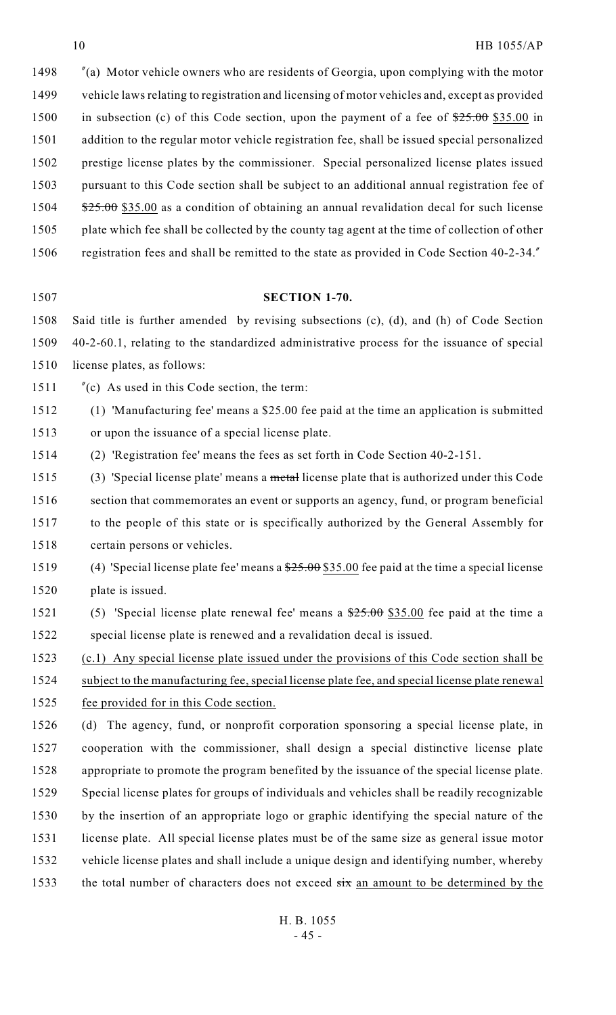"(a) Motor vehicle owners who are residents of Georgia, upon complying with the motor vehicle laws relating to registration and licensing of motor vehicles and, except as provided 1500 in subsection (c) of this Code section, upon the payment of a fee of  $\frac{25.00}{25.00}$  \$35.00 in addition to the regular motor vehicle registration fee, shall be issued special personalized prestige license plates by the commissioner. Special personalized license plates issued pursuant to this Code section shall be subject to an additional annual registration fee of 1504 \$25.00 \$35.00 as a condition of obtaining an annual revalidation decal for such license plate which fee shall be collected by the county tag agent at the time of collection of other registration fees and shall be remitted to the state as provided in Code Section 40-2-34."

# **SECTION 1-70.**

 Said title is further amended by revising subsections (c), (d), and (h) of Code Section 40-2-60.1, relating to the standardized administrative process for the issuance of special license plates, as follows:

- "(c) As used in this Code section, the term:
- (1) 'Manufacturing fee' means a \$25.00 fee paid at the time an application is submitted or upon the issuance of a special license plate.
- (2) 'Registration fee' means the fees as set forth in Code Section 40-2-151.

1515 (3) 'Special license plate' means a metal license plate that is authorized under this Code section that commemorates an event or supports an agency, fund, or program beneficial to the people of this state or is specifically authorized by the General Assembly for certain persons or vehicles.

- 1519 (4) 'Special license plate fee' means a  $\frac{$25.00}{$35.00}$  fee paid at the time a special license plate is issued.
- 1521 (5) 'Special license plate renewal fee' means a  $\frac{$25.00}{$35.00}$  fee paid at the time a special license plate is renewed and a revalidation decal is issued.

1523 (c.1) Any special license plate issued under the provisions of this Code section shall be subject to the manufacturing fee, special license plate fee, and special license plate renewal

1525 fee provided for in this Code section.

 (d) The agency, fund, or nonprofit corporation sponsoring a special license plate, in cooperation with the commissioner, shall design a special distinctive license plate appropriate to promote the program benefited by the issuance of the special license plate. Special license plates for groups of individuals and vehicles shall be readily recognizable by the insertion of an appropriate logo or graphic identifying the special nature of the license plate. All special license plates must be of the same size as general issue motor vehicle license plates and shall include a unique design and identifying number, whereby 1533 the total number of characters does not exceed  $\frac{1}{x}$  an amount to be determined by the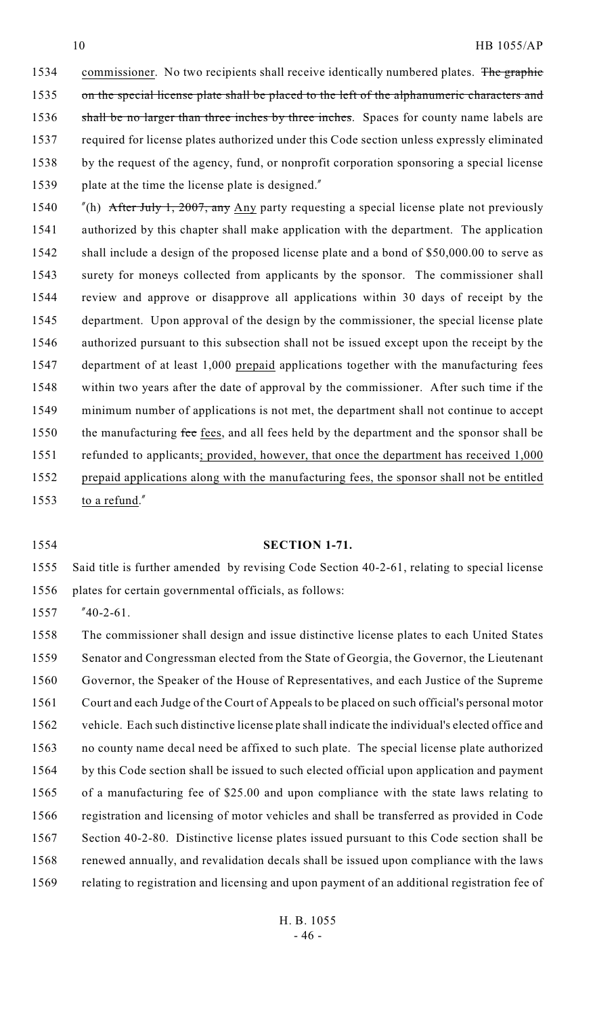1534 commissioner. No two recipients shall receive identically numbered plates. The graphic on the special license plate shall be placed to the left of the alphanumeric characters and 1536 shall be no larger than three inches by three inches. Spaces for county name labels are required for license plates authorized under this Code section unless expressly eliminated by the request of the agency, fund, or nonprofit corporation sponsoring a special license plate at the time the license plate is designed."

1540 "(h) After July 1, 2007, any Any party requesting a special license plate not previously authorized by this chapter shall make application with the department. The application 1542 shall include a design of the proposed license plate and a bond of \$50,000.00 to serve as surety for moneys collected from applicants by the sponsor. The commissioner shall review and approve or disapprove all applications within 30 days of receipt by the department. Upon approval of the design by the commissioner, the special license plate authorized pursuant to this subsection shall not be issued except upon the receipt by the department of at least 1,000 prepaid applications together with the manufacturing fees within two years after the date of approval by the commissioner. After such time if the minimum number of applications is not met, the department shall not continue to accept 1550 the manufacturing fee fees, and all fees held by the department and the sponsor shall be 1551 refunded to applicants; provided, however, that once the department has received 1,000 prepaid applications along with the manufacturing fees, the sponsor shall not be entitled 1553 to a refund."

#### **SECTION 1-71.**

 Said title is further amended by revising Code Section 40-2-61, relating to special license plates for certain governmental officials, as follows:

"40-2-61.

 The commissioner shall design and issue distinctive license plates to each United States Senator and Congressman elected from the State of Georgia, the Governor, the Lieutenant Governor, the Speaker of the House of Representatives, and each Justice of the Supreme Court and each Judge of the Court of Appeals to be placed on such official's personal motor vehicle. Each such distinctive license plate shall indicate the individual's elected office and no county name decal need be affixed to such plate. The special license plate authorized by this Code section shall be issued to such elected official upon application and payment of a manufacturing fee of \$25.00 and upon compliance with the state laws relating to registration and licensing of motor vehicles and shall be transferred as provided in Code Section 40-2-80. Distinctive license plates issued pursuant to this Code section shall be 1568 renewed annually, and revalidation decals shall be issued upon compliance with the laws relating to registration and licensing and upon payment of an additional registration fee of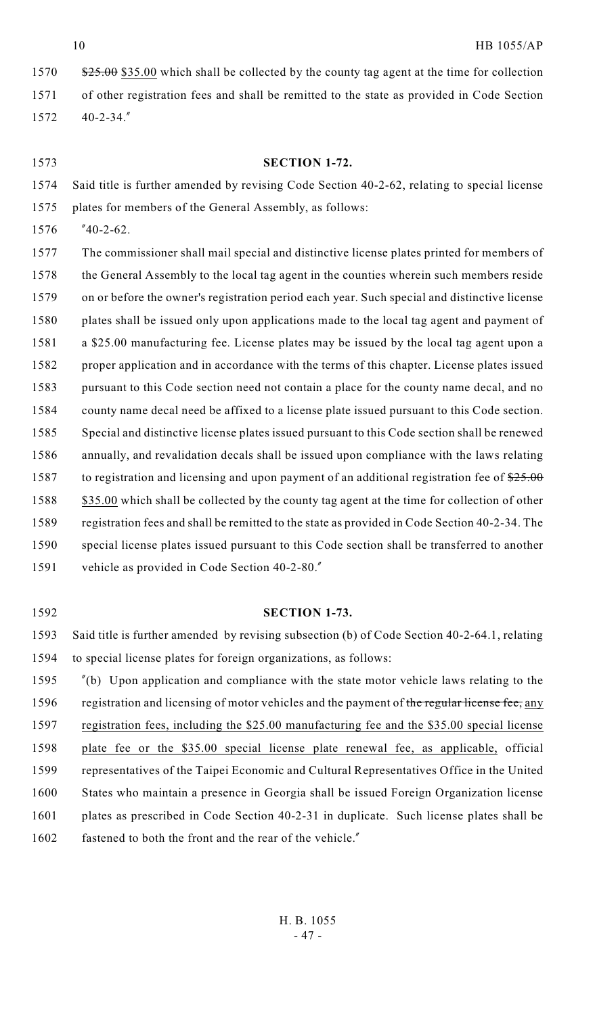1570 \$25.00 \$35.00 which shall be collected by the county tag agent at the time for collection of other registration fees and shall be remitted to the state as provided in Code Section 40-2-34."

# **SECTION 1-72.**

 Said title is further amended by revising Code Section 40-2-62, relating to special license plates for members of the General Assembly, as follows:

"40-2-62.

 The commissioner shall mail special and distinctive license plates printed for members of the General Assembly to the local tag agent in the counties wherein such members reside on or before the owner's registration period each year. Such special and distinctive license plates shall be issued only upon applications made to the local tag agent and payment of a \$25.00 manufacturing fee. License plates may be issued by the local tag agent upon a proper application and in accordance with the terms of this chapter. License plates issued pursuant to this Code section need not contain a place for the county name decal, and no county name decal need be affixed to a license plate issued pursuant to this Code section. Special and distinctive license plates issued pursuant to this Code section shall be renewed annually, and revalidation decals shall be issued upon compliance with the laws relating 1587 to registration and licensing and upon payment of an additional registration fee of  $25.00$ 1588 \$35.00 which shall be collected by the county tag agent at the time for collection of other registration fees and shall be remitted to the state as provided in Code Section 40-2-34. The special license plates issued pursuant to this Code section shall be transferred to another vehicle as provided in Code Section 40-2-80."

# **SECTION 1-73.**

 Said title is further amended by revising subsection (b) of Code Section 40-2-64.1, relating to special license plates for foreign organizations, as follows:

 "(b) Upon application and compliance with the state motor vehicle laws relating to the 1596 registration and licensing of motor vehicles and the payment of the regular license fee, any registration fees, including the \$25.00 manufacturing fee and the \$35.00 special license plate fee or the \$35.00 special license plate renewal fee, as applicable, official representatives of the Taipei Economic and Cultural Representatives Office in the United States who maintain a presence in Georgia shall be issued Foreign Organization license plates as prescribed in Code Section 40-2-31 in duplicate. Such license plates shall be 1602 fastened to both the front and the rear of the vehicle."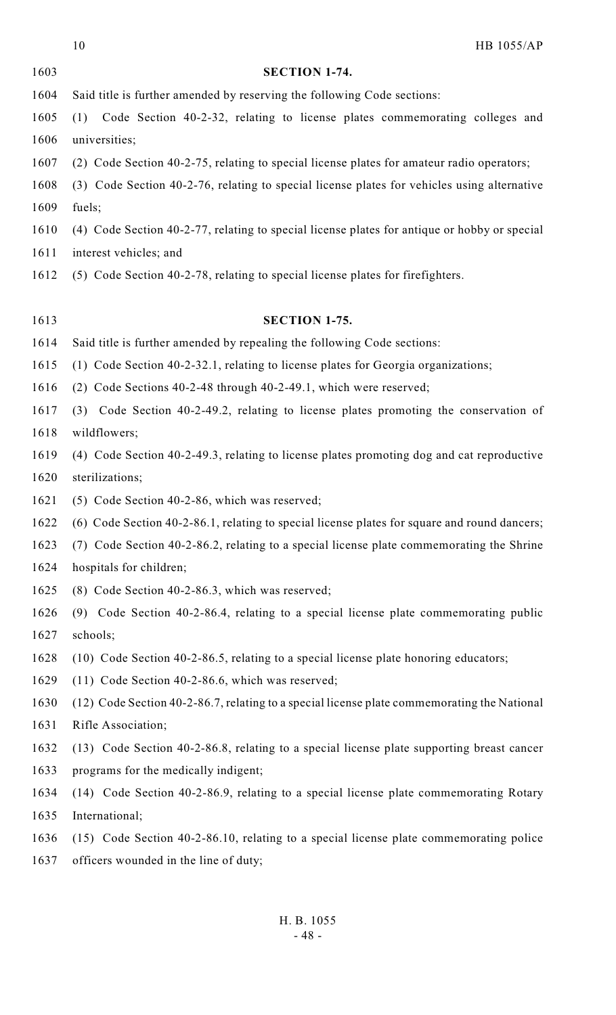HB 1055/AP **SECTION 1-74.** Said title is further amended by reserving the following Code sections: (1) Code Section 40-2-32, relating to license plates commemorating colleges and 1606 universities; (2) Code Section 40-2-75, relating to special license plates for amateur radio operators; (3) Code Section 40-2-76, relating to special license plates for vehicles using alternative fuels; (4) Code Section 40-2-77, relating to special license plates for antique or hobby or special interest vehicles; and (5) Code Section 40-2-78, relating to special license plates for firefighters. **SECTION 1-75.** Said title is further amended by repealing the following Code sections: (1) Code Section 40-2-32.1, relating to license plates for Georgia organizations; (2) Code Sections 40-2-48 through 40-2-49.1, which were reserved; (3) Code Section 40-2-49.2, relating to license plates promoting the conservation of wildflowers; (4) Code Section 40-2-49.3, relating to license plates promoting dog and cat reproductive sterilizations; (5) Code Section 40-2-86, which was reserved; (6) Code Section 40-2-86.1, relating to special license plates for square and round dancers; (7) Code Section 40-2-86.2, relating to a special license plate commemorating the Shrine hospitals for children; (8) Code Section 40-2-86.3, which was reserved; (9) Code Section 40-2-86.4, relating to a special license plate commemorating public schools; (10) Code Section 40-2-86.5, relating to a special license plate honoring educators; (11) Code Section 40-2-86.6, which was reserved; (12) Code Section 40-2-86.7, relating to a special license plate commemorating the National Rifle Association; (13) Code Section 40-2-86.8, relating to a special license plate supporting breast cancer programs for the medically indigent; (14) Code Section 40-2-86.9, relating to a special license plate commemorating Rotary International; (15) Code Section 40-2-86.10, relating to a special license plate commemorating police officers wounded in the line of duty;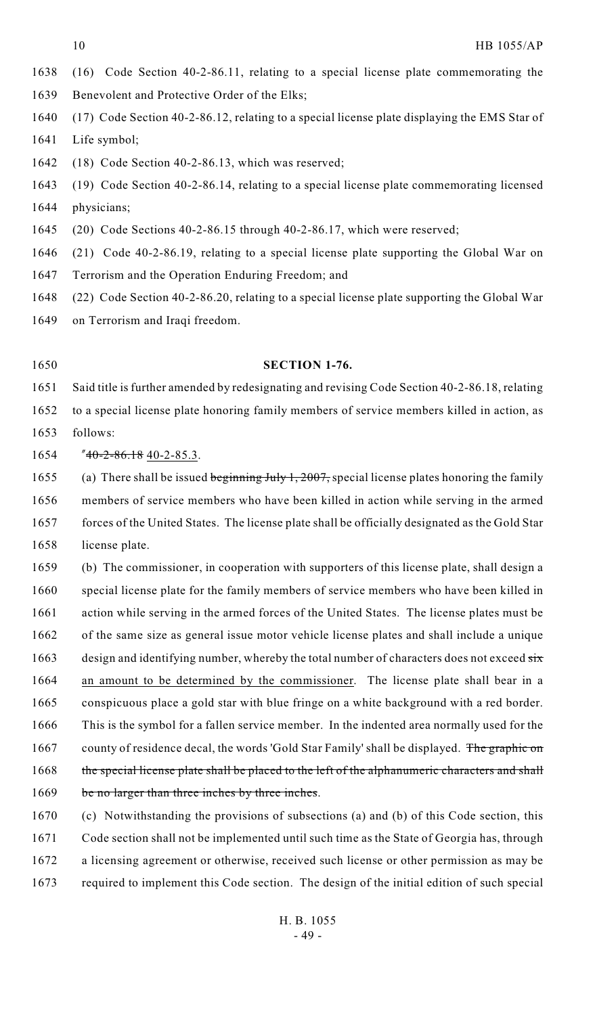- (16) Code Section 40-2-86.11, relating to a special license plate commemorating the
- Benevolent and Protective Order of the Elks;
- (17) Code Section 40-2-86.12, relating to a special license plate displaying the EMS Star of Life symbol;
- (18) Code Section 40-2-86.13, which was reserved;
- (19) Code Section 40-2-86.14, relating to a special license plate commemorating licensed physicians;
- (20) Code Sections 40-2-86.15 through 40-2-86.17, which were reserved;
- (21) Code 40-2-86.19, relating to a special license plate supporting the Global War on
- Terrorism and the Operation Enduring Freedom; and
- (22) Code Section 40-2-86.20, relating to a special license plate supporting the Global War
- on Terrorism and Iraqi freedom.
- 

# **SECTION 1-76.**

 Said title is further amended by redesignating and revising Code Section 40-2-86.18, relating to a special license plate honoring family members of service members killed in action, as follows:

"40-2-86.18 40-2-85.3.

1655 (a) There shall be issued beginning July 1, 2007, special license plates honoring the family members of service members who have been killed in action while serving in the armed 1657 forces of the United States. The license plate shall be officially designated as the Gold Star license plate.

 (b) The commissioner, in cooperation with supporters of this license plate, shall design a special license plate for the family members of service members who have been killed in 1661 action while serving in the armed forces of the United States. The license plates must be 1662 of the same size as general issue motor vehicle license plates and shall include a unique 1663 design and identifying number, whereby the total number of characters does not exceed six an amount to be determined by the commissioner. The license plate shall bear in a conspicuous place a gold star with blue fringe on a white background with a red border. This is the symbol for a fallen service member. In the indented area normally used for the 1667 county of residence decal, the words 'Gold Star Family' shall be displayed. The graphic on 1668 the special license plate shall be placed to the left of the alphanumeric characters and shall 1669 be no larger than three inches by three inches.

 (c) Notwithstanding the provisions of subsections (a) and (b) of this Code section, this Code section shall not be implemented until such time as the State of Georgia has, through a licensing agreement or otherwise, received such license or other permission as may be required to implement this Code section. The design of the initial edition of such special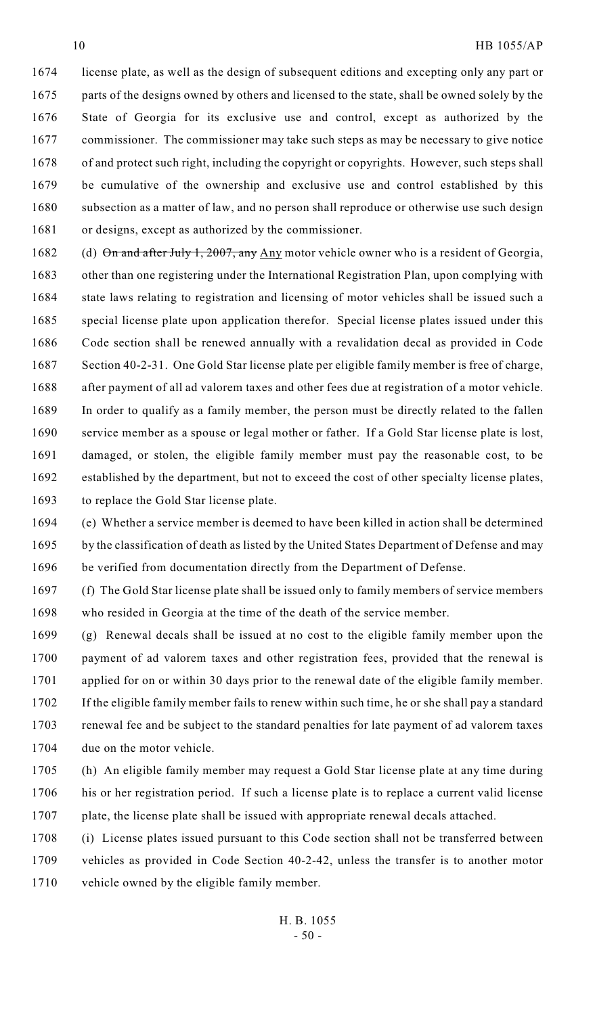license plate, as well as the design of subsequent editions and excepting only any part or parts of the designs owned by others and licensed to the state, shall be owned solely by the State of Georgia for its exclusive use and control, except as authorized by the 1677 commissioner. The commissioner may take such steps as may be necessary to give notice 1678 of and protect such right, including the copyright or copyrights. However, such steps shall be cumulative of the ownership and exclusive use and control established by this 1680 subsection as a matter of law, and no person shall reproduce or otherwise use such design

or designs, except as authorized by the commissioner.

1682 (d) On and after July 1, 2007, any Any motor vehicle owner who is a resident of Georgia, other than one registering under the International Registration Plan, upon complying with 1684 state laws relating to registration and licensing of motor vehicles shall be issued such a special license plate upon application therefor. Special license plates issued under this Code section shall be renewed annually with a revalidation decal as provided in Code Section 40-2-31. One Gold Star license plate per eligible family member is free of charge, after payment of all ad valorem taxes and other fees due at registration of a motor vehicle. In order to qualify as a family member, the person must be directly related to the fallen service member as a spouse or legal mother or father. If a Gold Star license plate is lost, damaged, or stolen, the eligible family member must pay the reasonable cost, to be established by the department, but not to exceed the cost of other specialty license plates, to replace the Gold Star license plate.

 (e) Whether a service member is deemed to have been killed in action shall be determined 1695 by the classification of death as listed by the United States Department of Defense and may be verified from documentation directly from the Department of Defense.

 (f) The Gold Star license plate shall be issued only to family members of service members who resided in Georgia at the time of the death of the service member.

 (g) Renewal decals shall be issued at no cost to the eligible family member upon the payment of ad valorem taxes and other registration fees, provided that the renewal is 1701 applied for on or within 30 days prior to the renewal date of the eligible family member. If the eligible family member fails to renew within such time, he or she shall pay a standard renewal fee and be subject to the standard penalties for late payment of ad valorem taxes due on the motor vehicle.

- (h) An eligible family member may request a Gold Star license plate at any time during his or her registration period. If such a license plate is to replace a current valid license 1707 plate, the license plate shall be issued with appropriate renewal decals attached.
- (i) License plates issued pursuant to this Code section shall not be transferred between vehicles as provided in Code Section 40-2-42, unless the transfer is to another motor vehicle owned by the eligible family member.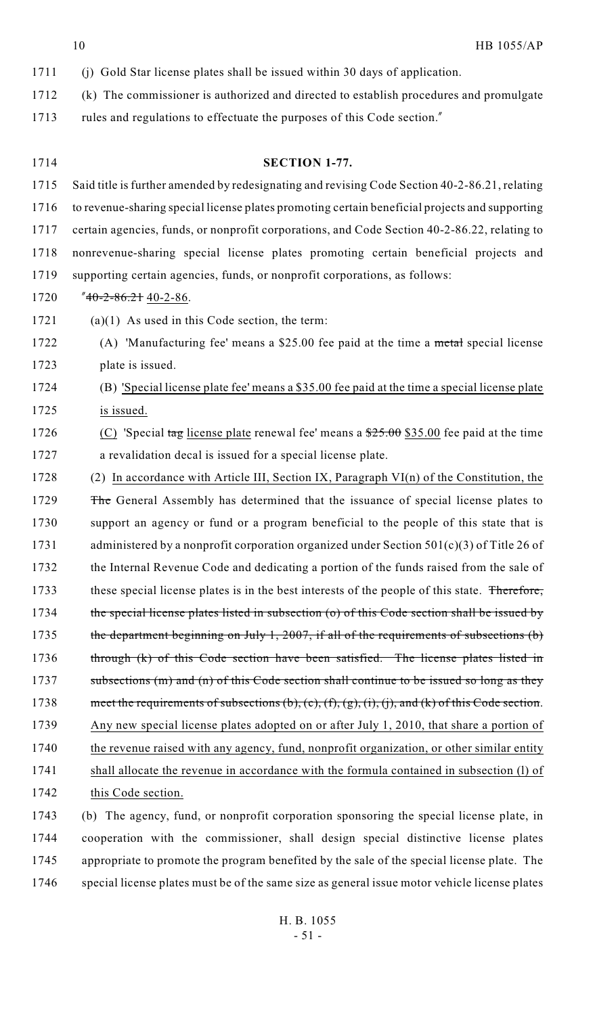| 1711 | (i) Gold Star license plates shall be issued within 30 days of application.                      |
|------|--------------------------------------------------------------------------------------------------|
| 1712 | (k) The commissioner is authorized and directed to establish procedures and promulgate           |
| 1713 | rules and regulations to effectuate the purposes of this Code section."                          |
|      |                                                                                                  |
| 1714 | SECTION 1-77.                                                                                    |
| 1715 | Said title is further amended by redesignating and revising Code Section 40-2-86.21, relating    |
| 1716 | to revenue-sharing special license plates promoting certain beneficial projects and supporting   |
| 1717 | certain agencies, funds, or nonprofit corporations, and Code Section 40-2-86.22, relating to     |
| 1718 | nonrevenue-sharing special license plates promoting certain beneficial projects and              |
| 1719 | supporting certain agencies, funds, or nonprofit corporations, as follows:                       |
| 1720 | $"40-2-86.2140-2-86.$                                                                            |
| 1721 | $(a)(1)$ As used in this Code section, the term:                                                 |
| 1722 | (A) 'Manufacturing fee' means a \$25.00 fee paid at the time a metal special license             |
| 1723 | plate is issued.                                                                                 |
| 1724 | (B) 'Special license plate fee' means a \$35.00 fee paid at the time a special license plate     |
| 1725 | is issued.                                                                                       |
| 1726 | (C) 'Special tag license plate renewal fee' means a $\frac{$25.00}{$25.00}$ fee paid at the time |
| 1727 | a revalidation decal is issued for a special license plate.                                      |
| 1728 | (2) In accordance with Article III, Section IX, Paragraph $VI(n)$ of the Constitution, the       |
| 1729 | The General Assembly has determined that the issuance of special license plates to               |
| 1730 | support an agency or fund or a program beneficial to the people of this state that is            |
| 1731 | administered by a nonprofit corporation organized under Section $501(c)(3)$ of Title 26 of       |
| 1732 | the Internal Revenue Code and dedicating a portion of the funds raised from the sale of          |
| 1733 | these special license plates is in the best interests of the people of this state. Therefore,    |
| 1734 | the special license plates listed in subsection $(o)$ of this Code section shall be issued by    |
| 1735 | the department beginning on July 1, 2007, if all of the requirements of subsections (b)          |
| 1736 | through (k) of this Code section have been satisfied. The license plates listed in               |
| 1737 | subsections (m) and (n) of this Code section shall continue to be issued so long as they         |
| 1738 | meet the requirements of subsections (b), (c), (f), (g), (i), (j), and (k) of this Code section. |
| 1739 | Any new special license plates adopted on or after July 1, 2010, that share a portion of         |
| 1740 | the revenue raised with any agency, fund, nonprofit organization, or other similar entity        |
| 1741 | shall allocate the revenue in accordance with the formula contained in subsection (1) of         |
| 1742 | this Code section.                                                                               |
| 1743 | (b) The agency, fund, or nonprofit corporation sponsoring the special license plate, in          |
| 1744 | cooperation with the commissioner, shall design special distinctive license plates               |
| 1745 | appropriate to promote the program benefited by the sale of the special license plate. The       |
| 1746 | special license plates must be of the same size as general issue motor vehicle license plates    |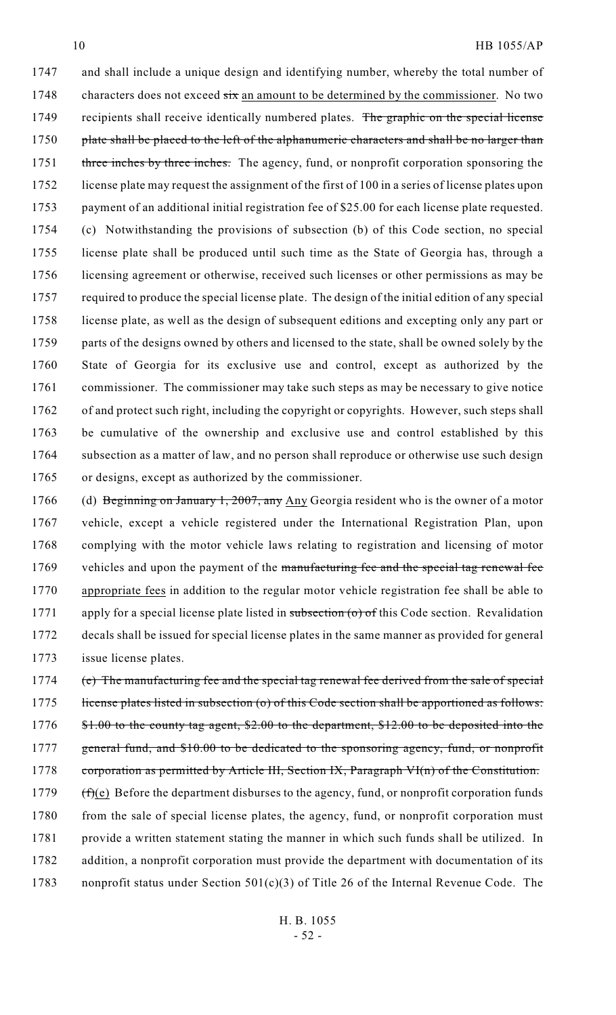and shall include a unique design and identifying number, whereby the total number of characters does not exceed six an amount to be determined by the commissioner. No two 1749 recipients shall receive identically numbered plates. The graphic on the special license 1750 plate shall be placed to the left of the alphanumeric characters and shall be no larger than 1751 three inches by three inches. The agency, fund, or nonprofit corporation sponsoring the license plate may request the assignment of the first of 100 in a series of license plates upon payment of an additional initial registration fee of \$25.00 for each license plate requested. (c) Notwithstanding the provisions of subsection (b) of this Code section, no special license plate shall be produced until such time as the State of Georgia has, through a 1756 licensing agreement or otherwise, received such licenses or other permissions as may be required to produce the special license plate. The design of the initial edition of any special license plate, as well as the design of subsequent editions and excepting only any part or 1759 parts of the designs owned by others and licensed to the state, shall be owned solely by the State of Georgia for its exclusive use and control, except as authorized by the 1761 commissioner. The commissioner may take such steps as may be necessary to give notice of and protect such right, including the copyright or copyrights. However, such steps shall be cumulative of the ownership and exclusive use and control established by this 1764 subsection as a matter of law, and no person shall reproduce or otherwise use such design or designs, except as authorized by the commissioner.

1766 (d) Beginning on January 1, 2007, any Any Georgia resident who is the owner of a motor vehicle, except a vehicle registered under the International Registration Plan, upon complying with the motor vehicle laws relating to registration and licensing of motor 1769 vehicles and upon the payment of the manufacturing fee and the special tag renewal fee appropriate fees in addition to the regular motor vehicle registration fee shall be able to 1771 apply for a special license plate listed in subsection (o) of this Code section. Revalidation decals shall be issued for special license plates in the same manner as provided for general issue license plates.

1774 (e) The manufacturing fee and the special tag renewal fee derived from the sale of special 1775 license plates listed in subsection (o) of this Code section shall be apportioned as follows: 1776 \$1.00 to the county tag agent, \$2.00 to the department, \$12.00 to be deposited into the 1777 general fund, and \$10.00 to be dedicated to the sponsoring agency, fund, or nonprofit 1778 corporation as permitted by Article III, Section IX, Paragraph VI(n) of the Constitution. 1779  $(f)(e)$  Before the department disburses to the agency, fund, or nonprofit corporation funds 1780 from the sale of special license plates, the agency, fund, or nonprofit corporation must 1781 provide a written statement stating the manner in which such funds shall be utilized. In 1782 addition, a nonprofit corporation must provide the department with documentation of its 1783 nonprofit status under Section 501(c)(3) of Title 26 of the Internal Revenue Code. The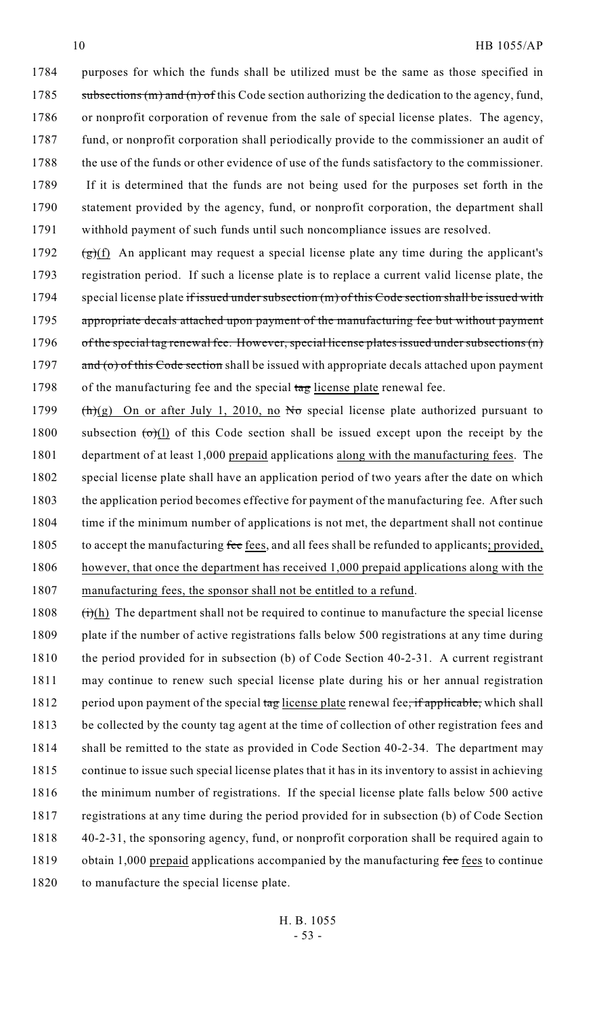purposes for which the funds shall be utilized must be the same as those specified in 1785 subsections (m) and (n) of this Code section authorizing the dedication to the agency, fund, or nonprofit corporation of revenue from the sale of special license plates. The agency, fund, or nonprofit corporation shall periodically provide to the commissioner an audit of 1788 the use of the funds or other evidence of use of the funds satisfactory to the commissioner. 1789 If it is determined that the funds are not being used for the purposes set forth in the statement provided by the agency, fund, or nonprofit corporation, the department shall withhold payment of such funds until such noncompliance issues are resolved.

1792  $(g)(f)$  An applicant may request a special license plate any time during the applicant's 1793 registration period. If such a license plate is to replace a current valid license plate, the 1794 special license plate if issued under subsection (m) of this Code section shall be issued with 1795 appropriate decals attached upon payment of the manufacturing fee but without payment 1796 of the special tag renewal fee. However, special license plates issued under subsections (n) 1797  $\alpha$  and (o) of this Code section shall be issued with appropriate decals attached upon payment 1798 of the manufacturing fee and the special tag license plate renewal fee.

1799 (h)(g) On or after July 1, 2010, no No special license plate authorized pursuant to 1800 subsection  $\left(\frac{\theta(1)}{2}\right)$  of this Code section shall be issued except upon the receipt by the 1801 department of at least 1,000 prepaid applications along with the manufacturing fees. The 1802 special license plate shall have an application period of two years after the date on which 1803 the application period becomes effective for payment of the manufacturing fee. After such 1804 time if the minimum number of applications is not met, the department shall not continue 1805 to accept the manufacturing fee fees, and all fees shall be refunded to applicants; provided, 1806 however, that once the department has received 1,000 prepaid applications along with the 1807 manufacturing fees, the sponsor shall not be entitled to a refund.

 $(i)(h)$  The department shall not be required to continue to manufacture the special license plate if the number of active registrations falls below 500 registrations at any time during the period provided for in subsection (b) of Code Section 40-2-31. A current registrant may continue to renew such special license plate during his or her annual registration 1812 period upon payment of the special tag license plate renewal fee, if applicable, which shall be collected by the county tag agent at the time of collection of other registration fees and 1814 shall be remitted to the state as provided in Code Section 40-2-34. The department may continue to issue such special license plates that it has in its inventory to assist in achieving 1816 the minimum number of registrations. If the special license plate falls below 500 active registrations at any time during the period provided for in subsection (b) of Code Section 40-2-31, the sponsoring agency, fund, or nonprofit corporation shall be required again to 1819 obtain 1,000 prepaid applications accompanied by the manufacturing fee fees to continue to manufacture the special license plate.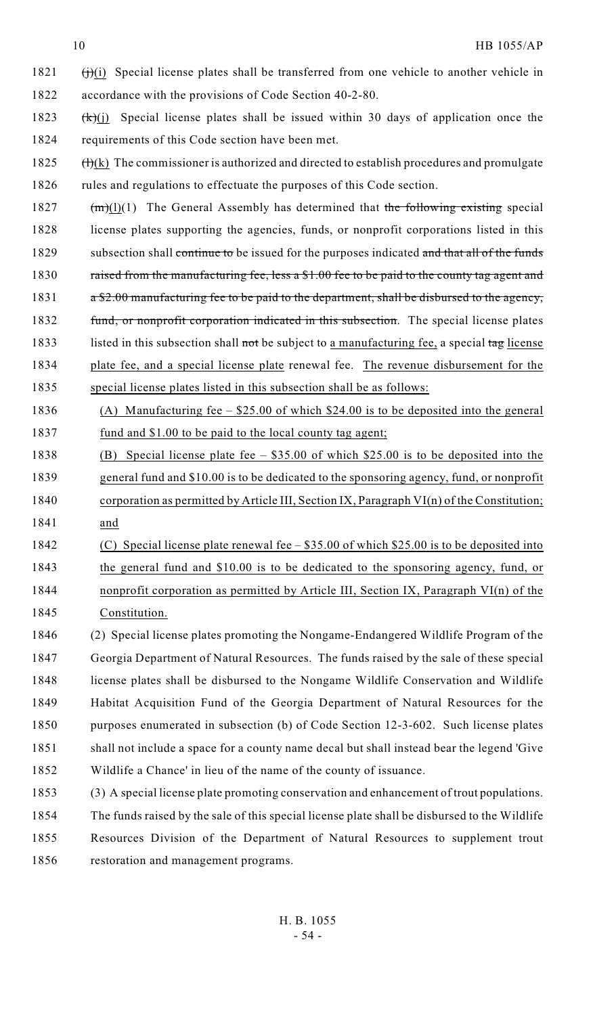- (i) Special license plates shall be transferred from one vehicle to another vehicle in accordance with the provisions of Code Section 40-2-80.
- 1823  $(k)(i)$  Special license plates shall be issued within 30 days of application once the requirements of this Code section have been met.
- 1825  $(H)(k)$  The commissioner is authorized and directed to establish procedures and promulgate 1826 rules and regulations to effectuate the purposes of this Code section.
- 1827  $(m)(1)$  The General Assembly has determined that the following existing special license plates supporting the agencies, funds, or nonprofit corporations listed in this 1829 subsection shall continue to be issued for the purposes indicated and that all of the funds 1830 raised from the manufacturing fee, less a \$1.00 fee to be paid to the county tag agent and 1831  $a \frac{1}{2} \cdot 00$  manufacturing fee to be paid to the department, shall be disbursed to the agency, 1832 fund, or nonprofit corporation indicated in this subsection. The special license plates
- 1833 listed in this subsection shall not be subject to a manufacturing fee, a special tag license plate fee, and a special license plate renewal fee. The revenue disbursement for the special license plates listed in this subsection shall be as follows:
- (A) Manufacturing fee \$25.00 of which \$24.00 is to be deposited into the general fund and \$1.00 to be paid to the local county tag agent;
- (B) Special license plate fee \$35.00 of which \$25.00 is to be deposited into the general fund and \$10.00 is to be dedicated to the sponsoring agency, fund, or nonprofit corporation as permitted by Article III, Section IX, Paragraph VI(n) of the Constitution; and
- (C) Special license plate renewal fee \$35.00 of which \$25.00 is to be deposited into the general fund and \$10.00 is to be dedicated to the sponsoring agency, fund, or nonprofit corporation as permitted by Article III, Section IX, Paragraph VI(n) of the Constitution.
- (2) Special license plates promoting the Nongame-Endangered Wildlife Program of the Georgia Department of Natural Resources. The funds raised by the sale of these special license plates shall be disbursed to the Nongame Wildlife Conservation and Wildlife Habitat Acquisition Fund of the Georgia Department of Natural Resources for the purposes enumerated in subsection (b) of Code Section 12-3-602. Such license plates shall not include a space for a county name decal but shall instead bear the legend 'Give Wildlife a Chance' in lieu of the name of the county of issuance.
- (3) A special license plate promoting conservation and enhancement of trout populations. The funds raised by the sale of this special license plate shall be disbursed to the Wildlife Resources Division of the Department of Natural Resources to supplement trout restoration and management programs.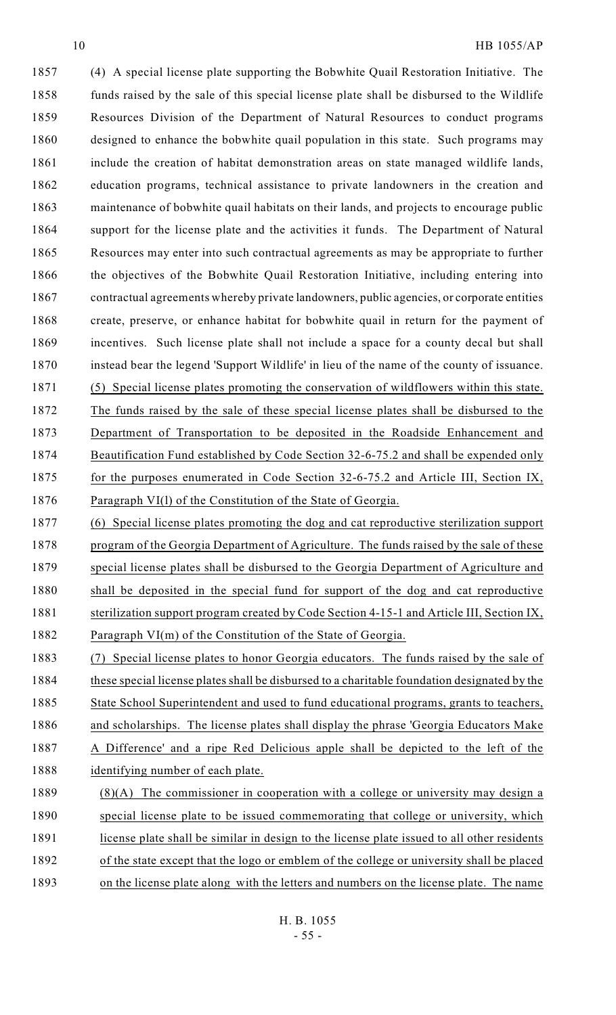(4) A special license plate supporting the Bobwhite Quail Restoration Initiative. The funds raised by the sale of this special license plate shall be disbursed to the Wildlife Resources Division of the Department of Natural Resources to conduct programs designed to enhance the bobwhite quail population in this state. Such programs may include the creation of habitat demonstration areas on state managed wildlife lands, education programs, technical assistance to private landowners in the creation and maintenance of bobwhite quail habitats on their lands, and projects to encourage public support for the license plate and the activities it funds. The Department of Natural Resources may enter into such contractual agreements as may be appropriate to further 1866 the objectives of the Bobwhite Quail Restoration Initiative, including entering into contractual agreements whereby private landowners, public agencies, or corporate entities create, preserve, or enhance habitat for bobwhite quail in return for the payment of incentives. Such license plate shall not include a space for a county decal but shall instead bear the legend 'Support Wildlife' in lieu of the name of the county of issuance. (5) Special license plates promoting the conservation of wildflowers within this state. The funds raised by the sale of these special license plates shall be disbursed to the Department of Transportation to be deposited in the Roadside Enhancement and Beautification Fund established by Code Section 32-6-75.2 and shall be expended only for the purposes enumerated in Code Section 32-6-75.2 and Article III, Section IX, Paragraph VI(l) of the Constitution of the State of Georgia.

 (6) Special license plates promoting the dog and cat reproductive sterilization support 1878 program of the Georgia Department of Agriculture. The funds raised by the sale of these special license plates shall be disbursed to the Georgia Department of Agriculture and shall be deposited in the special fund for support of the dog and cat reproductive 1881 sterilization support program created by Code Section 4-15-1 and Article III, Section IX, 1882 Paragraph VI(m) of the Constitution of the State of Georgia.

 (7) Special license plates to honor Georgia educators. The funds raised by the sale of these special license plates shall be disbursed to a charitable foundation designated by the 1885 State School Superintendent and used to fund educational programs, grants to teachers, 1886 and scholarships. The license plates shall display the phrase 'Georgia Educators Make A Difference' and a ripe Red Delicious apple shall be depicted to the left of the identifying number of each plate.

1889 (8)(A) The commissioner in cooperation with a college or university may design a 1890 special license plate to be issued commemorating that college or university, which license plate shall be similar in design to the license plate issued to all other residents of the state except that the logo or emblem of the college or university shall be placed on the license plate along with the letters and numbers on the license plate. The name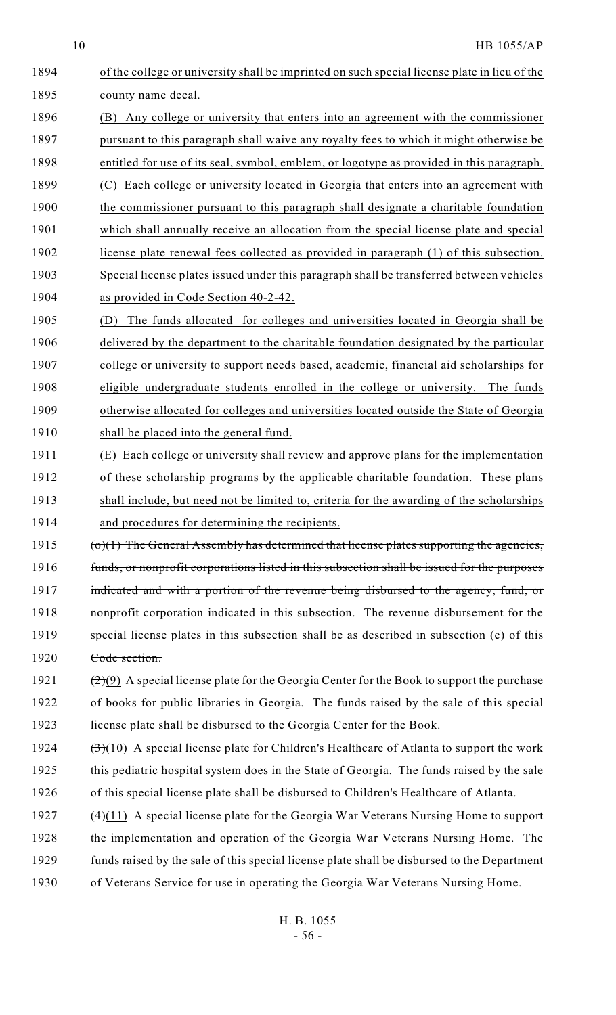| 1894 | of the college or university shall be imprinted on such special license plate in lieu of the                    |
|------|-----------------------------------------------------------------------------------------------------------------|
| 1895 | county name decal.                                                                                              |
| 1896 | Any college or university that enters into an agreement with the commissioner<br>(B)                            |
| 1897 | pursuant to this paragraph shall waive any royalty fees to which it might otherwise be                          |
| 1898 | entitled for use of its seal, symbol, emblem, or logotype as provided in this paragraph.                        |
| 1899 | Each college or university located in Georgia that enters into an agreement with<br>(C)                         |
| 1900 | the commissioner pursuant to this paragraph shall designate a charitable foundation                             |
| 1901 | which shall annually receive an allocation from the special license plate and special                           |
| 1902 | license plate renewal fees collected as provided in paragraph (1) of this subsection.                           |
| 1903 | Special license plates issued under this paragraph shall be transferred between vehicles                        |
| 1904 | as provided in Code Section 40-2-42.                                                                            |
| 1905 | The funds allocated for colleges and universities located in Georgia shall be<br>(D)                            |
| 1906 | delivered by the department to the charitable foundation designated by the particular                           |
| 1907 | college or university to support needs based, academic, financial aid scholarships for                          |
| 1908 | eligible undergraduate students enrolled in the college or university.<br>The funds                             |
| 1909 | otherwise allocated for colleges and universities located outside the State of Georgia                          |
| 1910 | shall be placed into the general fund.                                                                          |
| 1911 | (E) Each college or university shall review and approve plans for the implementation                            |
| 1912 | of these scholarship programs by the applicable charitable foundation. These plans                              |
| 1913 | shall include, but need not be limited to, criteria for the awarding of the scholarships                        |
| 1914 | and procedures for determining the recipients.                                                                  |
| 1915 | $\sigma$ (o)(1) The General Assembly has determined that license plates supporting the agencies,                |
| 1916 | funds, or nonprofit corporations listed in this subsection shall be issued for the purposes                     |
| 1917 | indicated and with a portion of the revenue being disbursed to the agency, fund, or                             |
| 1918 | nonprofit corporation indicated in this subsection. The revenue disbursement for the                            |
| 1919 | special license plates in this subsection shall be as described in subsection (e) of this                       |
| 1920 | Code section.                                                                                                   |
| 1921 | $(2)(9)$ A special license plate for the Georgia Center for the Book to support the purchase                    |
| 1922 | of books for public libraries in Georgia. The funds raised by the sale of this special                          |
| 1923 | license plate shall be disbursed to the Georgia Center for the Book.                                            |
| 1924 | $\left(\frac{3}{2}\right)(10)$ A special license plate for Children's Healthcare of Atlanta to support the work |
| 1925 | this pediatric hospital system does in the State of Georgia. The funds raised by the sale                       |
| 1926 | of this special license plate shall be disbursed to Children's Healthcare of Atlanta.                           |
| 1927 | $(4)(11)$ A special license plate for the Georgia War Veterans Nursing Home to support                          |
| 1928 | the implementation and operation of the Georgia War Veterans Nursing Home. The                                  |
| 1929 | funds raised by the sale of this special license plate shall be disbursed to the Department                     |
| 1930 | of Veterans Service for use in operating the Georgia War Veterans Nursing Home.                                 |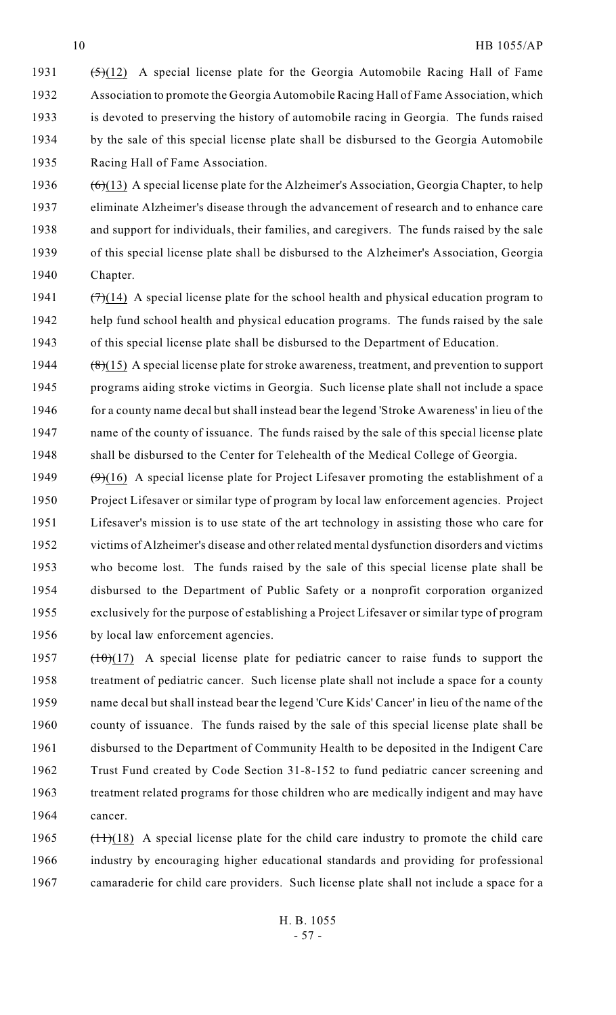- 1931  $(5)(12)$  A special license plate for the Georgia Automobile Racing Hall of Fame Association to promote the Georgia Automobile Racing Hall of Fame Association, which is devoted to preserving the history of automobile racing in Georgia. The funds raised by the sale of this special license plate shall be disbursed to the Georgia Automobile Racing Hall of Fame Association.
- 1936  $(6)(13)$  A special license plate for the Alzheimer's Association, Georgia Chapter, to help eliminate Alzheimer's disease through the advancement of research and to enhance care and support for individuals, their families, and caregivers. The funds raised by the sale of this special license plate shall be disbursed to the Alzheimer's Association, Georgia Chapter.
- 1941  $(\frac{7}{7})(14)$  A special license plate for the school health and physical education program to help fund school health and physical education programs. The funds raised by the sale of this special license plate shall be disbursed to the Department of Education.
- 1944  $(8)(15)$  A special license plate for stroke awareness, treatment, and prevention to support programs aiding stroke victims in Georgia. Such license plate shall not include a space for a county name decal but shall instead bear the legend 'Stroke Awareness' in lieu of the name of the county of issuance. The funds raised by the sale of this special license plate shall be disbursed to the Center for Telehealth of the Medical College of Georgia.
- 1949  $(\theta)(16)$  A special license plate for Project Lifesaver promoting the establishment of a Project Lifesaver or similar type of program by local law enforcement agencies. Project Lifesaver's mission is to use state of the art technology in assisting those who care for victims of Alzheimer's disease and other related mental dysfunction disorders and victims who become lost. The funds raised by the sale of this special license plate shall be disbursed to the Department of Public Safety or a nonprofit corporation organized exclusively for the purpose of establishing a Project Lifesaver or similar type of program by local law enforcement agencies.
- 1957 (10)(17) A special license plate for pediatric cancer to raise funds to support the treatment of pediatric cancer. Such license plate shall not include a space for a county name decal but shall instead bear the legend 'Cure Kids' Cancer' in lieu of the name of the county of issuance. The funds raised by the sale of this special license plate shall be disbursed to the Department of Community Health to be deposited in the Indigent Care Trust Fund created by Code Section 31-8-152 to fund pediatric cancer screening and treatment related programs for those children who are medically indigent and may have cancer.
- 1965  $(11)(18)$  A special license plate for the child care industry to promote the child care industry by encouraging higher educational standards and providing for professional camaraderie for child care providers. Such license plate shall not include a space for a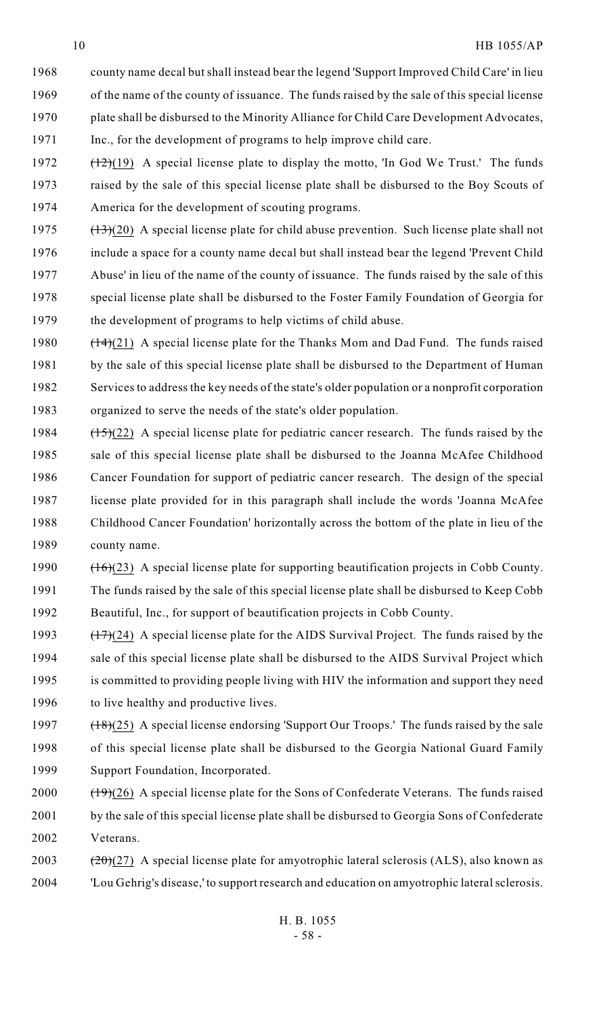- county name decal but shall instead bear the legend 'Support Improved Child Care' in lieu of the name of the county of issuance. The funds raised by the sale of this special license plate shall be disbursed to the Minority Alliance for Child Care Development Advocates, Inc., for the development of programs to help improve child care.
- 1972  $(12)(19)$  A special license plate to display the motto, 'In God We Trust.' The funds raised by the sale of this special license plate shall be disbursed to the Boy Scouts of America for the development of scouting programs.
- 1975  $(13)(20)$  A special license plate for child abuse prevention. Such license plate shall not include a space for a county name decal but shall instead bear the legend 'Prevent Child Abuse' in lieu of the name of the county of issuance. The funds raised by the sale of this special license plate shall be disbursed to the Foster Family Foundation of Georgia for the development of programs to help victims of child abuse.
- 1980  $(14)(21)$  A special license plate for the Thanks Mom and Dad Fund. The funds raised 1981 by the sale of this special license plate shall be disbursed to the Department of Human Services to address the key needs of the state's older population or a nonprofit corporation organized to serve the needs of the state's older population.
- 1984  $(15)(22)$  A special license plate for pediatric cancer research. The funds raised by the sale of this special license plate shall be disbursed to the Joanna McAfee Childhood Cancer Foundation for support of pediatric cancer research. The design of the special license plate provided for in this paragraph shall include the words 'Joanna McAfee Childhood Cancer Foundation' horizontally across the bottom of the plate in lieu of the county name.
- 1990  $(16)(23)$  A special license plate for supporting beautification projects in Cobb County. The funds raised by the sale of this special license plate shall be disbursed to Keep Cobb Beautiful, Inc., for support of beautification projects in Cobb County.
- 1993  $(17)(24)$  A special license plate for the AIDS Survival Project. The funds raised by the sale of this special license plate shall be disbursed to the AIDS Survival Project which is committed to providing people living with HIV the information and support they need 1996 to live healthy and productive lives.
- 1997  $(18)(25)$  A special license endorsing 'Support Our Troops.' The funds raised by the sale of this special license plate shall be disbursed to the Georgia National Guard Family Support Foundation, Incorporated.
- 2000  $(19)(26)$  A special license plate for the Sons of Confederate Veterans. The funds raised by the sale of this special license plate shall be disbursed to Georgia Sons of Confederate Veterans.
- 2003  $(20)$  (27) A special license plate for amyotrophic lateral sclerosis (ALS), also known as 'Lou Gehrig's disease,' to support research and education on amyotrophic lateral sclerosis.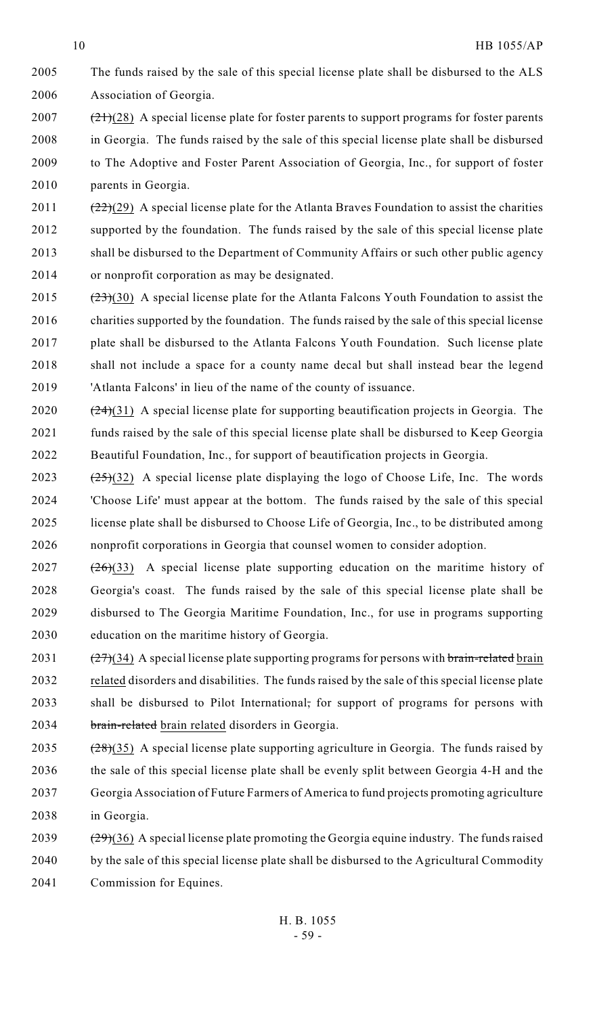- The funds raised by the sale of this special license plate shall be disbursed to the ALS Association of Georgia.
- (21)(28) A special license plate for foster parents to support programs for foster parents in Georgia. The funds raised by the sale of this special license plate shall be disbursed to The Adoptive and Foster Parent Association of Georgia, Inc., for support of foster parents in Georgia.
- 2011  $(22)(29)$  A special license plate for the Atlanta Braves Foundation to assist the charities supported by the foundation. The funds raised by the sale of this special license plate shall be disbursed to the Department of Community Affairs or such other public agency or nonprofit corporation as may be designated.
- 2015  $(23)(30)$  A special license plate for the Atlanta Falcons Youth Foundation to assist the charities supported by the foundation. The funds raised by the sale of this special license plate shall be disbursed to the Atlanta Falcons Youth Foundation. Such license plate shall not include a space for a county name decal but shall instead bear the legend 'Atlanta Falcons' in lieu of the name of the county of issuance.
- 2020  $(24)(31)$  A special license plate for supporting beautification projects in Georgia. The funds raised by the sale of this special license plate shall be disbursed to Keep Georgia Beautiful Foundation, Inc., for support of beautification projects in Georgia.
- 2023  $(25)(32)$  A special license plate displaying the logo of Choose Life, Inc. The words 'Choose Life' must appear at the bottom. The funds raised by the sale of this special license plate shall be disbursed to Choose Life of Georgia, Inc., to be distributed among nonprofit corporations in Georgia that counsel women to consider adoption.
- $(26)(33)$  A special license plate supporting education on the maritime history of Georgia's coast. The funds raised by the sale of this special license plate shall be disbursed to The Georgia Maritime Foundation, Inc., for use in programs supporting education on the maritime history of Georgia.
- 2031  $(27)(34)$  A special license plate supporting programs for persons with brain-related brain related disorders and disabilities. The funds raised by the sale of this special license plate shall be disbursed to Pilot International, for support of programs for persons with brain-related brain related disorders in Georgia.
- 2035  $(28)(35)$  A special license plate supporting agriculture in Georgia. The funds raised by the sale of this special license plate shall be evenly split between Georgia 4-H and the Georgia Association of Future Farmers of America to fund projects promoting agriculture in Georgia.
- 2039  $(29)(36)$  A special license plate promoting the Georgia equine industry. The funds raised by the sale of this special license plate shall be disbursed to the Agricultural Commodity Commission for Equines.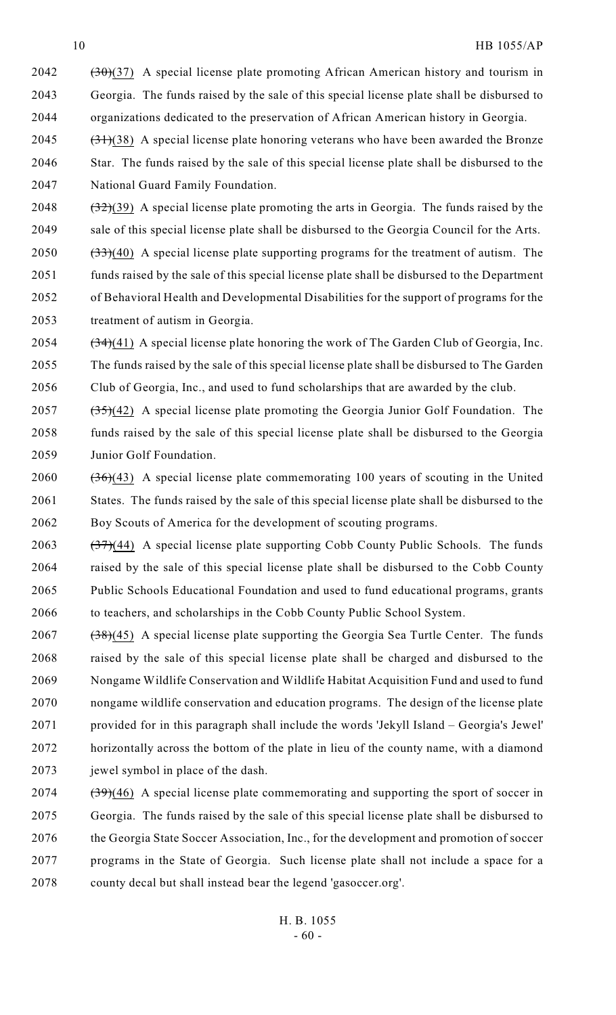(30)(37) A special license plate promoting African American history and tourism in Georgia. The funds raised by the sale of this special license plate shall be disbursed to organizations dedicated to the preservation of African American history in Georgia.

2045  $(31)(38)$  A special license plate honoring veterans who have been awarded the Bronze Star. The funds raised by the sale of this special license plate shall be disbursed to the National Guard Family Foundation.

2048  $(32)(39)$  A special license plate promoting the arts in Georgia. The funds raised by the sale of this special license plate shall be disbursed to the Georgia Council for the Arts.

 $(33)(40)$  A special license plate supporting programs for the treatment of autism. The funds raised by the sale of this special license plate shall be disbursed to the Department of Behavioral Health and Developmental Disabilities for the support of programs for the treatment of autism in Georgia.

2054  $(34)(41)$  A special license plate honoring the work of The Garden Club of Georgia, Inc. The funds raised by the sale of this special license plate shall be disbursed to The Garden Club of Georgia, Inc., and used to fund scholarships that are awarded by the club.

2057  $(35)(42)$  A special license plate promoting the Georgia Junior Golf Foundation. The funds raised by the sale of this special license plate shall be disbursed to the Georgia Junior Golf Foundation.

2060  $(36)(43)$  A special license plate commemorating 100 years of scouting in the United States. The funds raised by the sale of this special license plate shall be disbursed to the Boy Scouts of America for the development of scouting programs.

 $(37)(44)$  A special license plate supporting Cobb County Public Schools. The funds raised by the sale of this special license plate shall be disbursed to the Cobb County Public Schools Educational Foundation and used to fund educational programs, grants to teachers, and scholarships in the Cobb County Public School System.

- (38)(45) A special license plate supporting the Georgia Sea Turtle Center. The funds raised by the sale of this special license plate shall be charged and disbursed to the Nongame Wildlife Conservation and Wildlife Habitat Acquisition Fund and used to fund nongame wildlife conservation and education programs. The design of the license plate provided for in this paragraph shall include the words 'Jekyll Island – Georgia's Jewel' horizontally across the bottom of the plate in lieu of the county name, with a diamond jewel symbol in place of the dash.
- (39)(46) A special license plate commemorating and supporting the sport of soccer in Georgia. The funds raised by the sale of this special license plate shall be disbursed to 2076 the Georgia State Soccer Association, Inc., for the development and promotion of soccer programs in the State of Georgia. Such license plate shall not include a space for a county decal but shall instead bear the legend 'gasoccer.org'.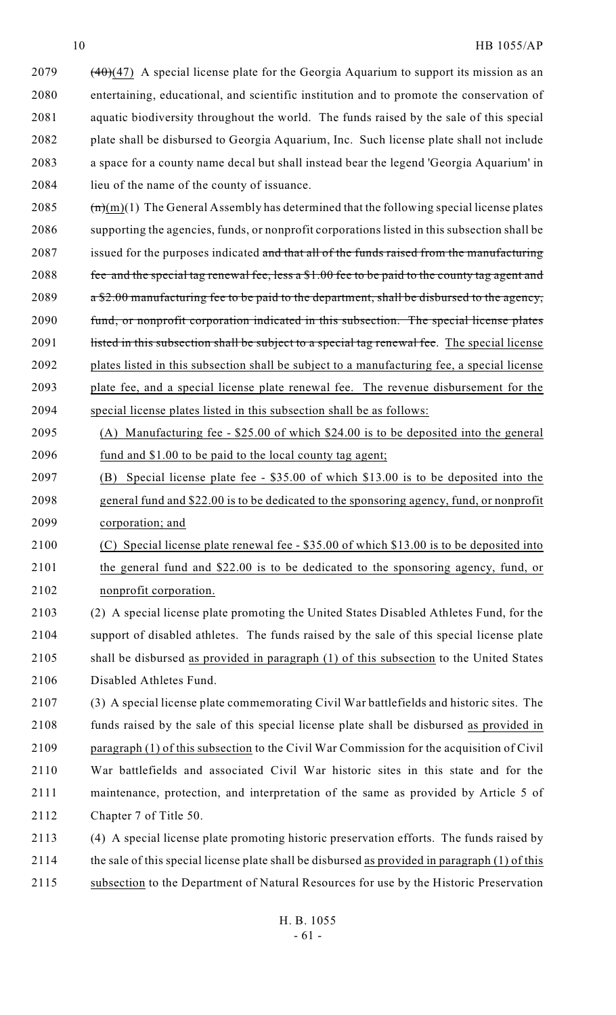$(40)(47)$  A special license plate for the Georgia Aquarium to support its mission as an entertaining, educational, and scientific institution and to promote the conservation of aquatic biodiversity throughout the world. The funds raised by the sale of this special plate shall be disbursed to Georgia Aquarium, Inc. Such license plate shall not include a space for a county name decal but shall instead bear the legend 'Georgia Aquarium' in lieu of the name of the county of issuance.

2085  $(m)(1)$  The General Assembly has determined that the following special license plates supporting the agencies, funds, or nonprofit corporations listed in this subsection shall be 2087 issued for the purposes indicated and that all of the funds raised from the manufacturing 2088 fee and the special tag renewal fee, less a \$1.00 fee to be paid to the county tag agent and 2089  $a $2.00$  manufacturing fee to be paid to the department, shall be disbursed to the agency, 2090 fund, or nonprofit corporation indicated in this subsection. The special license plates 2091 listed in this subsection shall be subject to a special tag renewal fee. The special license plates listed in this subsection shall be subject to a manufacturing fee, a special license plate fee, and a special license plate renewal fee. The revenue disbursement for the special license plates listed in this subsection shall be as follows:

- (A) Manufacturing fee \$25.00 of which \$24.00 is to be deposited into the general 2096 fund and \$1.00 to be paid to the local county tag agent;
- (B) Special license plate fee \$35.00 of which \$13.00 is to be deposited into the general fund and \$22.00 is to be dedicated to the sponsoring agency, fund, or nonprofit corporation; and
- (C) Special license plate renewal fee \$35.00 of which \$13.00 is to be deposited into the general fund and \$22.00 is to be dedicated to the sponsoring agency, fund, or nonprofit corporation.
- (2) A special license plate promoting the United States Disabled Athletes Fund, for the support of disabled athletes. The funds raised by the sale of this special license plate shall be disbursed as provided in paragraph (1) of this subsection to the United States Disabled Athletes Fund.

 (3) A special license plate commemorating Civil War battlefields and historic sites. The funds raised by the sale of this special license plate shall be disbursed as provided in paragraph (1) of this subsection to the Civil War Commission for the acquisition of Civil War battlefields and associated Civil War historic sites in this state and for the maintenance, protection, and interpretation of the same as provided by Article 5 of Chapter 7 of Title 50.

 (4) A special license plate promoting historic preservation efforts. The funds raised by the sale of this special license plate shall be disbursed as provided in paragraph (1) of this subsection to the Department of Natural Resources for use by the Historic Preservation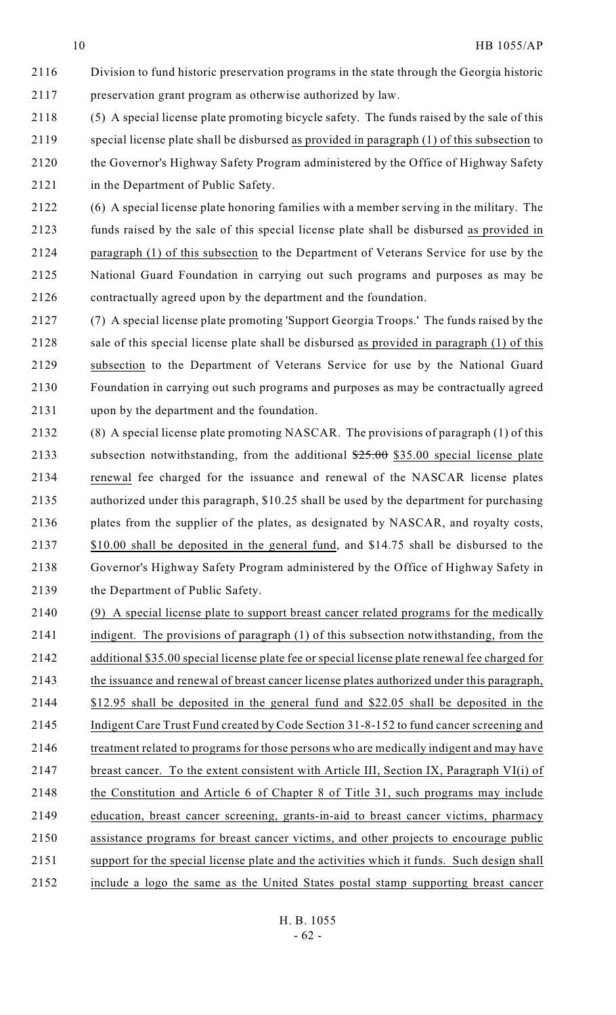Division to fund historic preservation programs in the state through the Georgia historic preservation grant program as otherwise authorized by law.

 (5) A special license plate promoting bicycle safety. The funds raised by the sale of this special license plate shall be disbursed as provided in paragraph (1) of this subsection to the Governor's Highway Safety Program administered by the Office of Highway Safety in the Department of Public Safety.

 (6) A special license plate honoring families with a member serving in the military. The funds raised by the sale of this special license plate shall be disbursed as provided in paragraph (1) of this subsection to the Department of Veterans Service for use by the National Guard Foundation in carrying out such programs and purposes as may be contractually agreed upon by the department and the foundation.

 (7) A special license plate promoting 'Support Georgia Troops.' The funds raised by the sale of this special license plate shall be disbursed as provided in paragraph (1) of this subsection to the Department of Veterans Service for use by the National Guard Foundation in carrying out such programs and purposes as may be contractually agreed upon by the department and the foundation.

 (8) A special license plate promoting NASCAR. The provisions of paragraph (1) of this 2133 subsection notwithstanding, from the additional  $25.00$  \$35.00 special license plate renewal fee charged for the issuance and renewal of the NASCAR license plates authorized under this paragraph, \$10.25 shall be used by the department for purchasing plates from the supplier of the plates, as designated by NASCAR, and royalty costs, 2137 \$10.00 shall be deposited in the general fund, and \$14.75 shall be disbursed to the Governor's Highway Safety Program administered by the Office of Highway Safety in the Department of Public Safety.

2140 (9) A special license plate to support breast cancer related programs for the medically indigent. The provisions of paragraph (1) of this subsection notwithstanding, from the additional \$35.00 special license plate fee or special license plate renewal fee charged for the issuance and renewal of breast cancer license plates authorized under this paragraph, \$12.95 shall be deposited in the general fund and \$22.05 shall be deposited in the Indigent Care Trust Fund created by Code Section 31-8-152 to fund cancer screening and 2146 treatment related to programs for those persons who are medically indigent and may have breast cancer. To the extent consistent with Article III, Section IX, Paragraph VI(i) of the Constitution and Article 6 of Chapter 8 of Title 31, such programs may include education, breast cancer screening, grants-in-aid to breast cancer victims, pharmacy assistance programs for breast cancer victims, and other projects to encourage public support for the special license plate and the activities which it funds. Such design shall include a logo the same as the United States postal stamp supporting breast cancer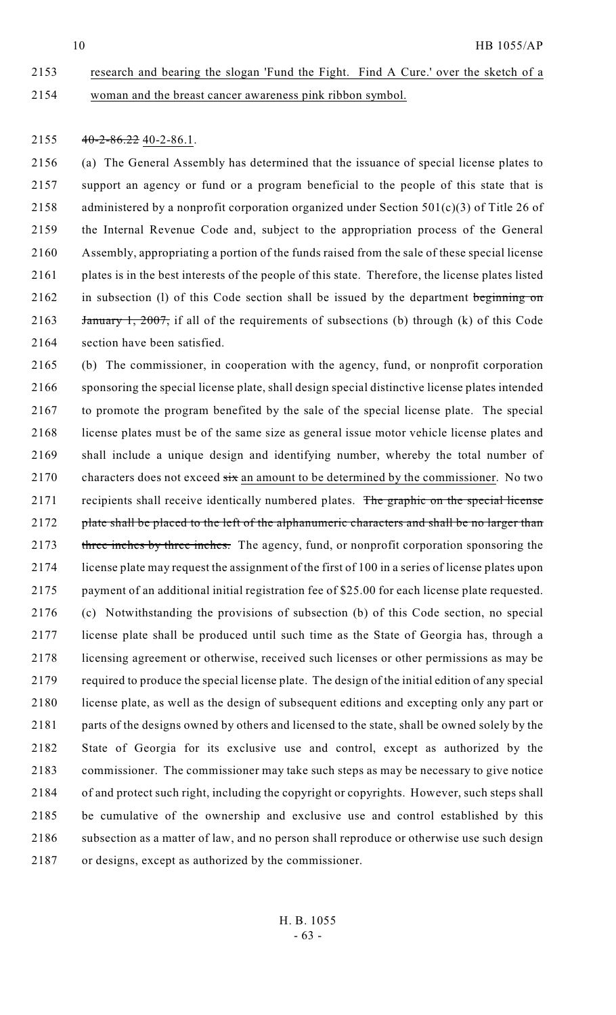# research and bearing the slogan 'Fund the Fight. Find A Cure.' over the sketch of a woman and the breast cancer awareness pink ribbon symbol.

#### 2155  $40-2-86.22$  40-2-86.1.

 (a) The General Assembly has determined that the issuance of special license plates to support an agency or fund or a program beneficial to the people of this state that is 2158 administered by a nonprofit corporation organized under Section  $501(c)(3)$  of Title 26 of the Internal Revenue Code and, subject to the appropriation process of the General Assembly, appropriating a portion of the funds raised from the sale of these special license plates is in the best interests of the people of this state. Therefore, the license plates listed 2162 in subsection (l) of this Code section shall be issued by the department beginning on 2163 <del>January 1, 2007,</del> if all of the requirements of subsections (b) through (k) of this Code section have been satisfied.

 (b) The commissioner, in cooperation with the agency, fund, or nonprofit corporation sponsoring the special license plate, shall design special distinctive license plates intended to promote the program benefited by the sale of the special license plate. The special license plates must be of the same size as general issue motor vehicle license plates and shall include a unique design and identifying number, whereby the total number of 2170 characters does not exceed  $\frac{1}{\sqrt{2}}$  an amount to be determined by the commissioner. No two 2171 recipients shall receive identically numbered plates. The graphic on the special license 2172 plate shall be placed to the left of the alphanumeric characters and shall be no larger than 2173 three inches by three inches. The agency, fund, or nonprofit corporation sponsoring the license plate may request the assignment of the first of 100 in a series of license plates upon payment of an additional initial registration fee of \$25.00 for each license plate requested. (c) Notwithstanding the provisions of subsection (b) of this Code section, no special license plate shall be produced until such time as the State of Georgia has, through a licensing agreement or otherwise, received such licenses or other permissions as may be required to produce the special license plate. The design of the initial edition of any special license plate, as well as the design of subsequent editions and excepting only any part or parts of the designs owned by others and licensed to the state, shall be owned solely by the State of Georgia for its exclusive use and control, except as authorized by the commissioner. The commissioner may take such steps as may be necessary to give notice of and protect such right, including the copyright or copyrights. However, such steps shall be cumulative of the ownership and exclusive use and control established by this 2186 subsection as a matter of law, and no person shall reproduce or otherwise use such design or designs, except as authorized by the commissioner.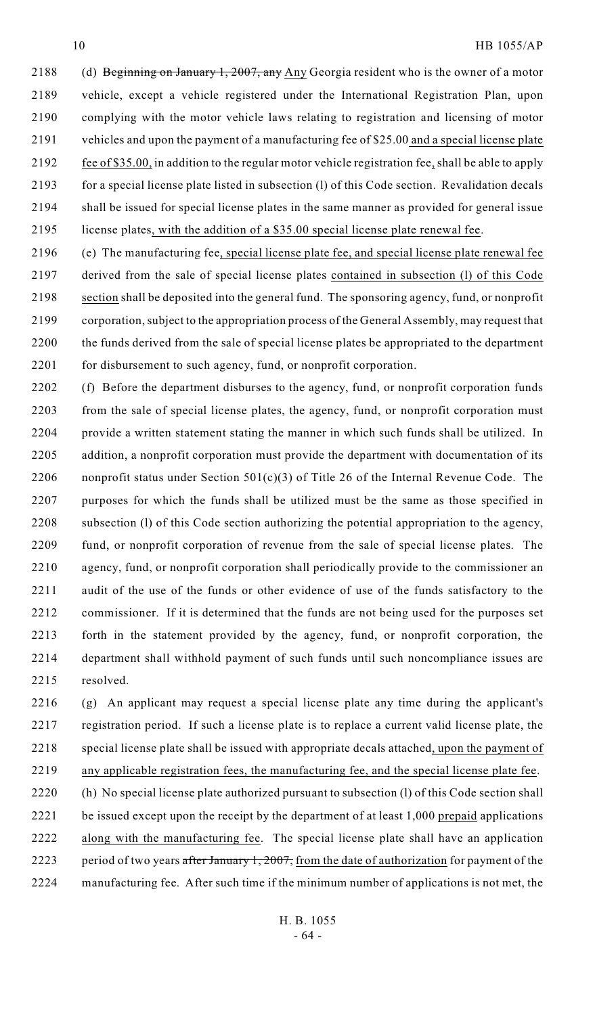2188 (d) Beginning on January 1, 2007, any Any Georgia resident who is the owner of a motor vehicle, except a vehicle registered under the International Registration Plan, upon complying with the motor vehicle laws relating to registration and licensing of motor vehicles and upon the payment of a manufacturing fee of \$25.00 and a special license plate 2192 fee of \$35.00, in addition to the regular motor vehicle registration fee, shall be able to apply for a special license plate listed in subsection (l) of this Code section. Revalidation decals shall be issued for special license plates in the same manner as provided for general issue license plates, with the addition of a \$35.00 special license plate renewal fee.

 (e) The manufacturing fee, special license plate fee, and special license plate renewal fee derived from the sale of special license plates contained in subsection (l) of this Code section shall be deposited into the general fund. The sponsoring agency, fund, or nonprofit corporation, subject to the appropriation process of the General Assembly, may request that the funds derived from the sale of special license plates be appropriated to the department 2201 for disbursement to such agency, fund, or nonprofit corporation.

 (f) Before the department disburses to the agency, fund, or nonprofit corporation funds from the sale of special license plates, the agency, fund, or nonprofit corporation must provide a written statement stating the manner in which such funds shall be utilized. In addition, a nonprofit corporation must provide the department with documentation of its 2206 nonprofit status under Section  $501(c)(3)$  of Title 26 of the Internal Revenue Code. The purposes for which the funds shall be utilized must be the same as those specified in subsection (l) of this Code section authorizing the potential appropriation to the agency, fund, or nonprofit corporation of revenue from the sale of special license plates. The agency, fund, or nonprofit corporation shall periodically provide to the commissioner an audit of the use of the funds or other evidence of use of the funds satisfactory to the commissioner. If it is determined that the funds are not being used for the purposes set forth in the statement provided by the agency, fund, or nonprofit corporation, the department shall withhold payment of such funds until such noncompliance issues are resolved.

 (g) An applicant may request a special license plate any time during the applicant's registration period. If such a license plate is to replace a current valid license plate, the 2218 special license plate shall be issued with appropriate decals attached, upon the payment of

- any applicable registration fees, the manufacturing fee, and the special license plate fee.
- (h) No special license plate authorized pursuant to subsection (l) of this Code section shall 2221 be issued except upon the receipt by the department of at least 1,000 prepaid applications along with the manufacturing fee. The special license plate shall have an application 2223 period of two years after January 1, 2007, from the date of authorization for payment of the manufacturing fee. After such time if the minimum number of applications is not met, the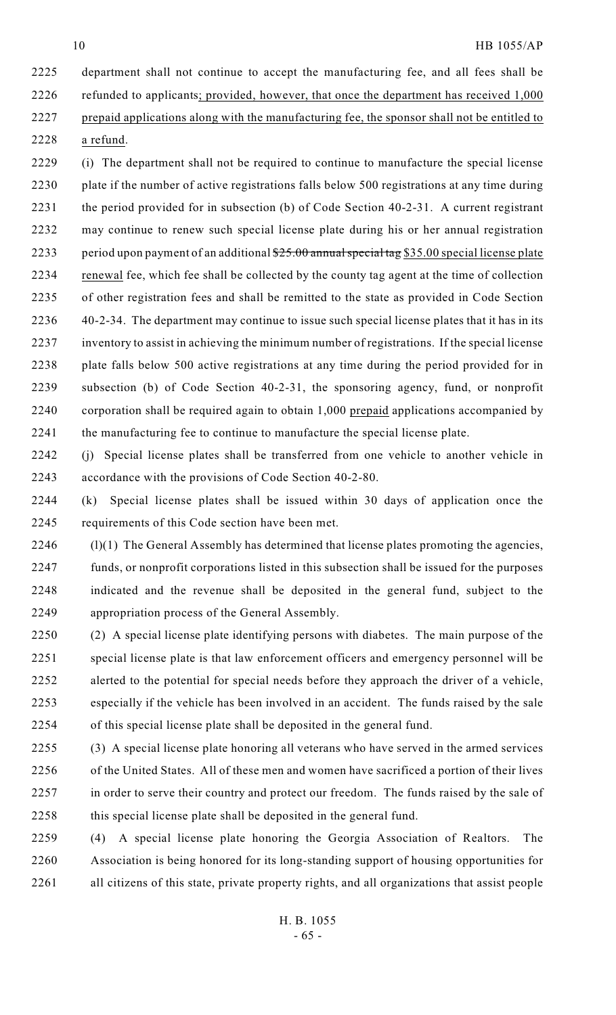a refund.

# HB 1055/AP

 department shall not continue to accept the manufacturing fee, and all fees shall be refunded to applicants; provided, however, that once the department has received 1,000 prepaid applications along with the manufacturing fee, the sponsor shall not be entitled to

- (i) The department shall not be required to continue to manufacture the special license plate if the number of active registrations falls below 500 registrations at any time during 2231 the period provided for in subsection (b) of Code Section 40-2-31. A current registrant may continue to renew such special license plate during his or her annual registration 2233 period upon payment of an additional \$25.00 annual special tag \$35.00 special license plate renewal fee, which fee shall be collected by the county tag agent at the time of collection of other registration fees and shall be remitted to the state as provided in Code Section 40-2-34. The department may continue to issue such special license plates that it has in its inventory to assist in achieving the minimum number of registrations. If the special license plate falls below 500 active registrations at any time during the period provided for in subsection (b) of Code Section 40-2-31, the sponsoring agency, fund, or nonprofit corporation shall be required again to obtain 1,000 prepaid applications accompanied by the manufacturing fee to continue to manufacture the special license plate.
- (j) Special license plates shall be transferred from one vehicle to another vehicle in accordance with the provisions of Code Section 40-2-80.

 (k) Special license plates shall be issued within 30 days of application once the requirements of this Code section have been met.

- 2246 (l)(1) The General Assembly has determined that license plates promoting the agencies, funds, or nonprofit corporations listed in this subsection shall be issued for the purposes indicated and the revenue shall be deposited in the general fund, subject to the appropriation process of the General Assembly.
- (2) A special license plate identifying persons with diabetes. The main purpose of the special license plate is that law enforcement officers and emergency personnel will be alerted to the potential for special needs before they approach the driver of a vehicle, especially if the vehicle has been involved in an accident. The funds raised by the sale of this special license plate shall be deposited in the general fund.
- (3) A special license plate honoring all veterans who have served in the armed services 2256 of the United States. All of these men and women have sacrificed a portion of their lives 2257 in order to serve their country and protect our freedom. The funds raised by the sale of this special license plate shall be deposited in the general fund.

 (4) A special license plate honoring the Georgia Association of Realtors. The Association is being honored for its long-standing support of housing opportunities for all citizens of this state, private property rights, and all organizations that assist people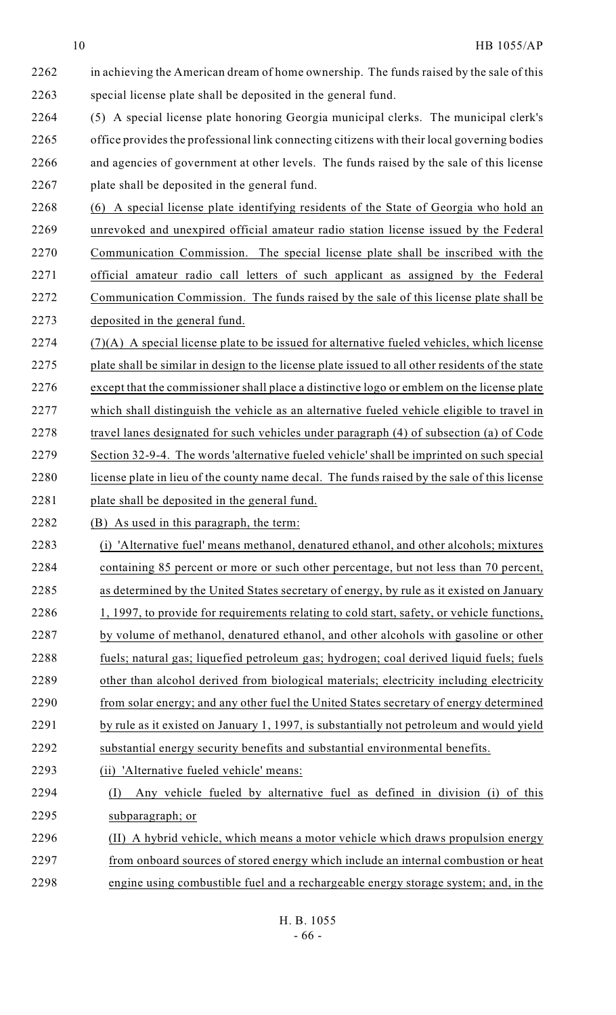in achieving the American dream of home ownership. The funds raised by the sale of this special license plate shall be deposited in the general fund.

 (5) A special license plate honoring Georgia municipal clerks. The municipal clerk's office provides the professional link connecting citizens with their local governing bodies and agencies of government at other levels. The funds raised by the sale of this license plate shall be deposited in the general fund.

 (6) A special license plate identifying residents of the State of Georgia who hold an unrevoked and unexpired official amateur radio station license issued by the Federal Communication Commission. The special license plate shall be inscribed with the official amateur radio call letters of such applicant as assigned by the Federal Communication Commission. The funds raised by the sale of this license plate shall be deposited in the general fund.

 (7)(A) A special license plate to be issued for alternative fueled vehicles, which license plate shall be similar in design to the license plate issued to all other residents of the state except that the commissioner shall place a distinctive logo or emblem on the license plate which shall distinguish the vehicle as an alternative fueled vehicle eligible to travel in 2278 travel lanes designated for such vehicles under paragraph (4) of subsection (a) of Code Section 32-9-4. The words 'alternative fueled vehicle' shall be imprinted on such special license plate in lieu of the county name decal. The funds raised by the sale of this license plate shall be deposited in the general fund.

2282 (B) As used in this paragraph, the term:

 (i) 'Alternative fuel' means methanol, denatured ethanol, and other alcohols; mixtures containing 85 percent or more or such other percentage, but not less than 70 percent, as determined by the United States secretary of energy, by rule as it existed on January 2286 1, 1997, to provide for requirements relating to cold start, safety, or vehicle functions, by volume of methanol, denatured ethanol, and other alcohols with gasoline or other 2288 fuels; natural gas; liquefied petroleum gas; hydrogen; coal derived liquid fuels; fuels other than alcohol derived from biological materials; electricity including electricity 2290 from solar energy; and any other fuel the United States secretary of energy determined 2291 by rule as it existed on January 1, 1997, is substantially not petroleum and would yield substantial energy security benefits and substantial environmental benefits. (ii) 'Alternative fueled vehicle' means: (I) Any vehicle fueled by alternative fuel as defined in division (i) of this subparagraph; or

 (II) A hybrid vehicle, which means a motor vehicle which draws propulsion energy from onboard sources of stored energy which include an internal combustion or heat engine using combustible fuel and a rechargeable energy storage system; and, in the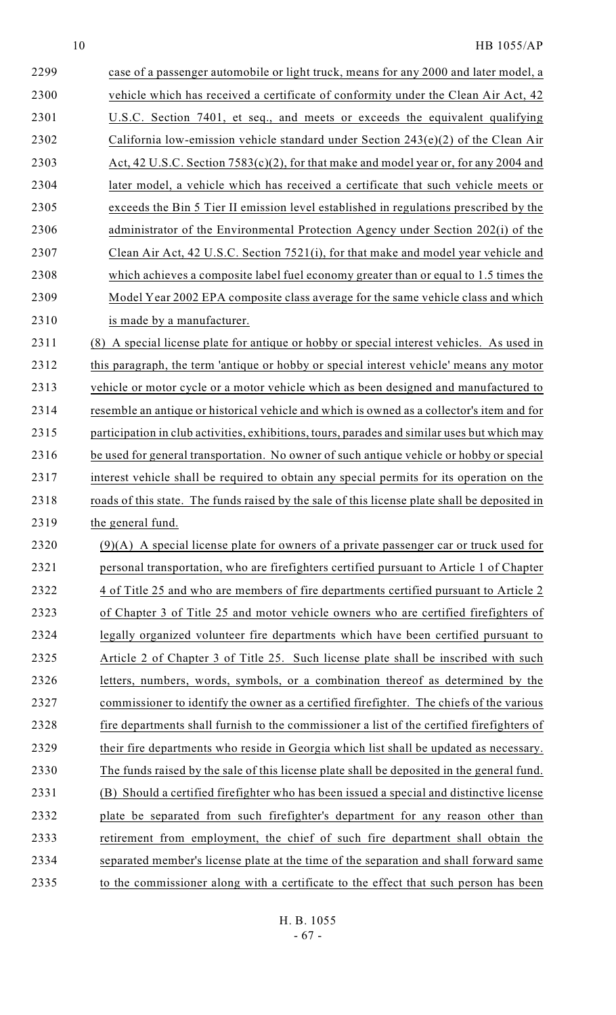| 2299 | case of a passenger automobile or light truck, means for any 2000 and later model, a         |
|------|----------------------------------------------------------------------------------------------|
| 2300 | vehicle which has received a certificate of conformity under the Clean Air Act, 42           |
| 2301 | U.S.C. Section 7401, et seq., and meets or exceeds the equivalent qualifying                 |
| 2302 | California low-emission vehicle standard under Section 243(e)(2) of the Clean Air            |
| 2303 | Act, 42 U.S.C. Section 7583(c)(2), for that make and model year or, for any 2004 and         |
| 2304 | later model, a vehicle which has received a certificate that such vehicle meets or           |
| 2305 | exceeds the Bin 5 Tier II emission level established in regulations prescribed by the        |
| 2306 | administrator of the Environmental Protection Agency under Section 202(i) of the             |
| 2307 | Clean Air Act, 42 U.S.C. Section 7521(i), for that make and model year vehicle and           |
| 2308 | which achieves a composite label fuel economy greater than or equal to 1.5 times the         |
| 2309 | Model Year 2002 EPA composite class average for the same vehicle class and which             |
| 2310 | is made by a manufacturer.                                                                   |
| 2311 | A special license plate for antique or hobby or special interest vehicles. As used in<br>(8) |
|      |                                                                                              |

 this paragraph, the term 'antique or hobby or special interest vehicle' means any motor vehicle or motor cycle or a motor vehicle which as been designed and manufactured to resemble an antique or historical vehicle and which is owned as a collector's item and for 2315 participation in club activities, exhibitions, tours, parades and similar uses but which may be used for general transportation. No owner of such antique vehicle or hobby or special interest vehicle shall be required to obtain any special permits for its operation on the 2318 roads of this state. The funds raised by the sale of this license plate shall be deposited in the general fund.

 (9)(A) A special license plate for owners of a private passenger car or truck used for personal transportation, who are firefighters certified pursuant to Article 1 of Chapter 2322 4 of Title 25 and who are members of fire departments certified pursuant to Article 2 of Chapter 3 of Title 25 and motor vehicle owners who are certified firefighters of legally organized volunteer fire departments which have been certified pursuant to Article 2 of Chapter 3 of Title 25. Such license plate shall be inscribed with such letters, numbers, words, symbols, or a combination thereof as determined by the 2327 commissioner to identify the owner as a certified firefighter. The chiefs of the various fire departments shall furnish to the commissioner a list of the certified firefighters of 2329 their fire departments who reside in Georgia which list shall be updated as necessary. The funds raised by the sale of this license plate shall be deposited in the general fund. (B) Should a certified firefighter who has been issued a special and distinctive license plate be separated from such firefighter's department for any reason other than retirement from employment, the chief of such fire department shall obtain the separated member's license plate at the time of the separation and shall forward same to the commissioner along with a certificate to the effect that such person has been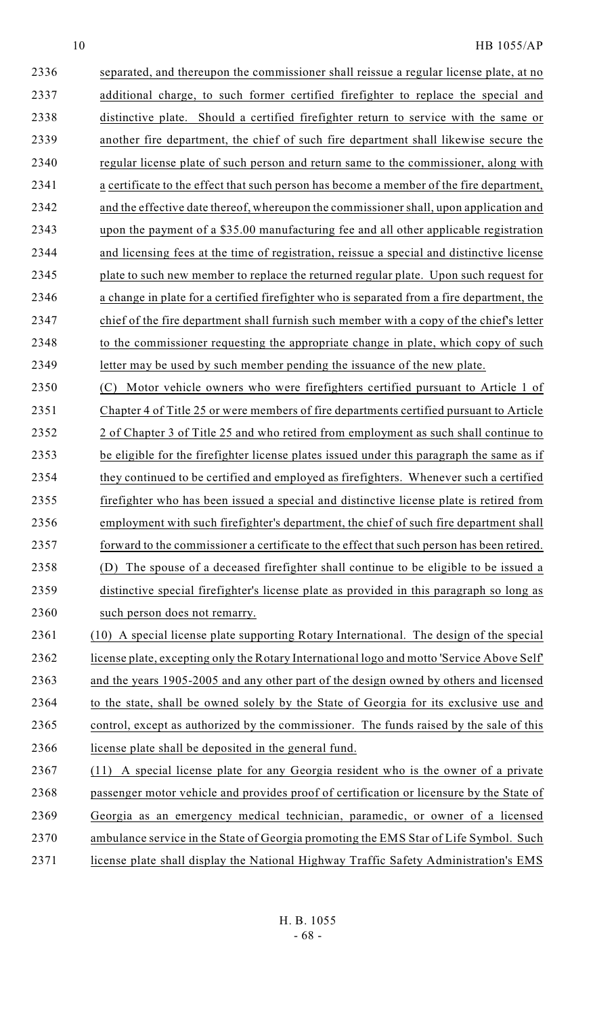separated, and thereupon the commissioner shall reissue a regular license plate, at no additional charge, to such former certified firefighter to replace the special and distinctive plate. Should a certified firefighter return to service with the same or another fire department, the chief of such fire department shall likewise secure the 2340 regular license plate of such person and return same to the commissioner, along with a certificate to the effect that such person has become a member of the fire department, and the effective date thereof, whereupon the commissioner shall, upon application and upon the payment of a \$35.00 manufacturing fee and all other applicable registration and licensing fees at the time of registration, reissue a special and distinctive license plate to such new member to replace the returned regular plate. Upon such request for a change in plate for a certified firefighter who is separated from a fire department, the chief of the fire department shall furnish such member with a copy of the chief's letter 2348 to the commissioner requesting the appropriate change in plate, which copy of such letter may be used by such member pending the issuance of the new plate.

 (C) Motor vehicle owners who were firefighters certified pursuant to Article 1 of Chapter 4 of Title 25 or were members of fire departments certified pursuant to Article 2352 2 of Chapter 3 of Title 25 and who retired from employment as such shall continue to be eligible for the firefighter license plates issued under this paragraph the same as if 2354 they continued to be certified and employed as firefighters. Whenever such a certified firefighter who has been issued a special and distinctive license plate is retired from employment with such firefighter's department, the chief of such fire department shall 2357 forward to the commissioner a certificate to the effect that such person has been retired. (D) The spouse of a deceased firefighter shall continue to be eligible to be issued a distinctive special firefighter's license plate as provided in this paragraph so long as 2360 such person does not remarry.

 (10) A special license plate supporting Rotary International. The design of the special license plate, excepting only the Rotary International logo and motto 'Service Above Self' and the years 1905-2005 and any other part of the design owned by others and licensed 2364 to the state, shall be owned solely by the State of Georgia for its exclusive use and 2365 control, except as authorized by the commissioner. The funds raised by the sale of this license plate shall be deposited in the general fund.

 (11) A special license plate for any Georgia resident who is the owner of a private passenger motor vehicle and provides proof of certification or licensure by the State of Georgia as an emergency medical technician, paramedic, or owner of a licensed ambulance service in the State of Georgia promoting the EMS Star of Life Symbol. Such 2371 license plate shall display the National Highway Traffic Safety Administration's EMS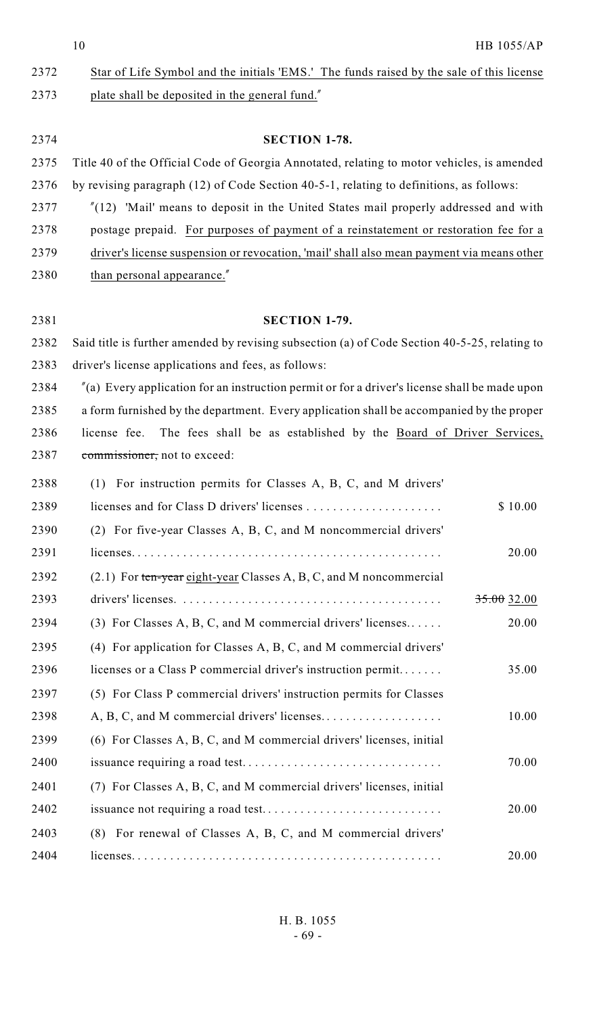| 2372 | Star of Life Symbol and the initials 'EMS.' The funds raised by the sale of this license |
|------|------------------------------------------------------------------------------------------|
| 2373 | plate shall be deposited in the general fund."                                           |

| 2374 | <b>SECTION 1-78.</b>                                                                       |
|------|--------------------------------------------------------------------------------------------|
| 2375 | Title 40 of the Official Code of Georgia Annotated, relating to motor vehicles, is amended |
| 2376 | by revising paragraph (12) of Code Section 40-5-1, relating to definitions, as follows:    |
| 2377 | $''(12)$ 'Mail' means to deposit in the United States mail properly addressed and with     |
| 2378 | postage prepaid. For purposes of payment of a reinstatement or restoration fee for a       |
| 2379 | driver's license suspension or revocation, 'mail' shall also mean payment via means other  |

2380 than personal appearance."

**SECTION 1-79.**

 Said title is further amended by revising subsection (a) of Code Section 40-5-25, relating to driver's license applications and fees, as follows:

 "(a) Every application for an instruction permit or for a driver's license shall be made upon a form furnished by the department. Every application shall be accompanied by the proper license fee. The fees shall be as established by the Board of Driver Services, commissioner, not to exceed:

| 2388 | For instruction permits for Classes A, B, C, and M drivers'<br>(1)   |               |
|------|----------------------------------------------------------------------|---------------|
| 2389 |                                                                      | \$10.00       |
| 2390 | (2) For five-year Classes A, B, C, and M noncommercial drivers'      |               |
| 2391 |                                                                      | 20.00         |
| 2392 | $(2.1)$ For ten-year eight-year Classes A, B, C, and M noncommercial |               |
| 2393 |                                                                      | $35.00$ 32.00 |
| 2394 | (3) For Classes A, B, C, and M commercial drivers' licenses          | 20.00         |
| 2395 | (4) For application for Classes A, B, C, and M commercial drivers'   |               |
| 2396 | licenses or a Class P commercial driver's instruction permit         | 35.00         |
| 2397 | (5) For Class P commercial drivers' instruction permits for Classes  |               |
| 2398 |                                                                      | 10.00         |
| 2399 | (6) For Classes A, B, C, and M commercial drivers' licenses, initial |               |
| 2400 |                                                                      | 70.00         |
| 2401 | (7) For Classes A, B, C, and M commercial drivers' licenses, initial |               |
| 2402 |                                                                      | 20.00         |
| 2403 | For renewal of Classes A, B, C, and M commercial drivers'<br>(8)     |               |
| 2404 |                                                                      | 20.00         |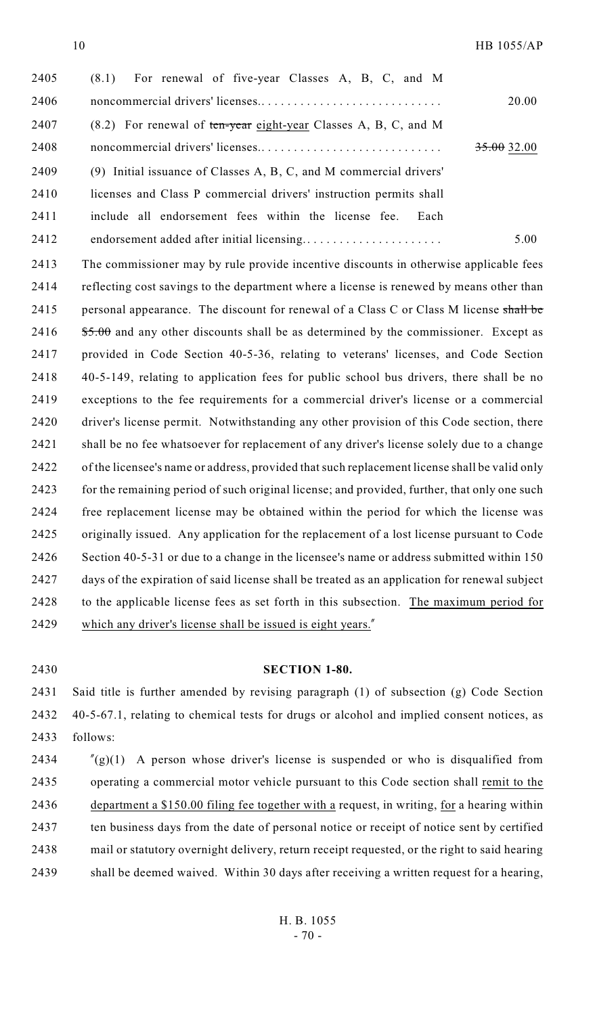| 2405 | For renewal of five-year Classes A, B, C, and M<br>(8.1)           |               |
|------|--------------------------------------------------------------------|---------------|
| 2406 |                                                                    | 20.00         |
| 2407 | $(8.2)$ For renewal of ten-year eight-year Classes A, B, C, and M  |               |
| 2408 |                                                                    | $35.00$ 32.00 |
| 2409 | (9) Initial issuance of Classes A, B, C, and M commercial drivers' |               |
| 2410 | licenses and Class P commercial drivers' instruction permits shall |               |
| 2411 | include all endorsement fees within the license fee.<br>Each       |               |
| 2412 |                                                                    | 5.00          |

 The commissioner may by rule provide incentive discounts in otherwise applicable fees reflecting cost savings to the department where a license is renewed by means other than 2415 personal appearance. The discount for renewal of a Class C or Class M license shall be  $$5.00$  and any other discounts shall be as determined by the commissioner. Except as provided in Code Section 40-5-36, relating to veterans' licenses, and Code Section 40-5-149, relating to application fees for public school bus drivers, there shall be no exceptions to the fee requirements for a commercial driver's license or a commercial driver's license permit. Notwithstanding any other provision of this Code section, there shall be no fee whatsoever for replacement of any driver's license solely due to a change 2422 of the licensee's name or address, provided that such replacement license shall be valid only 2423 for the remaining period of such original license; and provided, further, that only one such free replacement license may be obtained within the period for which the license was originally issued. Any application for the replacement of a lost license pursuant to Code Section 40-5-31 or due to a change in the licensee's name or address submitted within 150 days of the expiration of said license shall be treated as an application for renewal subject to the applicable license fees as set forth in this subsection. The maximum period for 2429 which any driver's license shall be issued is eight years."

## **SECTION 1-80.**

 Said title is further amended by revising paragraph (1) of subsection (g) Code Section 40-5-67.1, relating to chemical tests for drugs or alcohol and implied consent notices, as follows:

 $\gamma$  (g)(1) A person whose driver's license is suspended or who is disqualified from operating a commercial motor vehicle pursuant to this Code section shall remit to the department a \$150.00 filing fee together with a request, in writing, for a hearing within ten business days from the date of personal notice or receipt of notice sent by certified mail or statutory overnight delivery, return receipt requested, or the right to said hearing shall be deemed waived. Within 30 days after receiving a written request for a hearing,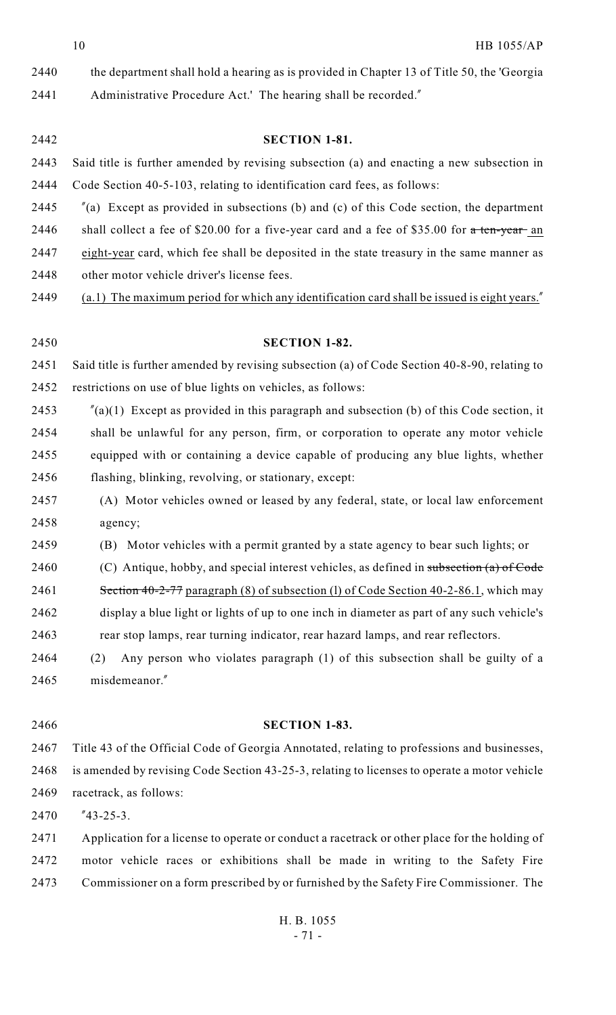the department shall hold a hearing as is provided in Chapter 13 of Title 50, the 'Georgia Administrative Procedure Act.' The hearing shall be recorded."

- **SECTION 1-81.** Said title is further amended by revising subsection (a) and enacting a new subsection in Code Section 40-5-103, relating to identification card fees, as follows:
- "(a) Except as provided in subsections (b) and (c) of this Code section, the department
- 2446 shall collect a fee of \$20.00 for a five-year card and a fee of \$35.00 for  $\alpha$  ten-year an
- eight-year card, which fee shall be deposited in the state treasury in the same manner as
- other motor vehicle driver's license fees.
- (a.1) The maximum period for which any identification card shall be issued is eight years."
- **SECTION 1-82.** Said title is further amended by revising subsection (a) of Code Section 40-8-90, relating to restrictions on use of blue lights on vehicles, as follows: 2453  $\frac{\pi}{a}(1)$  Except as provided in this paragraph and subsection (b) of this Code section, it shall be unlawful for any person, firm, or corporation to operate any motor vehicle equipped with or containing a device capable of producing any blue lights, whether flashing, blinking, revolving, or stationary, except: (A) Motor vehicles owned or leased by any federal, state, or local law enforcement agency; (B) Motor vehicles with a permit granted by a state agency to bear such lights; or 2460 (C) Antique, hobby, and special interest vehicles, as defined in subsection (a) of Code 2461 Section 40-2-77 paragraph (8) of subsection (1) of Code Section 40-2-86.1, which may display a blue light or lights of up to one inch in diameter as part of any such vehicle's rear stop lamps, rear turning indicator, rear hazard lamps, and rear reflectors.
- (2) Any person who violates paragraph (1) of this subsection shall be guilty of a misdemeanor."
- 

# **SECTION 1-83.**

 Title 43 of the Official Code of Georgia Annotated, relating to professions and businesses, is amended by revising Code Section 43-25-3, relating to licenses to operate a motor vehicle racetrack, as follows:

"43-25-3.

 Application for a license to operate or conduct a racetrack or other place for the holding of motor vehicle races or exhibitions shall be made in writing to the Safety Fire Commissioner on a form prescribed by or furnished by the Safety Fire Commissioner. The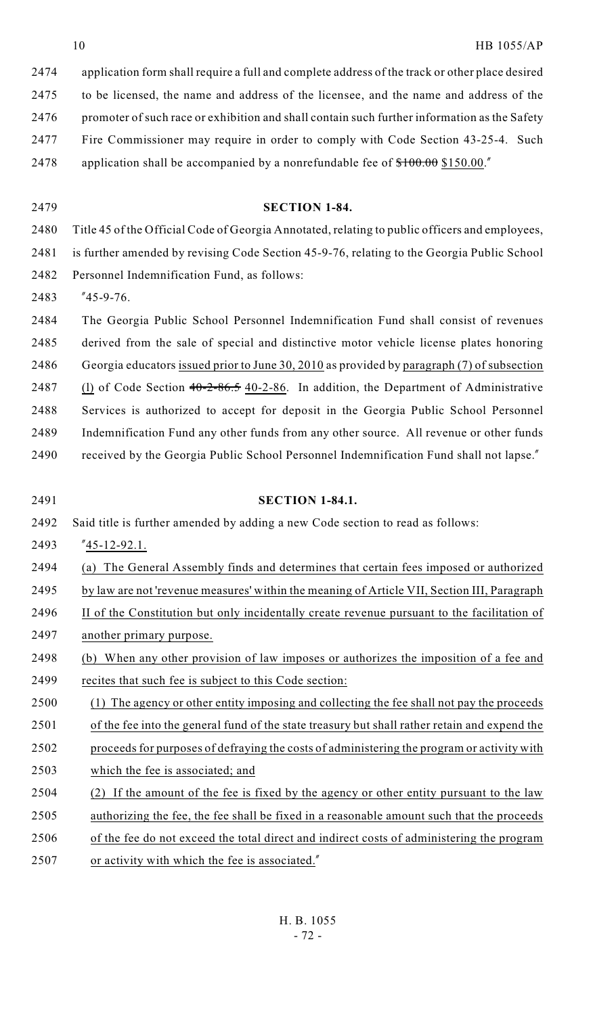| 2474 | application form shall require a full and complete address of the track or other place desired |
|------|------------------------------------------------------------------------------------------------|
| 2475 | to be licensed, the name and address of the licensee, and the name and address of the          |
| 2476 | promoter of such race or exhibition and shall contain such further information as the Safety   |
| 2477 | Fire Commissioner may require in order to comply with Code Section 43-25-4. Such               |
| 2478 | application shall be accompanied by a nonrefundable fee of $$100.00$ \$150.00."                |

**SECTION 1-84.**

- Title 45 of the Official Code of Georgia Annotated, relating to public officers and employees, is further amended by revising Code Section 45-9-76, relating to the Georgia Public School Personnel Indemnification Fund, as follows: "45-9-76. The Georgia Public School Personnel Indemnification Fund shall consist of revenues derived from the sale of special and distinctive motor vehicle license plates honoring Georgia educators issued prior to June 30, 2010 as provided by paragraph (7) of subsection 2487 (l) of Code Section 40-2-86.5 40-2-86. In addition, the Department of Administrative Services is authorized to accept for deposit in the Georgia Public School Personnel Indemnification Fund any other funds from any other source. All revenue or other funds received by the Georgia Public School Personnel Indemnification Fund shall not lapse." **SECTION 1-84.1.** Said title is further amended by adding a new Code section to read as follows: "45-12-92.1. (a) The General Assembly finds and determines that certain fees imposed or authorized by law are not 'revenue measures' within the meaning of Article VII, Section III, Paragraph 2496 II of the Constitution but only incidentally create revenue pursuant to the facilitation of another primary purpose. (b) When any other provision of law imposes or authorizes the imposition of a fee and recites that such fee is subject to this Code section: (1) The agency or other entity imposing and collecting the fee shall not pay the proceeds of the fee into the general fund of the state treasury but shall rather retain and expend the proceeds for purposes of defraying the costs of administering the program or activity with which the fee is associated; and (2) If the amount of the fee is fixed by the agency or other entity pursuant to the law authorizing the fee, the fee shall be fixed in a reasonable amount such that the proceeds of the fee do not exceed the total direct and indirect costs of administering the program
- or activity with which the fee is associated."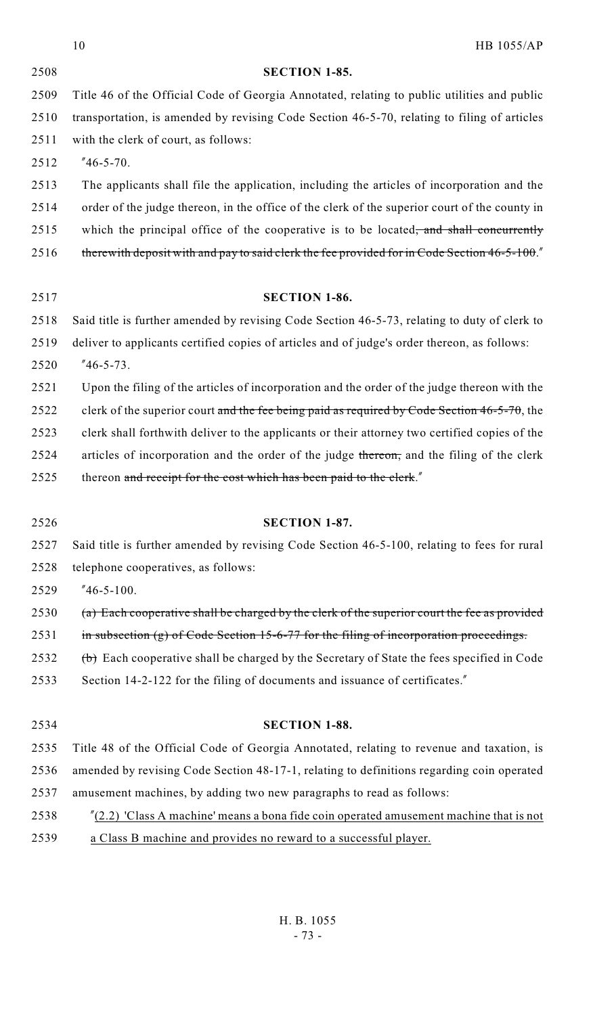|      | <b>HB 1055/AP</b><br>10                                                                           |
|------|---------------------------------------------------------------------------------------------------|
| 2508 | <b>SECTION 1-85.</b>                                                                              |
| 2509 | Title 46 of the Official Code of Georgia Annotated, relating to public utilities and public       |
| 2510 | transportation, is amended by revising Code Section 46-5-70, relating to filing of articles       |
| 2511 | with the clerk of court, as follows:                                                              |
| 2512 | $"46-5-70.$                                                                                       |
| 2513 | The applicants shall file the application, including the articles of incorporation and the        |
| 2514 | order of the judge thereon, in the office of the clerk of the superior court of the county in     |
| 2515 | which the principal office of the cooperative is to be located, and shall concurrently            |
| 2516 | therewith deposit with and pay to said clerk the fee provided for in Code Section 46-5-100."      |
| 2517 | <b>SECTION 1-86.</b>                                                                              |
| 2518 | Said title is further amended by revising Code Section 46-5-73, relating to duty of clerk to      |
| 2519 | deliver to applicants certified copies of articles and of judge's order thereon, as follows:      |
| 2520 | $"46-5-73.$                                                                                       |
| 2521 | Upon the filing of the articles of incorporation and the order of the judge thereon with the      |
| 2522 | clerk of the superior court and the fee being paid as required by Code Section $46-5-70$ , the    |
| 2523 | clerk shall forthwith deliver to the applicants or their attorney two certified copies of the     |
| 2524 | articles of incorporation and the order of the judge thereon, and the filing of the clerk         |
| 2525 | thereon and receipt for the cost which has been paid to the clerk."                               |
| 2526 | <b>SECTION 1-87.</b>                                                                              |
| 2527 | Said title is further amended by revising Code Section 46-5-100, relating to fees for rural       |
| 2528 | telephone cooperatives, as follows:                                                               |
| 2529 | $"46-5-100.$                                                                                      |
| 2530 | (a) Each cooperative shall be charged by the clerk of the superior court the fee as provided      |
| 2531 | in subsection $(g)$ of Code Section 15-6-77 for the filing of incorporation proceedings.          |
| 2532 | $(\theta)$ Each cooperative shall be charged by the Secretary of State the fees specified in Code |
| 2533 | Section 14-2-122 for the filing of documents and issuance of certificates."                       |
| 2534 | <b>SECTION 1-88.</b>                                                                              |
| 2535 | Title 48 of the Official Code of Georgia Annotated, relating to revenue and taxation, is          |
| 2536 | amended by revising Code Section 48-17-1, relating to definitions regarding coin operated         |
| 2537 | amusement machines, by adding two new paragraphs to read as follows:                              |
| 2538 | $\frac{r}{2.2}$ 'Class A machine' means a bona fide coin operated amusement machine that is not   |
| 2539 | a Class B machine and provides no reward to a successful player.                                  |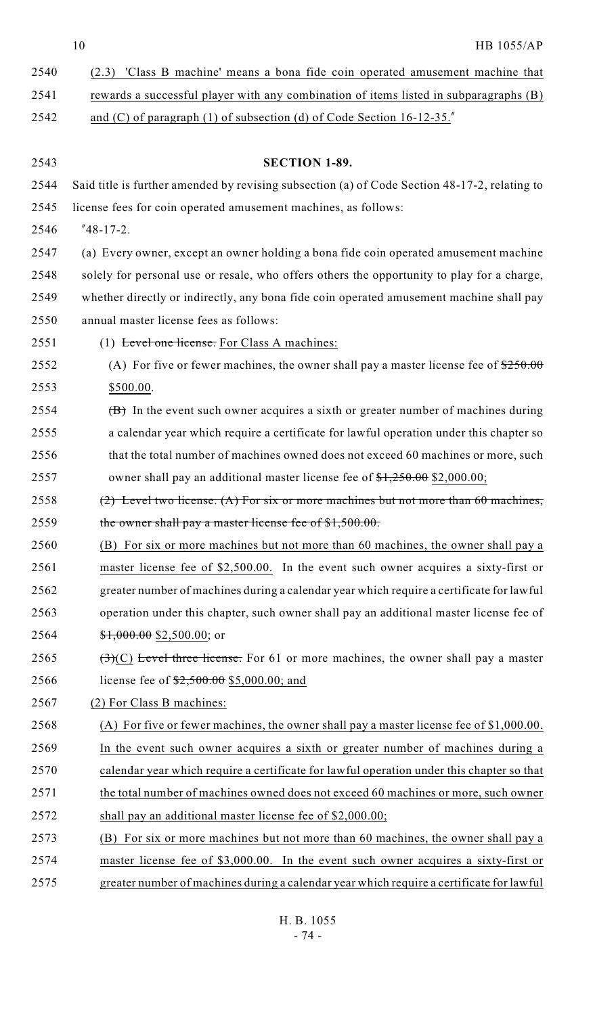10 HB 1055/AP

| 2540 | (2.3) 'Class B machine' means a bona fide coin operated amusement machine that                 |
|------|------------------------------------------------------------------------------------------------|
| 2541 | rewards a successful player with any combination of items listed in subparagraphs (B)          |
| 2542 | and (C) of paragraph (1) of subsection (d) of Code Section $16-12-35$ .                        |
|      |                                                                                                |
| 2543 | <b>SECTION 1-89.</b>                                                                           |
| 2544 | Said title is further amended by revising subsection (a) of Code Section 48-17-2, relating to  |
| 2545 | license fees for coin operated amusement machines, as follows:                                 |
| 2546 | $"48-17-2.$                                                                                    |
| 2547 | (a) Every owner, except an owner holding a bona fide coin operated amusement machine           |
| 2548 | solely for personal use or resale, who offers others the opportunity to play for a charge,     |
| 2549 | whether directly or indirectly, any bona fide coin operated amusement machine shall pay        |
| 2550 | annual master license fees as follows:                                                         |
| 2551 | (1) Level one license. For Class A machines:                                                   |
| 2552 | (A) For five or fewer machines, the owner shall pay a master license fee of $250.00$           |
| 2553 | \$500.00.                                                                                      |
| 2554 | $(\overline{B})$ In the event such owner acquires a sixth or greater number of machines during |
| 2555 | a calendar year which require a certificate for lawful operation under this chapter so         |
| 2556 | that the total number of machines owned does not exceed 60 machines or more, such              |
| 2557 | owner shall pay an additional master license fee of \$1,250.00 \$2,000.00;                     |
| 2558 | $(2)$ Level two license. (A) For six or more machines but not more than 60 machines,           |
| 2559 | the owner shall pay a master license fee of \$1,500.00.                                        |
| 2560 | (B) For six or more machines but not more than 60 machines, the owner shall pay a              |
| 2561 | master license fee of \$2,500.00. In the event such owner acquires a sixty-first or            |
| 2562 | greater number of machines during a calendar year which require a certificate for lawful       |
| 2563 | operation under this chapter, such owner shall pay an additional master license fee of         |
| 2564 | $$1,000.00$ \$2,500.00; or                                                                     |
| 2565 | $(\exists)(C)$ Level three license. For 61 or more machines, the owner shall pay a master      |
| 2566 | license fee of $2,500.00$ \$5,000.00; and                                                      |
| 2567 | (2) For Class B machines:                                                                      |
| 2568 | (A) For five or fewer machines, the owner shall pay a master license fee of $$1,000.00$ .      |
| 2569 | In the event such owner acquires a sixth or greater number of machines during a                |
| 2570 | calendar year which require a certificate for lawful operation under this chapter so that      |
| 2571 | the total number of machines owned does not exceed 60 machines or more, such owner             |
| 2572 | shall pay an additional master license fee of \$2,000.00;                                      |
| 2573 | (B) For six or more machines but not more than 60 machines, the owner shall pay a              |
| 2574 | master license fee of \$3,000.00. In the event such owner acquires a sixty-first or            |
| 2575 | greater number of machines during a calendar year which require a certificate for lawful       |
|      |                                                                                                |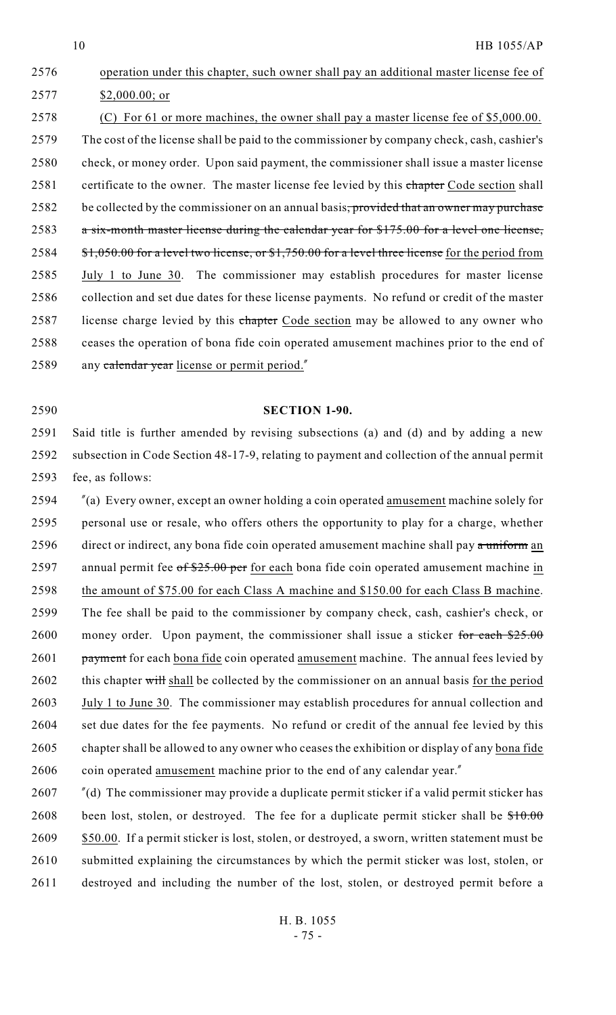\$2,000.00; or (C) For 61 or more machines, the owner shall pay a master license fee of \$5,000.00. The cost of the license shall be paid to the commissioner by company check, cash, cashier's check, or money order. Upon said payment, the commissioner shall issue a master license 2581 certificate to the owner. The master license fee levied by this chapter Code section shall 2582 be collected by the commissioner on an annual basis, provided that an owner may purchase a six-month master license during the calendar year for \$175.00 for a level one license, 2584 \$1,050.00 for a level two license, or \$1,750.00 for a level three license for the period from July 1 to June 30. The commissioner may establish procedures for master license collection and set due dates for these license payments. No refund or credit of the master 2587 license charge levied by this chapter Code section may be allowed to any owner who ceases the operation of bona fide coin operated amusement machines prior to the end of 2589 any calendar year license or permit period."

2576 operation under this chapter, such owner shall pay an additional master license fee of

## 2590 **SECTION 1-90.**

2591 Said title is further amended by revising subsections (a) and (d) and by adding a new 2592 subsection in Code Section 48-17-9, relating to payment and collection of the annual permit 2593 fee, as follows:

2594 "(a) Every owner, except an owner holding a coin operated amusement machine solely for 2595 personal use or resale, who offers others the opportunity to play for a charge, whether 2596 direct or indirect, any bona fide coin operated amusement machine shall pay a uniform an 2597 annual permit fee of \$25.00 per for each bona fide coin operated amusement machine in 2598 the amount of \$75.00 for each Class A machine and \$150.00 for each Class B machine. 2599 The fee shall be paid to the commissioner by company check, cash, cashier's check, or 2600 money order. Upon payment, the commissioner shall issue a sticker for each  $$25.00$ 2601 payment for each bona fide coin operated amusement machine. The annual fees levied by 2602 this chapter will shall be collected by the commissioner on an annual basis for the period 2603 July 1 to June 30. The commissioner may establish procedures for annual collection and 2604 set due dates for the fee payments. No refund or credit of the annual fee levied by this 2605 chapter shall be allowed to any owner who ceases the exhibition or display of any bona fide 2606 coin operated amusement machine prior to the end of any calendar year."

2607 "(d) The commissioner may provide a duplicate permit sticker if a valid permit sticker has 2608 been lost, stolen, or destroyed. The fee for a duplicate permit sticker shall be  $$10.00$ 2609 \$50.00. If a permit sticker is lost, stolen, or destroyed, a sworn, written statement must be 2610 submitted explaining the circumstances by which the permit sticker was lost, stolen, or 2611 destroyed and including the number of the lost, stolen, or destroyed permit before a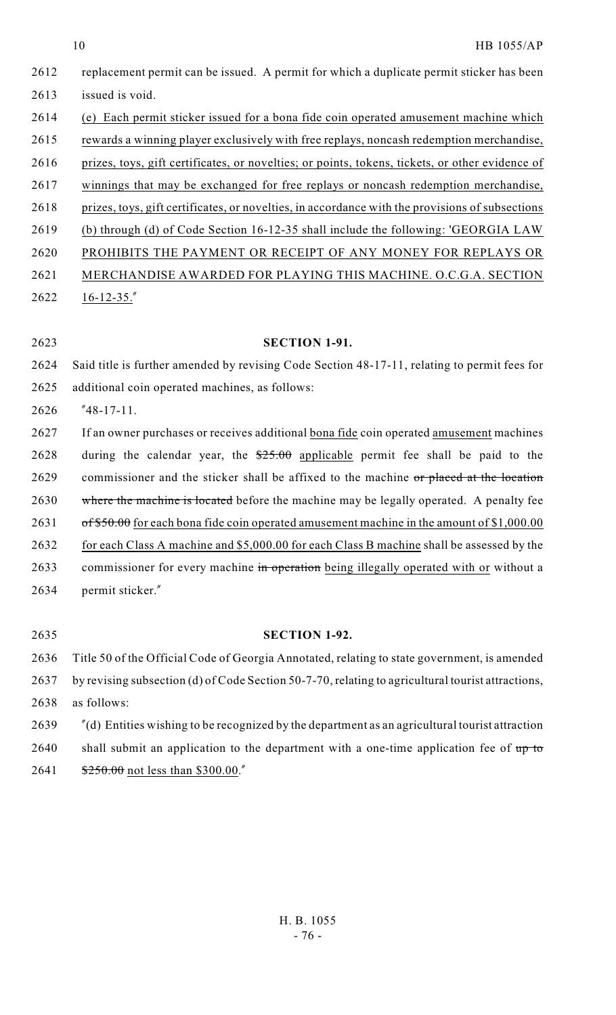|      | 10<br>HB 1055/AP                                                                                                |
|------|-----------------------------------------------------------------------------------------------------------------|
| 2612 | replacement permit can be issued. A permit for which a duplicate permit sticker has been                        |
| 2613 | issued is void.                                                                                                 |
| 2614 | (e) Each permit sticker issued for a bona fide coin operated amusement machine which                            |
| 2615 | rewards a winning player exclusively with free replays, noncash redemption merchandise,                         |
| 2616 | prizes, toys, gift certificates, or novelties; or points, tokens, tickets, or other evidence of                 |
| 2617 | winnings that may be exchanged for free replays or noncash redemption merchandise,                              |
| 2618 | prizes, toys, gift certificates, or novelties, in accordance with the provisions of subsections                 |
| 2619 | (b) through (d) of Code Section 16-12-35 shall include the following: 'GEORGIA LAW                              |
| 2620 | PROHIBITS THE PAYMENT OR RECEIPT OF ANY MONEY FOR REPLAYS OR                                                    |
| 2621 | MERCHANDISE AWARDED FOR PLAYING THIS MACHINE. O.C.G.A. SECTION                                                  |
| 2622 | $16 - 12 - 35.$                                                                                                 |
|      |                                                                                                                 |
| 2623 | <b>SECTION 1-91.</b>                                                                                            |
| 2624 | Said title is further amended by revising Code Section 48-17-11, relating to permit fees for                    |
| 2625 | additional coin operated machines, as follows:                                                                  |
| 2626 | $"48-17-11.$                                                                                                    |
| 2627 | If an owner purchases or receives additional bona fide coin operated amusement machines                         |
| 2628 | during the calendar year, the $$25.00$ applicable permit fee shall be paid to the                               |
| 2629 | commissioner and the sticker shall be affixed to the machine or placed at the location                          |
| 2630 | where the machine is located before the machine may be legally operated. A penalty fee                          |
| 2631 | $\frac{6f56.00}{100}$ for each bona fide coin operated amusement machine in the amount of \$1,000.00            |
| 2632 | for each Class A machine and \$5,000.00 for each Class B machine shall be assessed by the                       |
| 2633 | commissioner for every machine in operation being illegally operated with or without a                          |
| 2634 | permit sticker."                                                                                                |
|      |                                                                                                                 |
| 2635 | <b>SECTION 1-92.</b>                                                                                            |
| 2636 | Title 50 of the Official Code of Georgia Annotated, relating to state government, is amended                    |
| 2637 | by revising subsection (d) of Code Section 50-7-70, relating to agricultural tourist attractions,               |
| 2638 | as follows:                                                                                                     |
| 2639 | $^{\prime\prime}$ (d) Entities wishing to be recognized by the department as an agricultural tourist attraction |
| 2640 | shall submit an application to the department with a one-time application fee of up to                          |

2641 \$250.00 not less than \$300.00."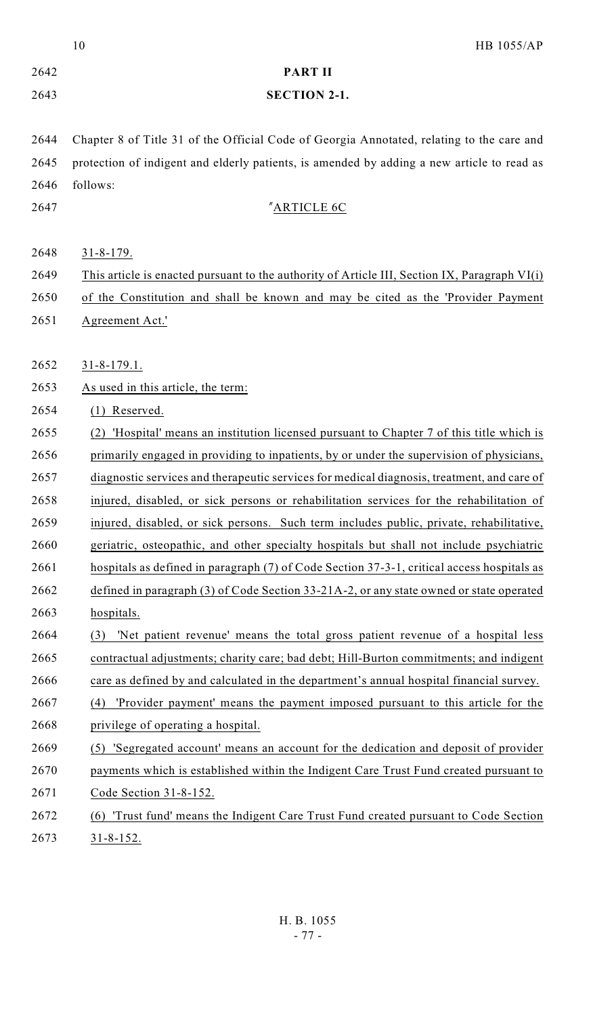|      | 10<br>HB 1055/AP                                                                              |
|------|-----------------------------------------------------------------------------------------------|
| 2642 | <b>PART II</b>                                                                                |
| 2643 | <b>SECTION 2-1.</b>                                                                           |
|      |                                                                                               |
| 2644 | Chapter 8 of Title 31 of the Official Code of Georgia Annotated, relating to the care and     |
| 2645 | protection of indigent and elderly patients, is amended by adding a new article to read as    |
| 2646 | follows:                                                                                      |
| 2647 | "ARTICLE 6C                                                                                   |
|      |                                                                                               |
| 2648 | $31 - 8 - 179$ .                                                                              |
| 2649 | This article is enacted pursuant to the authority of Article III, Section IX, Paragraph VI(i) |
| 2650 | of the Constitution and shall be known and may be cited as the 'Provider Payment              |
| 2651 | Agreement Act.'                                                                               |
|      |                                                                                               |
| 2652 | $31 - 8 - 179.1$ .                                                                            |
| 2653 | As used in this article, the term:                                                            |
| 2654 | $(1)$ Reserved.                                                                               |
| 2655 | 'Hospital' means an institution licensed pursuant to Chapter 7 of this title which is<br>(2)  |
| 2656 | primarily engaged in providing to inpatients, by or under the supervision of physicians,      |
| 2657 | diagnostic services and therapeutic services for medical diagnosis, treatment, and care of    |
| 2658 | injured, disabled, or sick persons or rehabilitation services for the rehabilitation of       |
| 2659 | injured, disabled, or sick persons. Such term includes public, private, rehabilitative,       |
| 2660 | geriatric, osteopathic, and other specialty hospitals but shall not include psychiatric       |
| 2661 | hospitals as defined in paragraph (7) of Code Section 37-3-1, critical access hospitals as    |
| 2662 | defined in paragraph $(3)$ of Code Section 33-21A-2, or any state owned or state operated     |
| 2663 | hospitals.                                                                                    |
| 2664 | 'Net patient revenue' means the total gross patient revenue of a hospital less<br>(3)         |
| 2665 | contractual adjustments; charity care; bad debt; Hill-Burton commitments; and indigent        |
| 2666 | care as defined by and calculated in the department's annual hospital financial survey.       |
| 2667 | 'Provider payment' means the payment imposed pursuant to this article for the<br>(4)          |
| 2668 | privilege of operating a hospital.                                                            |
| 2669 | (5) 'Segregated account' means an account for the dedication and deposit of provider          |
| 2670 | payments which is established within the Indigent Care Trust Fund created pursuant to         |
| 2671 | Code Section 31-8-152.                                                                        |
| 2672 | 'Trust fund' means the Indigent Care Trust Fund created pursuant to Code Section<br>(6)       |
| 2673 | $31 - 8 - 152$ .                                                                              |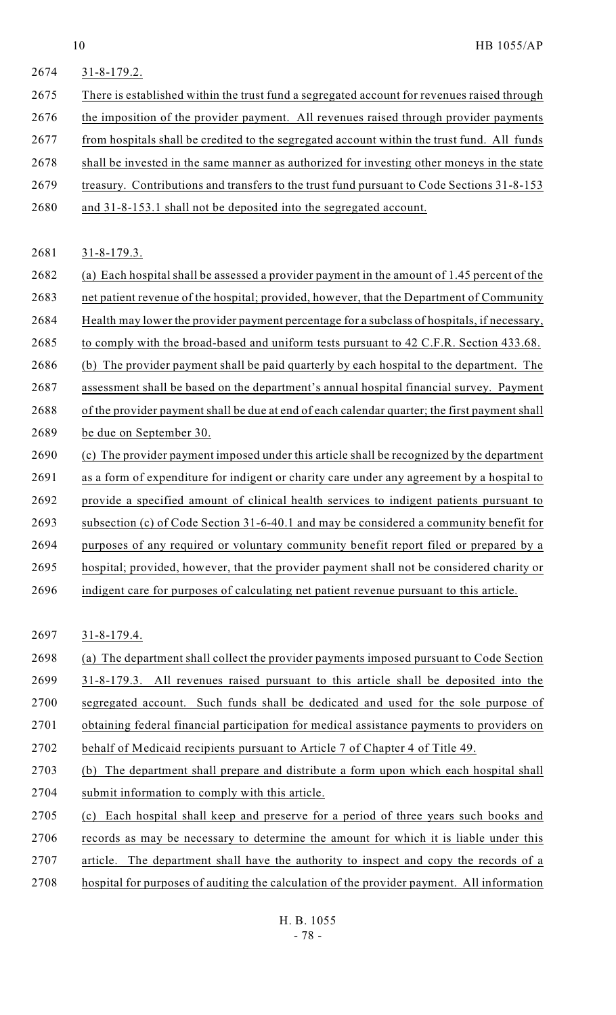- 31-8-179.2. There is established within the trust fund a segregated account for revenues raised through the imposition of the provider payment. All revenues raised through provider payments from hospitals shall be credited to the segregated account within the trust fund. All funds shall be invested in the same manner as authorized for investing other moneys in the state treasury. Contributions and transfers to the trust fund pursuant to Code Sections 31-8-153
- and 31-8-153.1 shall not be deposited into the segregated account.

31-8-179.3.

- (a) Each hospital shall be assessed a provider payment in the amount of 1.45 percent of the net patient revenue of the hospital; provided, however, that the Department of Community Health may lower the provider payment percentage for a subclass of hospitals, if necessary, 2685 to comply with the broad-based and uniform tests pursuant to 42 C.F.R. Section 433.68. 2686 (b) The provider payment shall be paid quarterly by each hospital to the department. The assessment shall be based on the department's annual hospital financial survey. Payment
- of the provider payment shall be due at end of each calendar quarter; the first payment shall be due on September 30.
- (c) The provider payment imposed under this article shall be recognized by the department as a form of expenditure for indigent or charity care under any agreement by a hospital to provide a specified amount of clinical health services to indigent patients pursuant to 2693 subsection (c) of Code Section 31-6-40.1 and may be considered a community benefit for 2694 purposes of any required or voluntary community benefit report filed or prepared by a hospital; provided, however, that the provider payment shall not be considered charity or
- indigent care for purposes of calculating net patient revenue pursuant to this article.

31-8-179.4.

- (a) The department shall collect the provider payments imposed pursuant to Code Section
- 31-8-179.3. All revenues raised pursuant to this article shall be deposited into the
- 2700 segregated account. Such funds shall be dedicated and used for the sole purpose of
- obtaining federal financial participation for medical assistance payments to providers on
- behalf of Medicaid recipients pursuant to Article 7 of Chapter 4 of Title 49.
- (b) The department shall prepare and distribute a form upon which each hospital shall submit information to comply with this article.
- (c) Each hospital shall keep and preserve for a period of three years such books and records as may be necessary to determine the amount for which it is liable under this article. The department shall have the authority to inspect and copy the records of a
- hospital for purposes of auditing the calculation of the provider payment. All information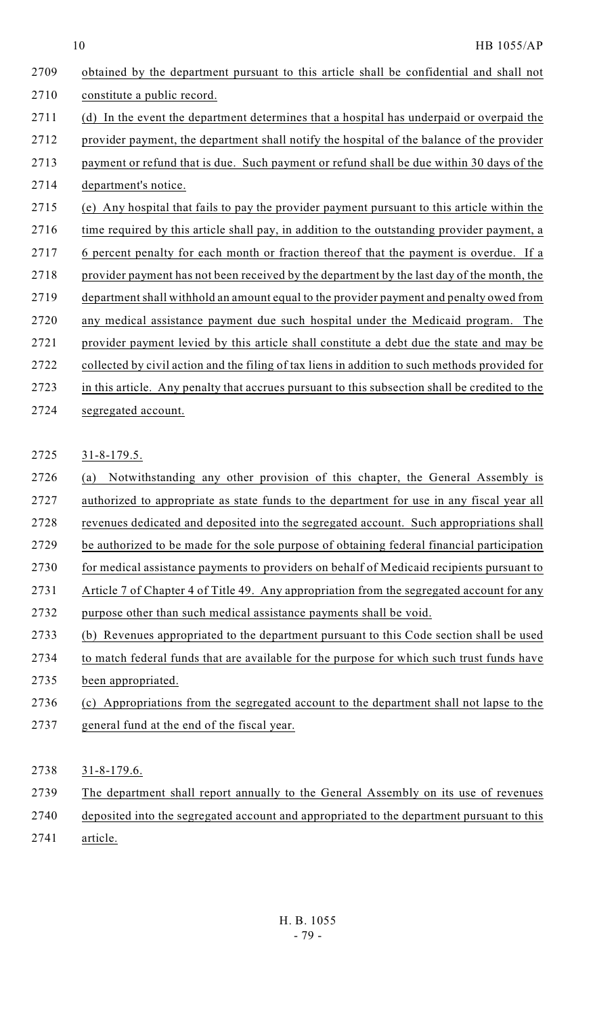10 HB 1055/AP

| 2709 | obtained by the department pursuant to this article shall be confidential and shall not        |
|------|------------------------------------------------------------------------------------------------|
| 2710 | constitute a public record.                                                                    |
| 2711 | (d) In the event the department determines that a hospital has underpaid or overpaid the       |
| 2712 | provider payment, the department shall notify the hospital of the balance of the provider      |
| 2713 | payment or refund that is due. Such payment or refund shall be due within 30 days of the       |
| 2714 | department's notice.                                                                           |
| 2715 | (e) Any hospital that fails to pay the provider payment pursuant to this article within the    |
| 2716 | time required by this article shall pay, in addition to the outstanding provider payment, a    |
| 2717 | 6 percent penalty for each month or fraction thereof that the payment is overdue. If a         |
| 2718 | provider payment has not been received by the department by the last day of the month, the     |
| 2719 | department shall withhold an amount equal to the provider payment and penalty owed from        |
| 2720 | any medical assistance payment due such hospital under the Medicaid program.<br>The            |
| 2721 | provider payment levied by this article shall constitute a debt due the state and may be       |
| 2722 | collected by civil action and the filing of tax liens in addition to such methods provided for |
| 2723 | in this article. Any penalty that accrues pursuant to this subsection shall be credited to the |
| 2724 | segregated account.                                                                            |
|      |                                                                                                |
| 2725 | $31 - 8 - 179.5$ .                                                                             |
| 2726 | Notwithstanding any other provision of this chapter, the General Assembly is<br>(a)            |
| 2727 | authorized to appropriate as state funds to the department for use in any fiscal year all      |
| 2728 | revenues dedicated and deposited into the segregated account. Such appropriations shall        |
| 2729 | be authorized to be made for the sole purpose of obtaining federal financial participation     |
| 2730 | for medical assistance payments to providers on behalf of Medicaid recipients pursuant to      |
| 2731 | Article 7 of Chapter 4 of Title 49. Any appropriation from the segregated account for any      |
| 2732 | purpose other than such medical assistance payments shall be void.                             |
| 2733 | (b) Revenues appropriated to the department pursuant to this Code section shall be used        |
| 2734 | to match federal funds that are available for the purpose for which such trust funds have      |
| 2735 | been appropriated.                                                                             |
| 2736 | (c) Appropriations from the segregated account to the department shall not lapse to the        |
| 2737 | general fund at the end of the fiscal year.                                                    |
|      |                                                                                                |
| 2738 | $31 - 8 - 179.6$ .                                                                             |
| 2739 | The department shall report annually to the General Assembly on its use of revenues            |

- 2740 deposited into the segregated account and appropriated to the department pursuant to this
- 2741 article.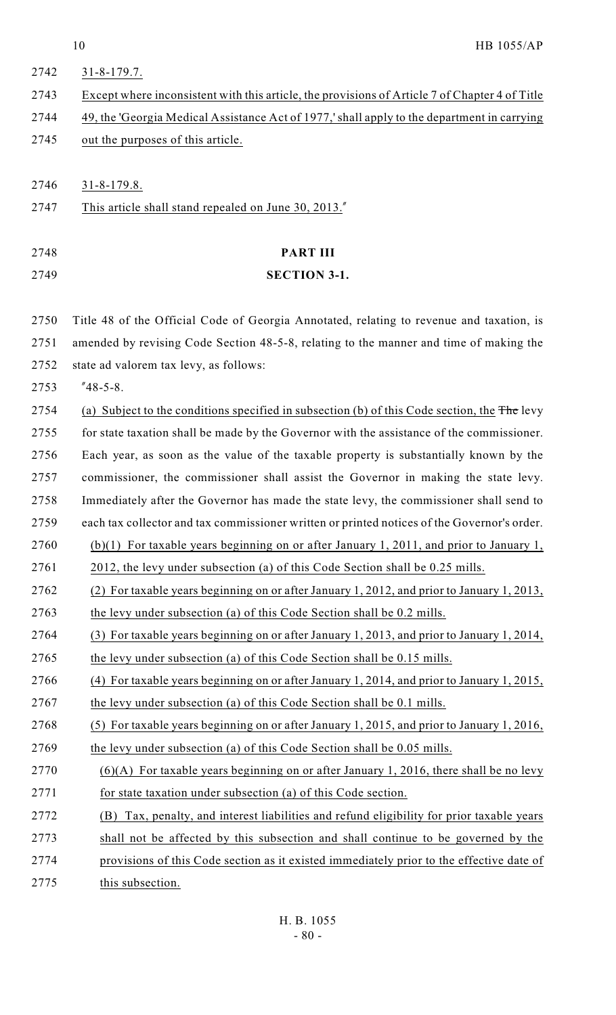| 2742 | $31 - 8 - 179.7$ .                                                                                               |
|------|------------------------------------------------------------------------------------------------------------------|
| 2743 | Except where inconsistent with this article, the provisions of Article 7 of Chapter 4 of Title                   |
| 2744 | 49, the 'Georgia Medical Assistance Act of 1977,' shall apply to the department in carrying                      |
| 2745 | out the purposes of this article.                                                                                |
|      |                                                                                                                  |
| 2746 | $31 - 8 - 179.8$ .                                                                                               |
| 2747 | This article shall stand repealed on June 30, 2013."                                                             |
| 2748 | <b>PART III</b>                                                                                                  |
| 2749 | <b>SECTION 3-1.</b>                                                                                              |
|      |                                                                                                                  |
| 2750 | Title 48 of the Official Code of Georgia Annotated, relating to revenue and taxation, is                         |
| 2751 | amended by revising Code Section 48-5-8, relating to the manner and time of making the                           |
| 2752 | state ad valorem tax levy, as follows:                                                                           |
| 2753 | $"48-5-8.$                                                                                                       |
| 2754 | (a) Subject to the conditions specified in subsection (b) of this Code section, the $\overline{\text{The}}$ levy |
| 2755 | for state taxation shall be made by the Governor with the assistance of the commissioner.                        |
| 2756 | Each year, as soon as the value of the taxable property is substantially known by the                            |
| 2757 | commissioner, the commissioner shall assist the Governor in making the state levy.                               |
| 2758 | Immediately after the Governor has made the state levy, the commissioner shall send to                           |
| 2759 | each tax collector and tax commissioner written or printed notices of the Governor's order.                      |
| 2760 | $(b)(1)$ For taxable years beginning on or after January 1, 2011, and prior to January 1,                        |
| 2761 | 2012, the levy under subsection (a) of this Code Section shall be 0.25 mills.                                    |
| 2762 | (2) For taxable years beginning on or after January 1, 2012, and prior to January 1, 2013,                       |
| 2763 | the levy under subsection (a) of this Code Section shall be 0.2 mills.                                           |
| 2764 | (3) For taxable years beginning on or after January 1, 2013, and prior to January 1, 2014,                       |
| 2765 | the levy under subsection (a) of this Code Section shall be 0.15 mills.                                          |
| 2766 | (4) For taxable years beginning on or after January 1, 2014, and prior to January 1, 2015,                       |
| 2767 | the levy under subsection (a) of this Code Section shall be 0.1 mills.                                           |
| 2768 | (5) For taxable years beginning on or after January 1, 2015, and prior to January 1, 2016,                       |
| 2769 | the levy under subsection (a) of this Code Section shall be 0.05 mills.                                          |
| 2770 | $(6)(A)$ For taxable years beginning on or after January 1, 2016, there shall be no levy                         |
| 2771 | for state taxation under subsection (a) of this Code section.                                                    |
| 2772 | Tax, penalty, and interest liabilities and refund eligibility for prior taxable years<br>(B)                     |
| 2773 | shall not be affected by this subsection and shall continue to be governed by the                                |
| 2774 | provisions of this Code section as it existed immediately prior to the effective date of                         |
| 2775 | this subsection.                                                                                                 |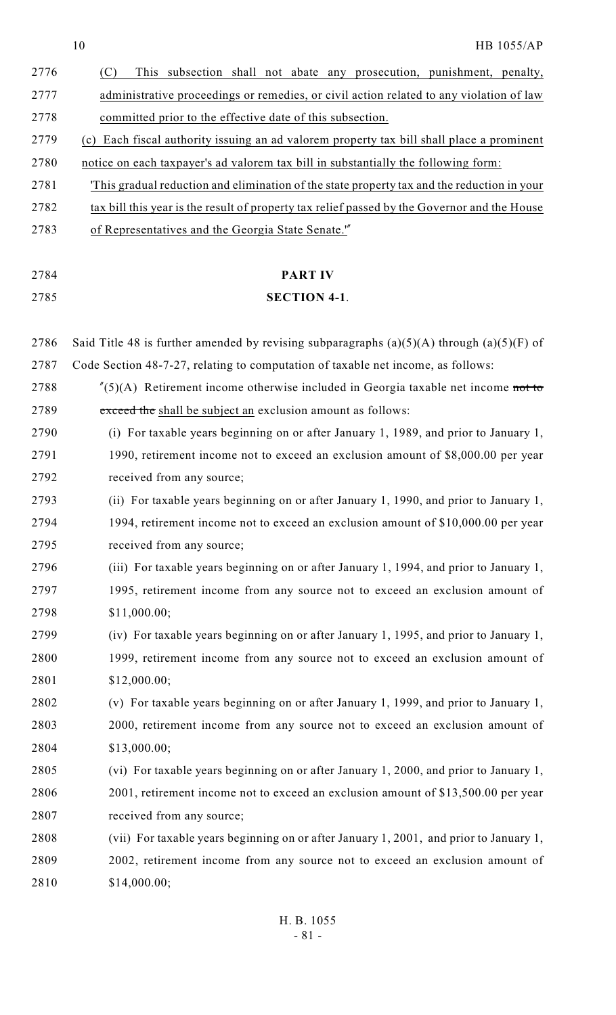|      | 10<br>HB 1055/AP                                                                                  |
|------|---------------------------------------------------------------------------------------------------|
| 2776 | This subsection shall not abate any prosecution, punishment, penalty,<br>(C)                      |
| 2777 | administrative proceedings or remedies, or civil action related to any violation of law           |
| 2778 | committed prior to the effective date of this subsection.                                         |
| 2779 | (c) Each fiscal authority issuing an ad valorem property tax bill shall place a prominent         |
| 2780 | notice on each taxpayer's ad valorem tax bill in substantially the following form:                |
| 2781 | This gradual reduction and elimination of the state property tax and the reduction in your        |
| 2782 | tax bill this year is the result of property tax relief passed by the Governor and the House      |
| 2783 | of Representatives and the Georgia State Senate."                                                 |
|      |                                                                                                   |
| 2784 | <b>PART IV</b>                                                                                    |
| 2785 | <b>SECTION 4-1.</b>                                                                               |
|      |                                                                                                   |
| 2786 | Said Title 48 is further amended by revising subparagraphs $(a)(5)(A)$ through $(a)(5)(F)$ of     |
| 2787 | Code Section 48-7-27, relating to computation of taxable net income, as follows:                  |
| 2788 | $^{\prime\prime}(5)(A)$ Retirement income otherwise included in Georgia taxable net income not to |
| 2789 | exceed the shall be subject an exclusion amount as follows:                                       |
| 2790 | For taxable years beginning on or after January 1, 1989, and prior to January 1,<br>(i)           |
| 2791 | 1990, retirement income not to exceed an exclusion amount of \$8,000.00 per year                  |
| 2792 | received from any source;                                                                         |
| 2793 | (ii) For taxable years beginning on or after January 1, 1990, and prior to January 1,             |
| 2794 | 1994, retirement income not to exceed an exclusion amount of \$10,000.00 per year                 |
| 2795 | received from any source;                                                                         |
| 2796 | (iii) For taxable years beginning on or after January 1, 1994, and prior to January 1,            |
| 2797 | 1995, retirement income from any source not to exceed an exclusion amount of                      |
| 2798 | \$11,000.00;                                                                                      |
| 2799 | (iv) For taxable years beginning on or after January 1, 1995, and prior to January 1,             |
| 2800 | 1999, retirement income from any source not to exceed an exclusion amount of                      |
| 2801 | \$12,000.00;                                                                                      |
| 2802 | (v) For taxable years beginning on or after January 1, 1999, and prior to January 1,              |
| 2803 | 2000, retirement income from any source not to exceed an exclusion amount of                      |
| 2804 | \$13,000.00;                                                                                      |
| 2805 | (vi) For taxable years beginning on or after January 1, 2000, and prior to January 1,             |
| 2806 | 2001, retirement income not to exceed an exclusion amount of \$13,500.00 per year                 |
| 2807 | received from any source;                                                                         |
| 2808 | (vii) For taxable years beginning on or after January 1, 2001, and prior to January 1,            |
| 2809 | 2002, retirement income from any source not to exceed an exclusion amount of                      |
| 2810 | \$14,000.00;                                                                                      |
|      |                                                                                                   |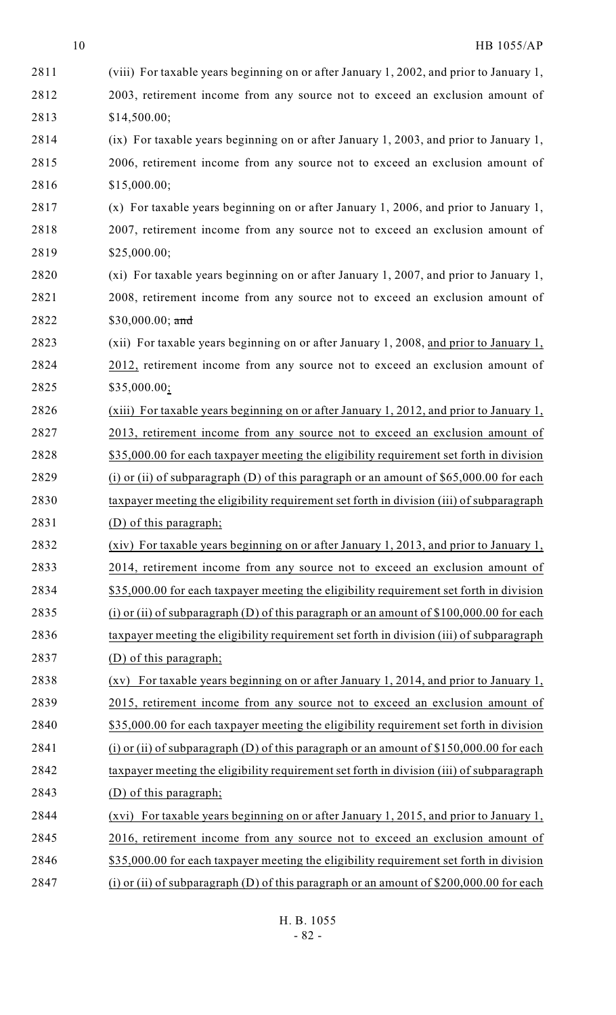| 2811 | (viii) For taxable years beginning on or after January 1, 2002, and prior to January 1,  |
|------|------------------------------------------------------------------------------------------|
| 2812 | 2003, retirement income from any source not to exceed an exclusion amount of             |
| 2813 | \$14,500.00;                                                                             |
| 2814 | (ix) For taxable years beginning on or after January 1, 2003, and prior to January 1,    |
| 2815 | 2006, retirement income from any source not to exceed an exclusion amount of             |
| 2816 | \$15,000.00;                                                                             |
| 2817 | $(x)$ For taxable years beginning on or after January 1, 2006, and prior to January 1,   |
| 2818 | 2007, retirement income from any source not to exceed an exclusion amount of             |
| 2819 | \$25,000.00;                                                                             |
| 2820 | (xi) For taxable years beginning on or after January 1, 2007, and prior to January 1,    |
| 2821 | 2008, retirement income from any source not to exceed an exclusion amount of             |
| 2822 | \$30,000.00; and                                                                         |
| 2823 | (xii) For taxable years beginning on or after January 1, 2008, and prior to January 1,   |
| 2824 | 2012, retirement income from any source not to exceed an exclusion amount of             |
| 2825 | \$35,000.00;                                                                             |
| 2826 | (xiii) For taxable years beginning on or after January 1, 2012, and prior to January 1,  |
| 2827 | 2013, retirement income from any source not to exceed an exclusion amount of             |
| 2828 | \$35,000.00 for each taxpayer meeting the eligibility requirement set forth in division  |
| 2829 | (i) or (ii) of subparagraph (D) of this paragraph or an amount of $$65,000.00$ for each  |
| 2830 | taxpayer meeting the eligibility requirement set forth in division (iii) of subparagraph |
| 2831 | (D) of this paragraph;                                                                   |
| 2832 | (xiv) For taxable years beginning on or after January 1, 2013, and prior to January 1,   |
| 2833 | 2014, retirement income from any source not to exceed an exclusion amount of             |
| 2834 | \$35,000.00 for each taxpayer meeting the eligibility requirement set forth in division  |
| 2835 | (i) or (ii) of subparagraph (D) of this paragraph or an amount of $$100,000.00$ for each |
| 2836 | taxpayer meeting the eligibility requirement set forth in division (iii) of subparagraph |
| 2837 | (D) of this paragraph;                                                                   |
| 2838 | (xv) For taxable years beginning on or after January 1, 2014, and prior to January 1,    |
| 2839 | 2015, retirement income from any source not to exceed an exclusion amount of             |
| 2840 | \$35,000.00 for each taxpayer meeting the eligibility requirement set forth in division  |
| 2841 | (i) or (ii) of subparagraph (D) of this paragraph or an amount of $$150,000.00$ for each |
| 2842 | taxpayer meeting the eligibility requirement set forth in division (iii) of subparagraph |
| 2843 | (D) of this paragraph;                                                                   |
| 2844 | (xvi) For taxable years beginning on or after January 1, 2015, and prior to January 1,   |
| 2845 | 2016, retirement income from any source not to exceed an exclusion amount of             |
| 2846 | \$35,000.00 for each taxpayer meeting the eligibility requirement set forth in division  |
| 2847 | (i) or (ii) of subparagraph (D) of this paragraph or an amount of $$200,000.00$ for each |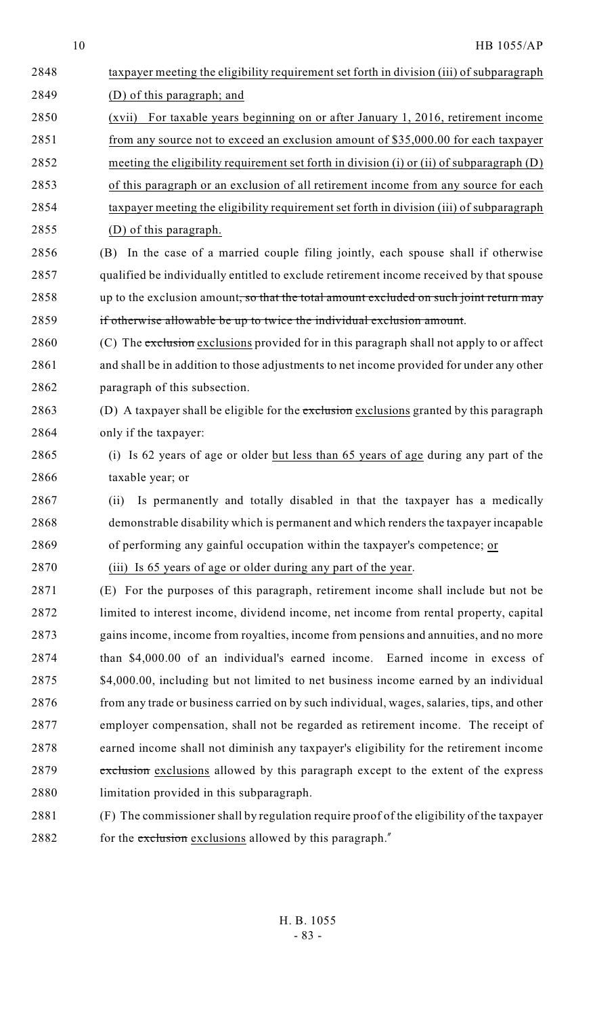| 2848 | taxpayer meeting the eligibility requirement set forth in division (iii) of subparagraph   |
|------|--------------------------------------------------------------------------------------------|
| 2849 | (D) of this paragraph; and                                                                 |
| 2850 | For taxable years beginning on or after January 1, 2016, retirement income<br>(xvii)       |
| 2851 | from any source not to exceed an exclusion amount of \$35,000.00 for each taxpayer         |
| 2852 | meeting the eligibility requirement set forth in division (i) or (ii) of subparagraph (D)  |
| 2853 | of this paragraph or an exclusion of all retirement income from any source for each        |
| 2854 | taxpayer meeting the eligibility requirement set forth in division (iii) of subparagraph   |
| 2855 | (D) of this paragraph.                                                                     |
| 2856 | (B) In the case of a married couple filing jointly, each spouse shall if otherwise         |
| 2857 | qualified be individually entitled to exclude retirement income received by that spouse    |
| 2858 | up to the exclusion amount, so that the total amount excluded on such joint return may     |
| 2859 | if otherwise allowable be up to twice the individual exclusion amount.                     |
| 2860 | (C) The exclusion exclusions provided for in this paragraph shall not apply to or affect   |
| 2861 | and shall be in addition to those adjustments to net income provided for under any other   |
| 2862 | paragraph of this subsection.                                                              |
| 2863 | (D) A taxpayer shall be eligible for the exclusion exclusions granted by this paragraph    |
| 2864 | only if the taxpayer:                                                                      |
| 2865 | (i) Is 62 years of age or older but less than 65 years of age during any part of the       |
| 2866 | taxable year; or                                                                           |
| 2867 | Is permanently and totally disabled in that the taxpayer has a medically<br>(ii)           |
| 2868 | demonstrable disability which is permanent and which renders the taxpayer incapable        |
| 2869 | of performing any gainful occupation within the taxpayer's competence; or                  |
| 2870 | (iii) Is 65 years of age or older during any part of the year.                             |
| 2871 | (E) For the purposes of this paragraph, retirement income shall include but not be         |
| 2872 | limited to interest income, dividend income, net income from rental property, capital      |
| 2873 | gains income, income from royalties, income from pensions and annuities, and no more       |
| 2874 | than \$4,000.00 of an individual's earned income. Earned income in excess of               |
| 2875 | \$4,000.00, including but not limited to net business income earned by an individual       |
| 2876 | from any trade or business carried on by such individual, wages, salaries, tips, and other |
| 2877 | employer compensation, shall not be regarded as retirement income. The receipt of          |
| 2878 | earned income shall not diminish any taxpayer's eligibility for the retirement income      |
| 2879 | exclusion exclusions allowed by this paragraph except to the extent of the express         |
| 2880 | limitation provided in this subparagraph.                                                  |
| 2881 | (F) The commissioner shall by regulation require proof of the eligibility of the taxpayer  |
|      |                                                                                            |

2882 for the exclusion exclusions allowed by this paragraph."